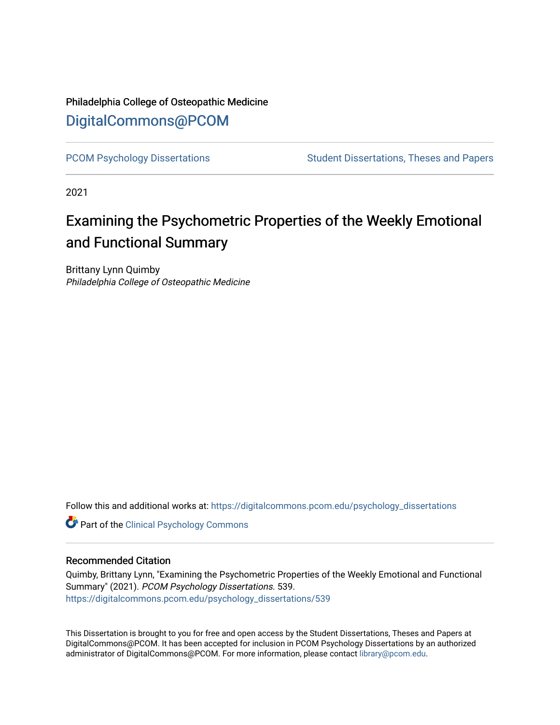### Philadelphia College of Osteopathic Medicine [DigitalCommons@PCOM](https://digitalcommons.pcom.edu/)

[PCOM Psychology Dissertations](https://digitalcommons.pcom.edu/psychology_dissertations) Student Dissertations, Theses and Papers

2021

# Examining the Psychometric Properties of the Weekly Emotional and Functional Summary

Brittany Lynn Quimby Philadelphia College of Osteopathic Medicine

Follow this and additional works at: [https://digitalcommons.pcom.edu/psychology\\_dissertations](https://digitalcommons.pcom.edu/psychology_dissertations?utm_source=digitalcommons.pcom.edu%2Fpsychology_dissertations%2F539&utm_medium=PDF&utm_campaign=PDFCoverPages)

**Part of the Clinical Psychology Commons** 

#### Recommended Citation

Quimby, Brittany Lynn, "Examining the Psychometric Properties of the Weekly Emotional and Functional Summary" (2021). PCOM Psychology Dissertations. 539. [https://digitalcommons.pcom.edu/psychology\\_dissertations/539](https://digitalcommons.pcom.edu/psychology_dissertations/539?utm_source=digitalcommons.pcom.edu%2Fpsychology_dissertations%2F539&utm_medium=PDF&utm_campaign=PDFCoverPages) 

This Dissertation is brought to you for free and open access by the Student Dissertations, Theses and Papers at DigitalCommons@PCOM. It has been accepted for inclusion in PCOM Psychology Dissertations by an authorized administrator of DigitalCommons@PCOM. For more information, please contact [library@pcom.edu.](mailto:library@pcom.edu)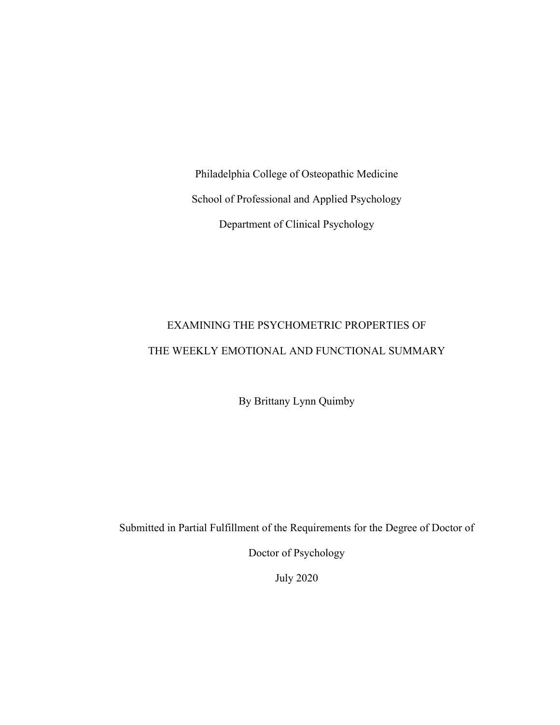Philadelphia College of Osteopathic Medicine School of Professional and Applied Psychology Department of Clinical Psychology

## EXAMINING THE PSYCHOMETRIC PROPERTIES OF THE WEEKLY EMOTIONAL AND FUNCTIONAL SUMMARY

By Brittany Lynn Quimby

Submitted in Partial Fulfillment of the Requirements for the Degree of Doctor of

Doctor of Psychology

July 2020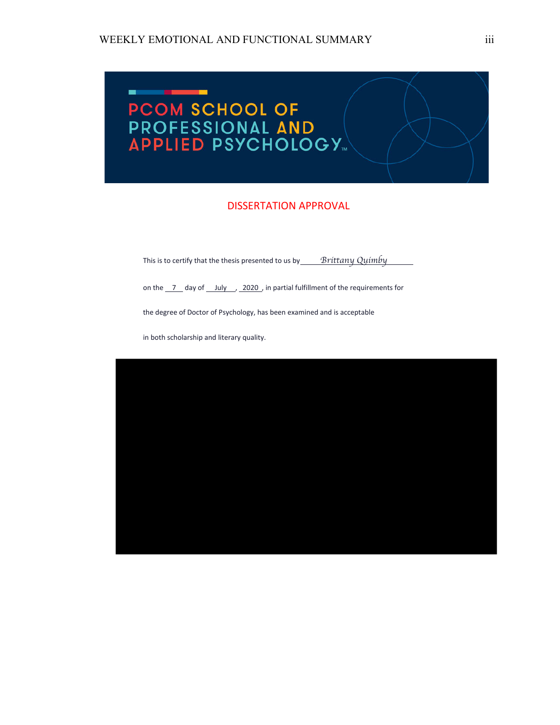

#### DISSERTATION APPROVAL

This is to certify that the thesis presented to us by *Brittany Quimby* 

on the  $\frac{7}{2}$  day of  $\frac{July}{2020}$ , in partial fulfillment of the requirements for

the degree of Doctor of Psychology, has been examined and is acceptable

in both scholarship and literary quality.

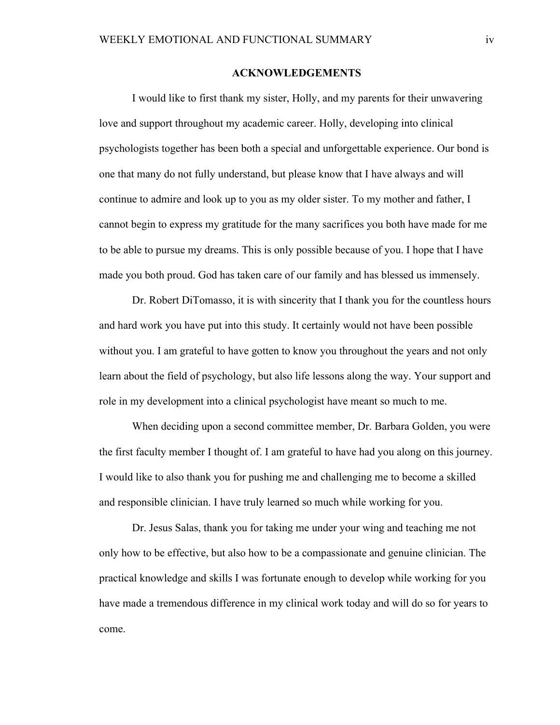#### **ACKNOWLEDGEMENTS**

 I would like to first thank my sister, Holly, and my parents for their unwavering love and support throughout my academic career. Holly, developing into clinical psychologists together has been both a special and unforgettable experience. Our bond is one that many do not fully understand, but please know that I have always and will continue to admire and look up to you as my older sister. To my mother and father, I cannot begin to express my gratitude for the many sacrifices you both have made for me to be able to pursue my dreams. This is only possible because of you. I hope that I have made you both proud. God has taken care of our family and has blessed us immensely.

 Dr. Robert DiTomasso, it is with sincerity that I thank you for the countless hours and hard work you have put into this study. It certainly would not have been possible without you. I am grateful to have gotten to know you throughout the years and not only learn about the field of psychology, but also life lessons along the way. Your support and role in my development into a clinical psychologist have meant so much to me.

 When deciding upon a second committee member, Dr. Barbara Golden, you were the first faculty member I thought of. I am grateful to have had you along on this journey. I would like to also thank you for pushing me and challenging me to become a skilled and responsible clinician. I have truly learned so much while working for you.

Dr. Jesus Salas, thank you for taking me under your wing and teaching me not only how to be effective, but also how to be a compassionate and genuine clinician. The practical knowledge and skills I was fortunate enough to develop while working for you have made a tremendous difference in my clinical work today and will do so for years to come.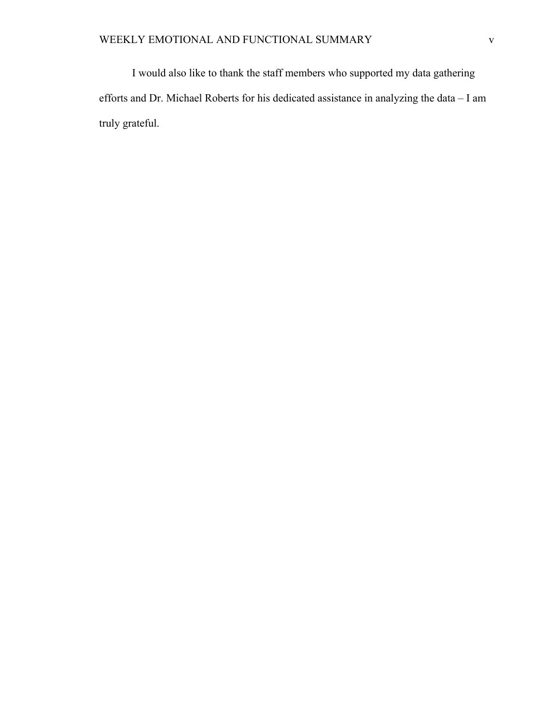I would also like to thank the staff members who supported my data gathering efforts and Dr. Michael Roberts for his dedicated assistance in analyzing the data – I am truly grateful.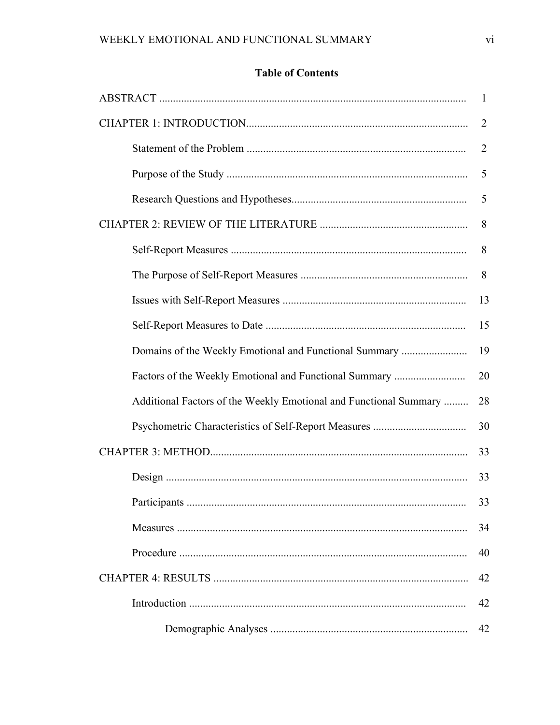### **Table of Contents**

|                                                                   | -1             |
|-------------------------------------------------------------------|----------------|
|                                                                   | $\overline{2}$ |
|                                                                   | $\overline{2}$ |
|                                                                   | 5              |
|                                                                   | 5              |
|                                                                   | 8              |
|                                                                   | 8              |
|                                                                   | 8              |
|                                                                   | 13             |
|                                                                   | 15             |
| Domains of the Weekly Emotional and Functional Summary            | 19             |
| Factors of the Weekly Emotional and Functional Summary            | 20             |
| Additional Factors of the Weekly Emotional and Functional Summary | 28             |
|                                                                   | 30             |
|                                                                   |                |
|                                                                   | 33             |
|                                                                   | 33             |
|                                                                   | 34             |
|                                                                   | 40             |
|                                                                   |                |
|                                                                   | 42             |
|                                                                   | 42             |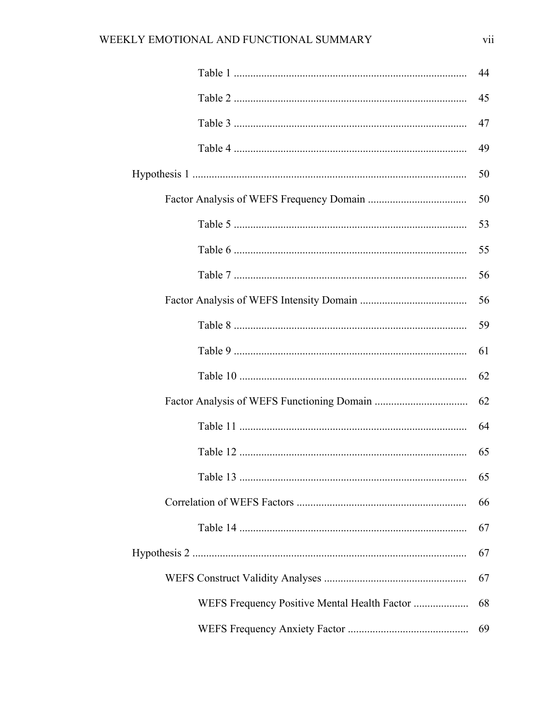|          | 44 |
|----------|----|
|          | 45 |
|          | 47 |
|          | 49 |
|          | 50 |
|          | 50 |
|          | 53 |
|          | 55 |
|          | 56 |
|          | 56 |
|          | 59 |
|          | 61 |
|          | 62 |
|          | 62 |
|          | 64 |
|          | 65 |
| Table 13 | 65 |
|          | 66 |
|          | 67 |
|          | 67 |
|          | 67 |
|          | 68 |
|          | 69 |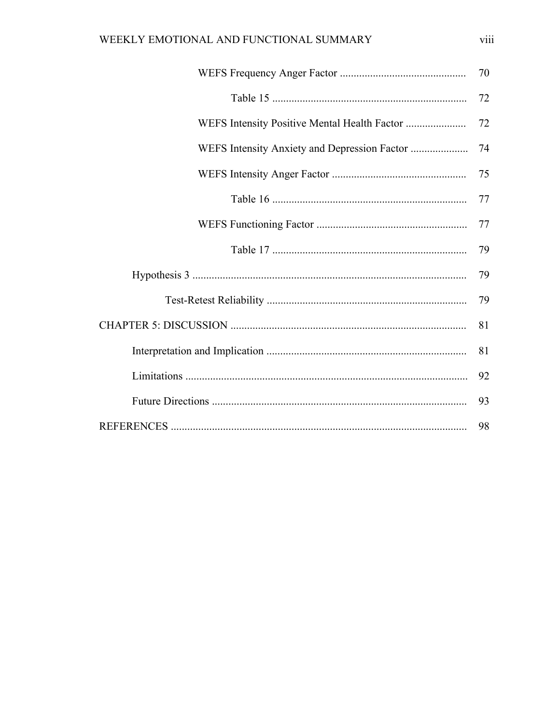|                                              | 70 |
|----------------------------------------------|----|
|                                              | 72 |
| WEFS Intensity Positive Mental Health Factor | 72 |
|                                              | 74 |
|                                              | 75 |
|                                              | 77 |
|                                              | 77 |
|                                              | 79 |
|                                              | 79 |
|                                              | 79 |
|                                              | 81 |
|                                              | 81 |
|                                              | 92 |
|                                              | 93 |
|                                              | 98 |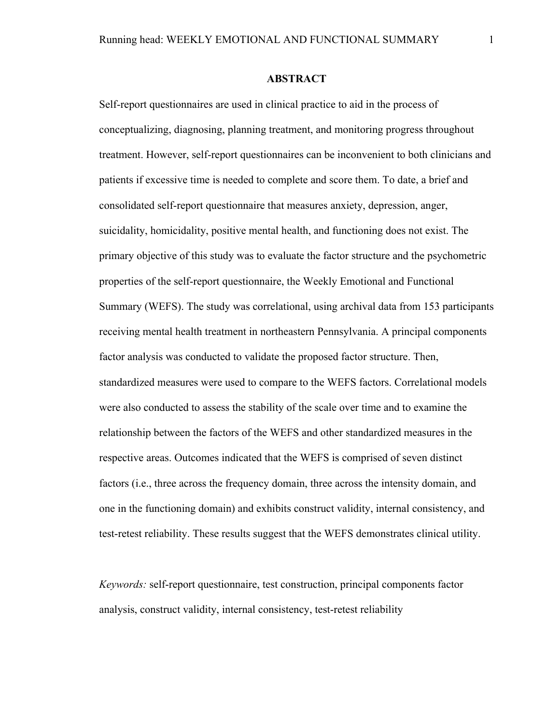#### **ABSTRACT**

Self-report questionnaires are used in clinical practice to aid in the process of conceptualizing, diagnosing, planning treatment, and monitoring progress throughout treatment. However, self-report questionnaires can be inconvenient to both clinicians and patients if excessive time is needed to complete and score them. To date, a brief and consolidated self-report questionnaire that measures anxiety, depression, anger, suicidality, homicidality, positive mental health, and functioning does not exist. The primary objective of this study was to evaluate the factor structure and the psychometric properties of the self-report questionnaire, the Weekly Emotional and Functional Summary (WEFS). The study was correlational, using archival data from 153 participants receiving mental health treatment in northeastern Pennsylvania. A principal components factor analysis was conducted to validate the proposed factor structure. Then, standardized measures were used to compare to the WEFS factors. Correlational models were also conducted to assess the stability of the scale over time and to examine the relationship between the factors of the WEFS and other standardized measures in the respective areas. Outcomes indicated that the WEFS is comprised of seven distinct factors (i.e., three across the frequency domain, three across the intensity domain, and one in the functioning domain) and exhibits construct validity, internal consistency, and test-retest reliability. These results suggest that the WEFS demonstrates clinical utility.

*Keywords:* self-report questionnaire, test construction, principal components factor analysis, construct validity, internal consistency, test-retest reliability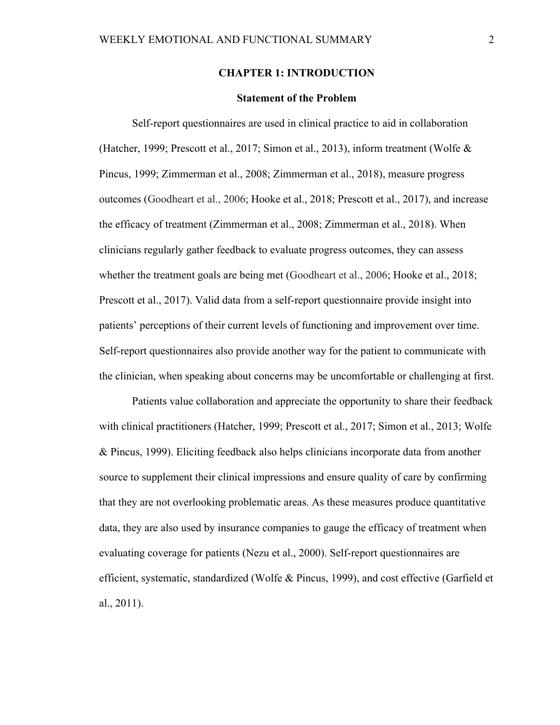#### **CHAPTER 1: INTRODUCTION**

#### **Statement of the Problem**

Self-report questionnaires are used in clinical practice to aid in collaboration (Hatcher, 1999; Prescott et al., 2017; Simon et al., 2013), inform treatment (Wolfe & Pincus, 1999; Zimmerman et al., 2008; Zimmerman et al., 2018), measure progress outcomes (Goodheart et al., 2006; Hooke et al., 2018; Prescott et al., 2017), and increase the efficacy of treatment (Zimmerman et al., 2008; Zimmerman et al., 2018). When clinicians regularly gather feedback to evaluate progress outcomes, they can assess whether the treatment goals are being met (Goodheart et al., 2006; Hooke et al., 2018; Prescott et al., 2017). Valid data from a self-report questionnaire provide insight into patients' perceptions of their current levels of functioning and improvement over time. Self-report questionnaires also provide another way for the patient to communicate with the clinician, when speaking about concerns may be uncomfortable or challenging at first.

Patients value collaboration and appreciate the opportunity to share their feedback with clinical practitioners (Hatcher, 1999; Prescott et al., 2017; Simon et al., 2013; Wolfe & Pincus, 1999). Eliciting feedback also helps clinicians incorporate data from another source to supplement their clinical impressions and ensure quality of care by confirming that they are not overlooking problematic areas. As these measures produce quantitative data, they are also used by insurance companies to gauge the efficacy of treatment when evaluating coverage for patients (Nezu et al., 2000). Self-report questionnaires are efficient, systematic, standardized (Wolfe & Pincus, 1999), and cost effective (Garfield et al., 2011).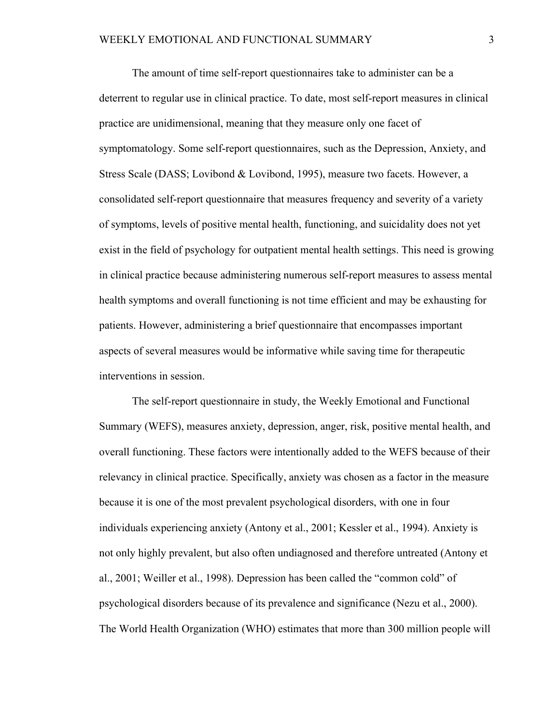The amount of time self-report questionnaires take to administer can be a deterrent to regular use in clinical practice. To date, most self-report measures in clinical practice are unidimensional, meaning that they measure only one facet of symptomatology. Some self-report questionnaires, such as the Depression, Anxiety, and Stress Scale (DASS; Lovibond & Lovibond, 1995), measure two facets. However, a consolidated self-report questionnaire that measures frequency and severity of a variety of symptoms, levels of positive mental health, functioning, and suicidality does not yet exist in the field of psychology for outpatient mental health settings. This need is growing in clinical practice because administering numerous self-report measures to assess mental health symptoms and overall functioning is not time efficient and may be exhausting for patients. However, administering a brief questionnaire that encompasses important aspects of several measures would be informative while saving time for therapeutic interventions in session.

 The self-report questionnaire in study, the Weekly Emotional and Functional Summary (WEFS), measures anxiety, depression, anger, risk, positive mental health, and overall functioning. These factors were intentionally added to the WEFS because of their relevancy in clinical practice. Specifically, anxiety was chosen as a factor in the measure because it is one of the most prevalent psychological disorders, with one in four individuals experiencing anxiety (Antony et al., 2001; Kessler et al., 1994). Anxiety is not only highly prevalent, but also often undiagnosed and therefore untreated (Antony et al., 2001; Weiller et al., 1998). Depression has been called the "common cold" of psychological disorders because of its prevalence and significance (Nezu et al., 2000). The World Health Organization (WHO) estimates that more than 300 million people will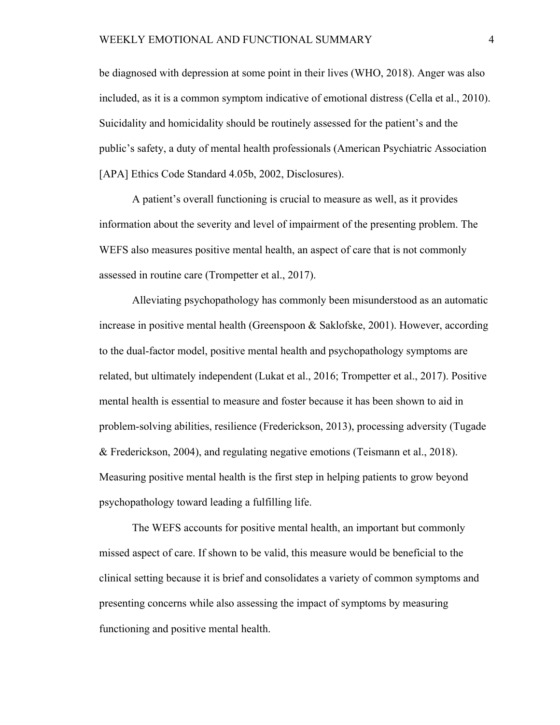be diagnosed with depression at some point in their lives (WHO, 2018). Anger was also included, as it is a common symptom indicative of emotional distress (Cella et al., 2010). Suicidality and homicidality should be routinely assessed for the patient's and the public's safety, a duty of mental health professionals (American Psychiatric Association [APA] Ethics Code Standard 4.05b, 2002, Disclosures).

A patient's overall functioning is crucial to measure as well, as it provides information about the severity and level of impairment of the presenting problem. The WEFS also measures positive mental health, an aspect of care that is not commonly assessed in routine care (Trompetter et al., 2017).

Alleviating psychopathology has commonly been misunderstood as an automatic increase in positive mental health (Greenspoon & Saklofske, 2001). However, according to the dual-factor model, positive mental health and psychopathology symptoms are related, but ultimately independent (Lukat et al., 2016; Trompetter et al., 2017). Positive mental health is essential to measure and foster because it has been shown to aid in problem-solving abilities, resilience (Frederickson, 2013), processing adversity (Tugade & Frederickson, 2004), and regulating negative emotions (Teismann et al., 2018). Measuring positive mental health is the first step in helping patients to grow beyond psychopathology toward leading a fulfilling life.

The WEFS accounts for positive mental health, an important but commonly missed aspect of care. If shown to be valid, this measure would be beneficial to the clinical setting because it is brief and consolidates a variety of common symptoms and presenting concerns while also assessing the impact of symptoms by measuring functioning and positive mental health.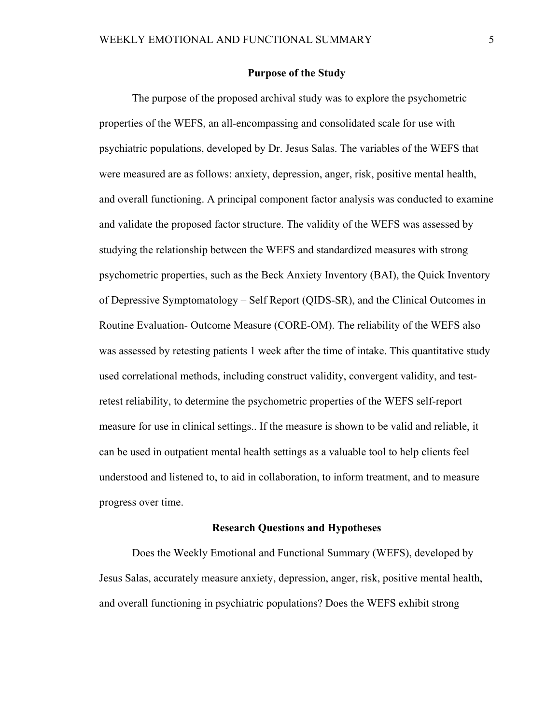#### **Purpose of the Study**

The purpose of the proposed archival study was to explore the psychometric properties of the WEFS, an all-encompassing and consolidated scale for use with psychiatric populations, developed by Dr. Jesus Salas. The variables of the WEFS that were measured are as follows: anxiety, depression, anger, risk, positive mental health, and overall functioning. A principal component factor analysis was conducted to examine and validate the proposed factor structure. The validity of the WEFS was assessed by studying the relationship between the WEFS and standardized measures with strong psychometric properties, such as the Beck Anxiety Inventory (BAI), the Quick Inventory of Depressive Symptomatology – Self Report (QIDS-SR), and the Clinical Outcomes in Routine Evaluation- Outcome Measure (CORE-OM). The reliability of the WEFS also was assessed by retesting patients 1 week after the time of intake. This quantitative study used correlational methods, including construct validity, convergent validity, and testretest reliability, to determine the psychometric properties of the WEFS self-report measure for use in clinical settings.. If the measure is shown to be valid and reliable, it can be used in outpatient mental health settings as a valuable tool to help clients feel understood and listened to, to aid in collaboration, to inform treatment, and to measure progress over time.

#### **Research Questions and Hypotheses**

 Does the Weekly Emotional and Functional Summary (WEFS), developed by Jesus Salas, accurately measure anxiety, depression, anger, risk, positive mental health, and overall functioning in psychiatric populations? Does the WEFS exhibit strong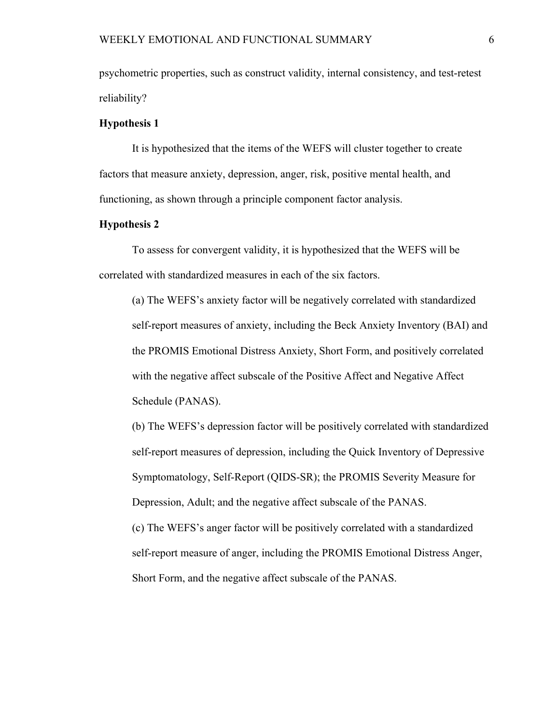psychometric properties, such as construct validity, internal consistency, and test-retest reliability?

#### **Hypothesis 1**

It is hypothesized that the items of the WEFS will cluster together to create factors that measure anxiety, depression, anger, risk, positive mental health, and functioning, as shown through a principle component factor analysis.

#### **Hypothesis 2**

To assess for convergent validity, it is hypothesized that the WEFS will be correlated with standardized measures in each of the six factors.

(a) The WEFS's anxiety factor will be negatively correlated with standardized self-report measures of anxiety, including the Beck Anxiety Inventory (BAI) and the PROMIS Emotional Distress Anxiety, Short Form, and positively correlated with the negative affect subscale of the Positive Affect and Negative Affect Schedule (PANAS).

(b) The WEFS's depression factor will be positively correlated with standardized self-report measures of depression, including the Quick Inventory of Depressive Symptomatology, Self-Report (QIDS-SR); the PROMIS Severity Measure for Depression, Adult; and the negative affect subscale of the PANAS.

(c) The WEFS's anger factor will be positively correlated with a standardized self-report measure of anger, including the PROMIS Emotional Distress Anger, Short Form, and the negative affect subscale of the PANAS.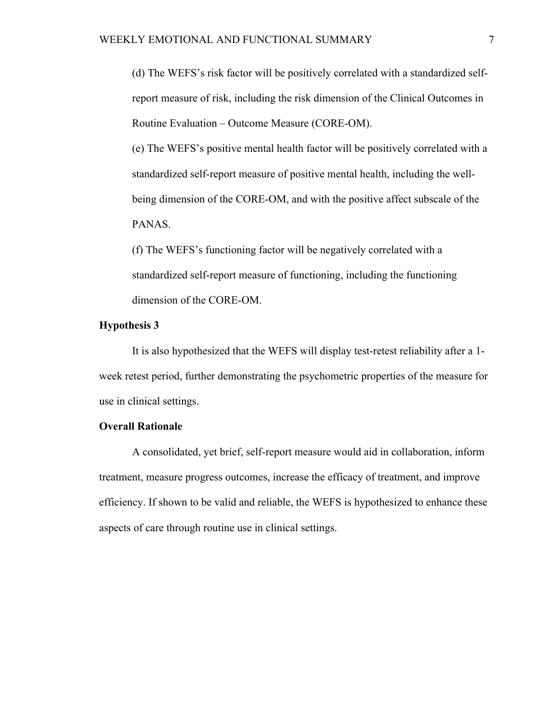(d) The WEFS's risk factor will be positively correlated with a standardized selfreport measure of risk, including the risk dimension of the Clinical Outcomes in Routine Evaluation – Outcome Measure (CORE-OM).

(e) The WEFS's positive mental health factor will be positively correlated with a standardized self-report measure of positive mental health, including the wellbeing dimension of the CORE-OM, and with the positive affect subscale of the PANAS.

(f) The WEFS's functioning factor will be negatively correlated with a standardized self-report measure of functioning, including the functioning dimension of the CORE-OM.

#### **Hypothesis 3**

It is also hypothesized that the WEFS will display test-retest reliability after a 1 week retest period, further demonstrating the psychometric properties of the measure for use in clinical settings.

#### **Overall Rationale**

A consolidated, yet brief, self-report measure would aid in collaboration, inform treatment, measure progress outcomes, increase the efficacy of treatment, and improve efficiency. If shown to be valid and reliable, the WEFS is hypothesized to enhance these aspects of care through routine use in clinical settings.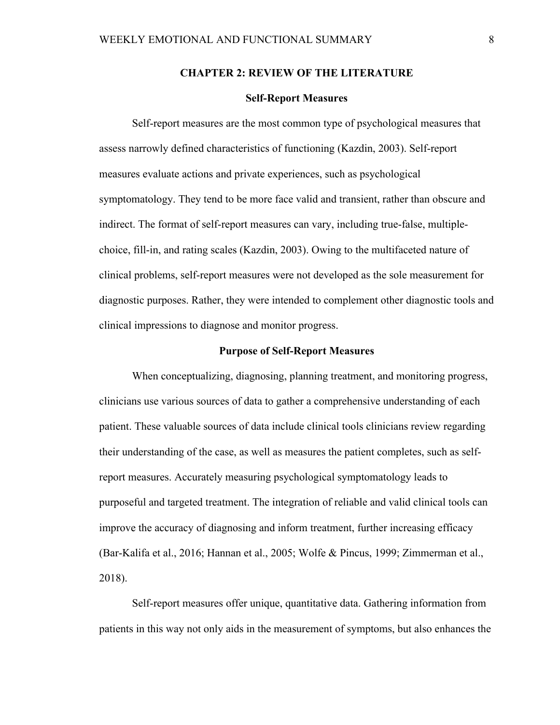#### **CHAPTER 2: REVIEW OF THE LITERATURE**

#### **Self-Report Measures**

Self-report measures are the most common type of psychological measures that assess narrowly defined characteristics of functioning (Kazdin, 2003). Self-report measures evaluate actions and private experiences, such as psychological symptomatology. They tend to be more face valid and transient, rather than obscure and indirect. The format of self-report measures can vary, including true-false, multiplechoice, fill-in, and rating scales (Kazdin, 2003). Owing to the multifaceted nature of clinical problems, self-report measures were not developed as the sole measurement for diagnostic purposes. Rather, they were intended to complement other diagnostic tools and clinical impressions to diagnose and monitor progress.

#### **Purpose of Self-Report Measures**

When conceptualizing, diagnosing, planning treatment, and monitoring progress, clinicians use various sources of data to gather a comprehensive understanding of each patient. These valuable sources of data include clinical tools clinicians review regarding their understanding of the case, as well as measures the patient completes, such as selfreport measures. Accurately measuring psychological symptomatology leads to purposeful and targeted treatment. The integration of reliable and valid clinical tools can improve the accuracy of diagnosing and inform treatment, further increasing efficacy (Bar-Kalifa et al., 2016; Hannan et al., 2005; Wolfe & Pincus, 1999; Zimmerman et al., 2018).

Self-report measures offer unique, quantitative data. Gathering information from patients in this way not only aids in the measurement of symptoms, but also enhances the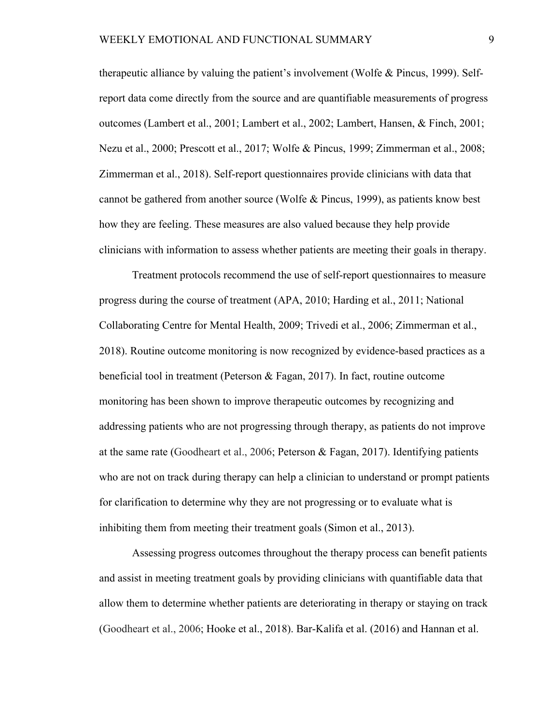therapeutic alliance by valuing the patient's involvement (Wolfe & Pincus, 1999). Selfreport data come directly from the source and are quantifiable measurements of progress outcomes (Lambert et al., 2001; Lambert et al., 2002; Lambert, Hansen, & Finch, 2001; Nezu et al., 2000; Prescott et al., 2017; Wolfe & Pincus, 1999; Zimmerman et al., 2008; Zimmerman et al., 2018). Self-report questionnaires provide clinicians with data that cannot be gathered from another source (Wolfe & Pincus, 1999), as patients know best how they are feeling. These measures are also valued because they help provide clinicians with information to assess whether patients are meeting their goals in therapy.

Treatment protocols recommend the use of self-report questionnaires to measure progress during the course of treatment (APA, 2010; Harding et al., 2011; National Collaborating Centre for Mental Health, 2009; Trivedi et al., 2006; Zimmerman et al., 2018). Routine outcome monitoring is now recognized by evidence-based practices as a beneficial tool in treatment (Peterson & Fagan, 2017). In fact, routine outcome monitoring has been shown to improve therapeutic outcomes by recognizing and addressing patients who are not progressing through therapy, as patients do not improve at the same rate (Goodheart et al., 2006; Peterson & Fagan, 2017). Identifying patients who are not on track during therapy can help a clinician to understand or prompt patients for clarification to determine why they are not progressing or to evaluate what is inhibiting them from meeting their treatment goals (Simon et al., 2013).

Assessing progress outcomes throughout the therapy process can benefit patients and assist in meeting treatment goals by providing clinicians with quantifiable data that allow them to determine whether patients are deteriorating in therapy or staying on track (Goodheart et al., 2006; Hooke et al., 2018). Bar-Kalifa et al. (2016) and Hannan et al.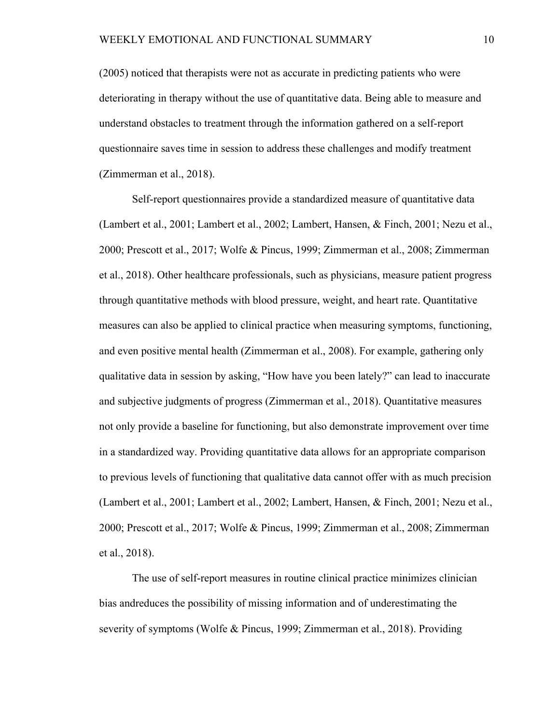(2005) noticed that therapists were not as accurate in predicting patients who were deteriorating in therapy without the use of quantitative data. Being able to measure and understand obstacles to treatment through the information gathered on a self-report questionnaire saves time in session to address these challenges and modify treatment (Zimmerman et al., 2018).

Self-report questionnaires provide a standardized measure of quantitative data (Lambert et al., 2001; Lambert et al., 2002; Lambert, Hansen, & Finch, 2001; Nezu et al., 2000; Prescott et al., 2017; Wolfe & Pincus, 1999; Zimmerman et al., 2008; Zimmerman et al., 2018). Other healthcare professionals, such as physicians, measure patient progress through quantitative methods with blood pressure, weight, and heart rate. Quantitative measures can also be applied to clinical practice when measuring symptoms, functioning, and even positive mental health (Zimmerman et al., 2008). For example, gathering only qualitative data in session by asking, "How have you been lately?" can lead to inaccurate and subjective judgments of progress (Zimmerman et al., 2018). Quantitative measures not only provide a baseline for functioning, but also demonstrate improvement over time in a standardized way. Providing quantitative data allows for an appropriate comparison to previous levels of functioning that qualitative data cannot offer with as much precision (Lambert et al., 2001; Lambert et al., 2002; Lambert, Hansen, & Finch, 2001; Nezu et al., 2000; Prescott et al., 2017; Wolfe & Pincus, 1999; Zimmerman et al., 2008; Zimmerman et al., 2018).

 The use of self-report measures in routine clinical practice minimizes clinician bias andreduces the possibility of missing information and of underestimating the severity of symptoms (Wolfe & Pincus, 1999; Zimmerman et al., 2018). Providing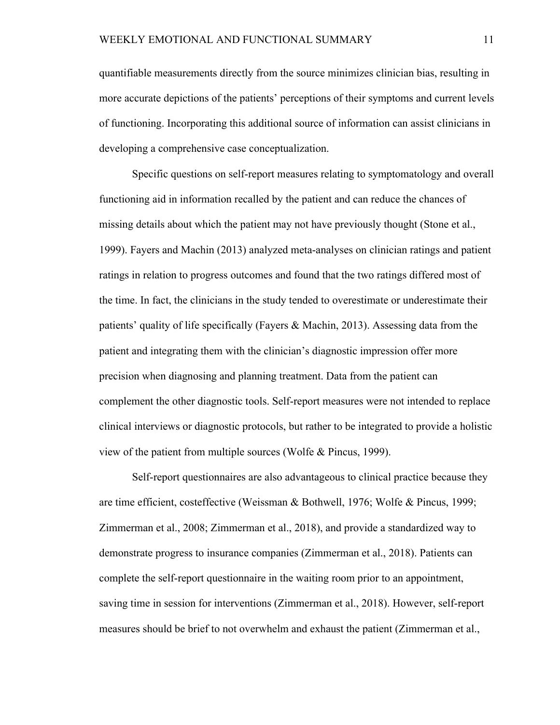quantifiable measurements directly from the source minimizes clinician bias, resulting in more accurate depictions of the patients' perceptions of their symptoms and current levels of functioning. Incorporating this additional source of information can assist clinicians in developing a comprehensive case conceptualization.

Specific questions on self-report measures relating to symptomatology and overall functioning aid in information recalled by the patient and can reduce the chances of missing details about which the patient may not have previously thought (Stone et al., 1999). Fayers and Machin (2013) analyzed meta-analyses on clinician ratings and patient ratings in relation to progress outcomes and found that the two ratings differed most of the time. In fact, the clinicians in the study tended to overestimate or underestimate their patients' quality of life specifically (Fayers & Machin, 2013). Assessing data from the patient and integrating them with the clinician's diagnostic impression offer more precision when diagnosing and planning treatment. Data from the patient can complement the other diagnostic tools. Self-report measures were not intended to replace clinical interviews or diagnostic protocols, but rather to be integrated to provide a holistic view of the patient from multiple sources (Wolfe & Pincus, 1999).

Self-report questionnaires are also advantageous to clinical practice because they are time efficient, costeffective (Weissman & Bothwell, 1976; Wolfe & Pincus, 1999; Zimmerman et al., 2008; Zimmerman et al., 2018), and provide a standardized way to demonstrate progress to insurance companies (Zimmerman et al., 2018). Patients can complete the self-report questionnaire in the waiting room prior to an appointment, saving time in session for interventions (Zimmerman et al., 2018). However, self-report measures should be brief to not overwhelm and exhaust the patient (Zimmerman et al.,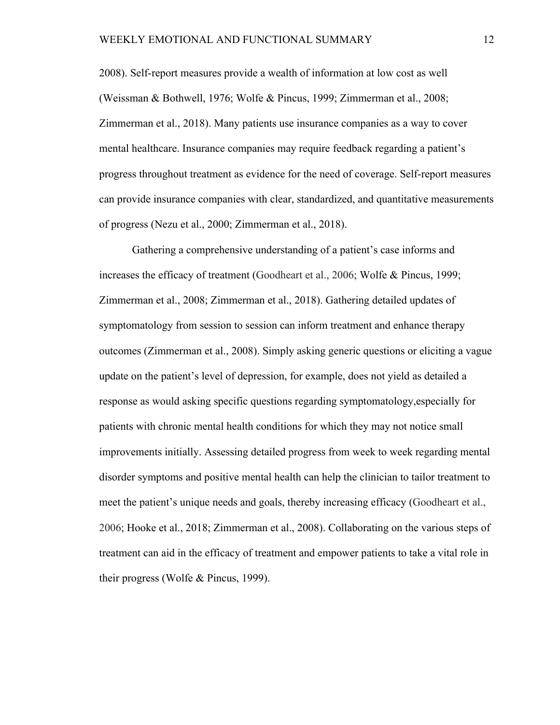2008). Self-report measures provide a wealth of information at low cost as well (Weissman & Bothwell, 1976; Wolfe & Pincus, 1999; Zimmerman et al., 2008; Zimmerman et al., 2018). Many patients use insurance companies as a way to cover mental healthcare. Insurance companies may require feedback regarding a patient's progress throughout treatment as evidence for the need of coverage. Self-report measures can provide insurance companies with clear, standardized, and quantitative measurements of progress (Nezu et al., 2000; Zimmerman et al., 2018).

 Gathering a comprehensive understanding of a patient's case informs and increases the efficacy of treatment (Goodheart et al., 2006; Wolfe & Pincus, 1999; Zimmerman et al., 2008; Zimmerman et al., 2018). Gathering detailed updates of symptomatology from session to session can inform treatment and enhance therapy outcomes (Zimmerman et al., 2008). Simply asking generic questions or eliciting a vague update on the patient's level of depression, for example, does not yield as detailed a response as would asking specific questions regarding symptomatology,especially for patients with chronic mental health conditions for which they may not notice small improvements initially. Assessing detailed progress from week to week regarding mental disorder symptoms and positive mental health can help the clinician to tailor treatment to meet the patient's unique needs and goals, thereby increasing efficacy (Goodheart et al., 2006; Hooke et al., 2018; Zimmerman et al., 2008). Collaborating on the various steps of treatment can aid in the efficacy of treatment and empower patients to take a vital role in their progress (Wolfe & Pincus, 1999).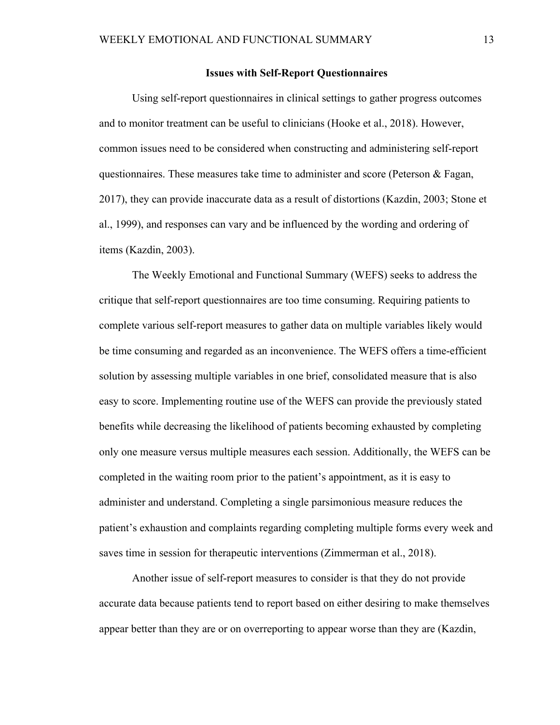#### **Issues with Self-Report Questionnaires**

 Using self-report questionnaires in clinical settings to gather progress outcomes and to monitor treatment can be useful to clinicians (Hooke et al., 2018). However, common issues need to be considered when constructing and administering self-report questionnaires. These measures take time to administer and score (Peterson & Fagan, 2017), they can provide inaccurate data as a result of distortions (Kazdin, 2003; Stone et al., 1999), and responses can vary and be influenced by the wording and ordering of items (Kazdin, 2003).

 The Weekly Emotional and Functional Summary (WEFS) seeks to address the critique that self-report questionnaires are too time consuming. Requiring patients to complete various self-report measures to gather data on multiple variables likely would be time consuming and regarded as an inconvenience. The WEFS offers a time-efficient solution by assessing multiple variables in one brief, consolidated measure that is also easy to score. Implementing routine use of the WEFS can provide the previously stated benefits while decreasing the likelihood of patients becoming exhausted by completing only one measure versus multiple measures each session. Additionally, the WEFS can be completed in the waiting room prior to the patient's appointment, as it is easy to administer and understand. Completing a single parsimonious measure reduces the patient's exhaustion and complaints regarding completing multiple forms every week and saves time in session for therapeutic interventions (Zimmerman et al., 2018).

 Another issue of self-report measures to consider is that they do not provide accurate data because patients tend to report based on either desiring to make themselves appear better than they are or on overreporting to appear worse than they are (Kazdin,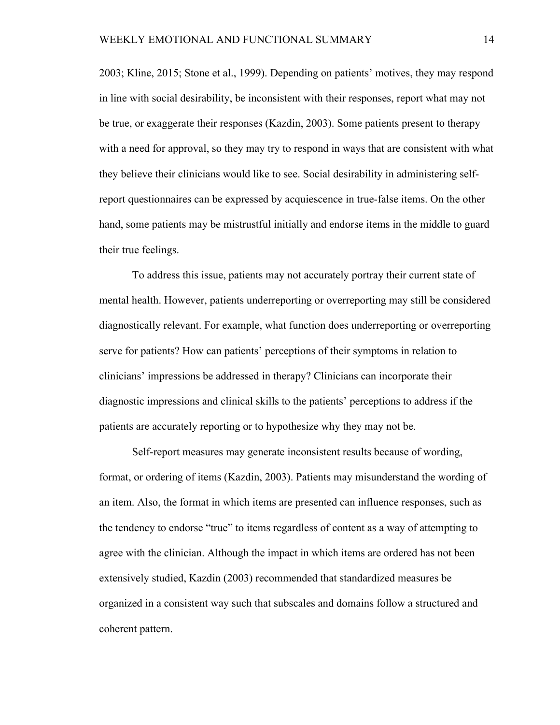2003; Kline, 2015; Stone et al., 1999). Depending on patients' motives, they may respond in line with social desirability, be inconsistent with their responses, report what may not be true, or exaggerate their responses (Kazdin, 2003). Some patients present to therapy with a need for approval, so they may try to respond in ways that are consistent with what they believe their clinicians would like to see. Social desirability in administering selfreport questionnaires can be expressed by acquiescence in true-false items. On the other hand, some patients may be mistrustful initially and endorse items in the middle to guard their true feelings.

To address this issue, patients may not accurately portray their current state of mental health. However, patients underreporting or overreporting may still be considered diagnostically relevant. For example, what function does underreporting or overreporting serve for patients? How can patients' perceptions of their symptoms in relation to clinicians' impressions be addressed in therapy? Clinicians can incorporate their diagnostic impressions and clinical skills to the patients' perceptions to address if the patients are accurately reporting or to hypothesize why they may not be.

Self-report measures may generate inconsistent results because of wording, format, or ordering of items (Kazdin, 2003). Patients may misunderstand the wording of an item. Also, the format in which items are presented can influence responses, such as the tendency to endorse "true" to items regardless of content as a way of attempting to agree with the clinician. Although the impact in which items are ordered has not been extensively studied, Kazdin (2003) recommended that standardized measures be organized in a consistent way such that subscales and domains follow a structured and coherent pattern.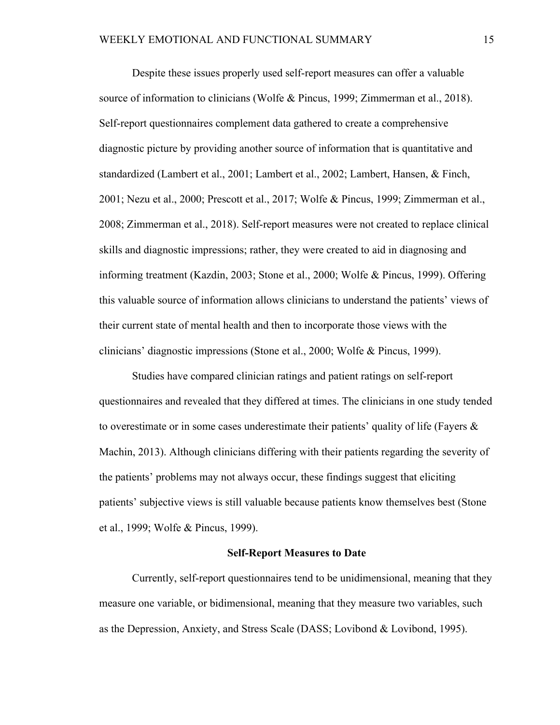Despite these issues properly used self-report measures can offer a valuable source of information to clinicians (Wolfe & Pincus, 1999; Zimmerman et al., 2018). Self-report questionnaires complement data gathered to create a comprehensive diagnostic picture by providing another source of information that is quantitative and standardized (Lambert et al., 2001; Lambert et al., 2002; Lambert, Hansen, & Finch, 2001; Nezu et al., 2000; Prescott et al., 2017; Wolfe & Pincus, 1999; Zimmerman et al., 2008; Zimmerman et al., 2018). Self-report measures were not created to replace clinical skills and diagnostic impressions; rather, they were created to aid in diagnosing and informing treatment (Kazdin, 2003; Stone et al., 2000; Wolfe & Pincus, 1999). Offering this valuable source of information allows clinicians to understand the patients' views of their current state of mental health and then to incorporate those views with the clinicians' diagnostic impressions (Stone et al., 2000; Wolfe & Pincus, 1999).

Studies have compared clinician ratings and patient ratings on self-report questionnaires and revealed that they differed at times. The clinicians in one study tended to overestimate or in some cases underestimate their patients' quality of life (Fayers  $\&$ Machin, 2013). Although clinicians differing with their patients regarding the severity of the patients' problems may not always occur, these findings suggest that eliciting patients' subjective views is still valuable because patients know themselves best (Stone et al., 1999; Wolfe & Pincus, 1999).

#### **Self-Report Measures to Date**

 Currently, self-report questionnaires tend to be unidimensional, meaning that they measure one variable, or bidimensional, meaning that they measure two variables, such as the Depression, Anxiety, and Stress Scale (DASS; Lovibond & Lovibond, 1995).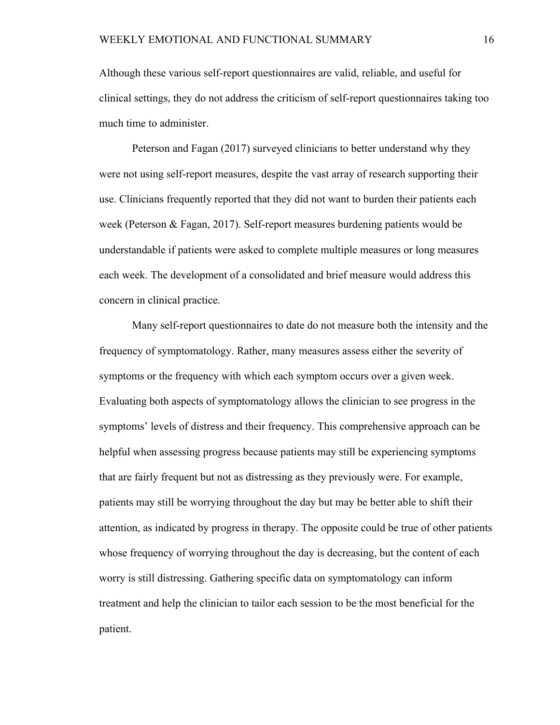Although these various self-report questionnaires are valid, reliable, and useful for clinical settings, they do not address the criticism of self-report questionnaires taking too much time to administer.

Peterson and Fagan (2017) surveyed clinicians to better understand why they were not using self-report measures, despite the vast array of research supporting their use. Clinicians frequently reported that they did not want to burden their patients each week (Peterson & Fagan, 2017). Self-report measures burdening patients would be understandable if patients were asked to complete multiple measures or long measures each week. The development of a consolidated and brief measure would address this concern in clinical practice.

Many self-report questionnaires to date do not measure both the intensity and the frequency of symptomatology. Rather, many measures assess either the severity of symptoms or the frequency with which each symptom occurs over a given week. Evaluating both aspects of symptomatology allows the clinician to see progress in the symptoms' levels of distress and their frequency. This comprehensive approach can be helpful when assessing progress because patients may still be experiencing symptoms that are fairly frequent but not as distressing as they previously were. For example, patients may still be worrying throughout the day but may be better able to shift their attention, as indicated by progress in therapy. The opposite could be true of other patients whose frequency of worrying throughout the day is decreasing, but the content of each worry is still distressing. Gathering specific data on symptomatology can inform treatment and help the clinician to tailor each session to be the most beneficial for the patient.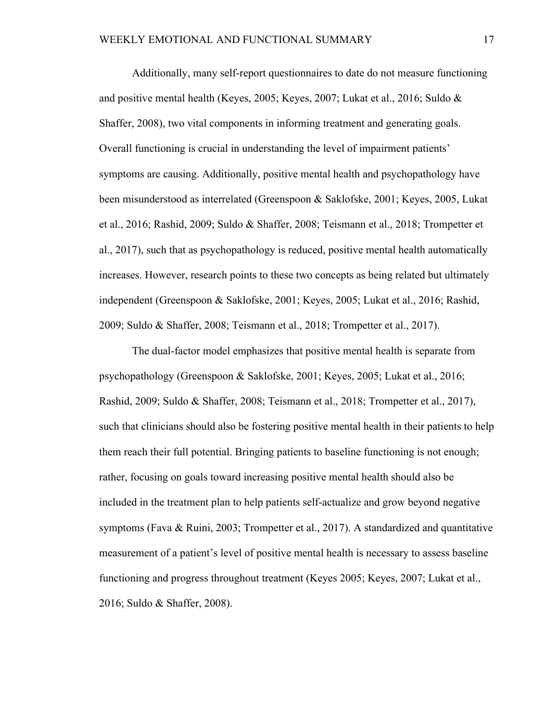Additionally, many self-report questionnaires to date do not measure functioning and positive mental health (Keyes, 2005; Keyes, 2007; Lukat et al., 2016; Suldo & Shaffer, 2008), two vital components in informing treatment and generating goals. Overall functioning is crucial in understanding the level of impairment patients' symptoms are causing. Additionally, positive mental health and psychopathology have been misunderstood as interrelated (Greenspoon & Saklofske, 2001; Keyes, 2005, Lukat et al., 2016; Rashid, 2009; Suldo & Shaffer, 2008; Teismann et al., 2018; Trompetter et al., 2017), such that as psychopathology is reduced, positive mental health automatically increases. However, research points to these two concepts as being related but ultimately independent (Greenspoon & Saklofske, 2001; Keyes, 2005; Lukat et al., 2016; Rashid, 2009; Suldo & Shaffer, 2008; Teismann et al., 2018; Trompetter et al., 2017).

The dual-factor model emphasizes that positive mental health is separate from psychopathology (Greenspoon & Saklofske, 2001; Keyes, 2005; Lukat et al., 2016; Rashid, 2009; Suldo & Shaffer, 2008; Teismann et al., 2018; Trompetter et al., 2017), such that clinicians should also be fostering positive mental health in their patients to help them reach their full potential. Bringing patients to baseline functioning is not enough; rather, focusing on goals toward increasing positive mental health should also be included in the treatment plan to help patients self-actualize and grow beyond negative symptoms (Fava & Ruini, 2003; Trompetter et al., 2017). A standardized and quantitative measurement of a patient's level of positive mental health is necessary to assess baseline functioning and progress throughout treatment (Keyes 2005; Keyes, 2007; Lukat et al., 2016; Suldo & Shaffer, 2008).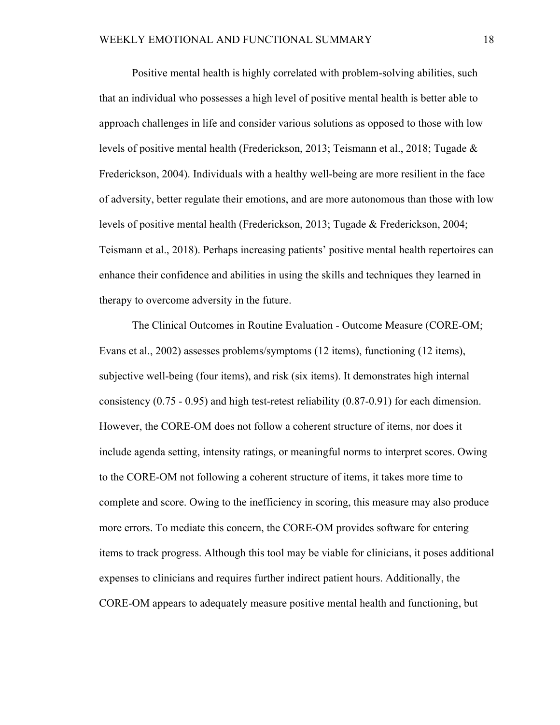Positive mental health is highly correlated with problem-solving abilities, such that an individual who possesses a high level of positive mental health is better able to approach challenges in life and consider various solutions as opposed to those with low levels of positive mental health (Frederickson, 2013; Teismann et al., 2018; Tugade & Frederickson, 2004). Individuals with a healthy well-being are more resilient in the face of adversity, better regulate their emotions, and are more autonomous than those with low levels of positive mental health (Frederickson, 2013; Tugade & Frederickson, 2004; Teismann et al., 2018). Perhaps increasing patients' positive mental health repertoires can enhance their confidence and abilities in using the skills and techniques they learned in therapy to overcome adversity in the future.

The Clinical Outcomes in Routine Evaluation - Outcome Measure (CORE-OM; Evans et al., 2002) assesses problems/symptoms (12 items), functioning (12 items), subjective well-being (four items), and risk (six items). It demonstrates high internal consistency (0.75 - 0.95) and high test-retest reliability (0.87-0.91) for each dimension. However, the CORE-OM does not follow a coherent structure of items, nor does it include agenda setting, intensity ratings, or meaningful norms to interpret scores. Owing to the CORE-OM not following a coherent structure of items, it takes more time to complete and score. Owing to the inefficiency in scoring, this measure may also produce more errors. To mediate this concern, the CORE-OM provides software for entering items to track progress. Although this tool may be viable for clinicians, it poses additional expenses to clinicians and requires further indirect patient hours. Additionally, the CORE-OM appears to adequately measure positive mental health and functioning, but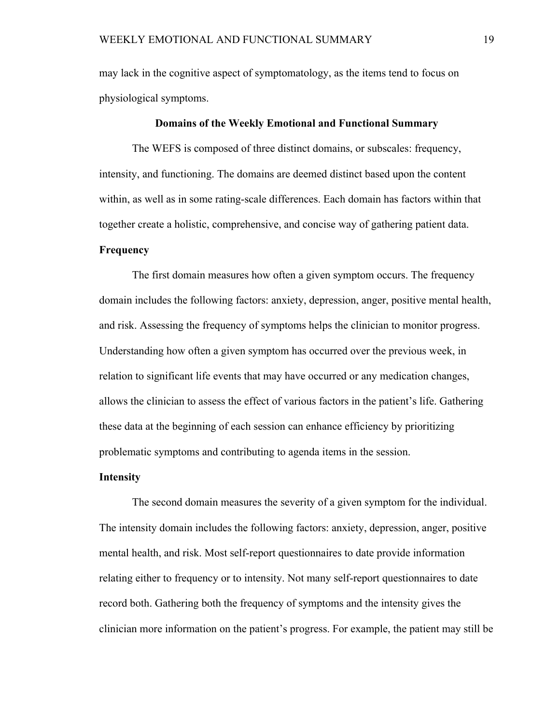may lack in the cognitive aspect of symptomatology, as the items tend to focus on physiological symptoms.

#### **Domains of the Weekly Emotional and Functional Summary**

The WEFS is composed of three distinct domains, or subscales: frequency, intensity, and functioning. The domains are deemed distinct based upon the content within, as well as in some rating-scale differences. Each domain has factors within that together create a holistic, comprehensive, and concise way of gathering patient data.

#### **Frequency**

The first domain measures how often a given symptom occurs. The frequency domain includes the following factors: anxiety, depression, anger, positive mental health, and risk. Assessing the frequency of symptoms helps the clinician to monitor progress. Understanding how often a given symptom has occurred over the previous week, in relation to significant life events that may have occurred or any medication changes, allows the clinician to assess the effect of various factors in the patient's life. Gathering these data at the beginning of each session can enhance efficiency by prioritizing problematic symptoms and contributing to agenda items in the session.

#### **Intensity**

The second domain measures the severity of a given symptom for the individual. The intensity domain includes the following factors: anxiety, depression, anger, positive mental health, and risk. Most self-report questionnaires to date provide information relating either to frequency or to intensity. Not many self-report questionnaires to date record both. Gathering both the frequency of symptoms and the intensity gives the clinician more information on the patient's progress. For example, the patient may still be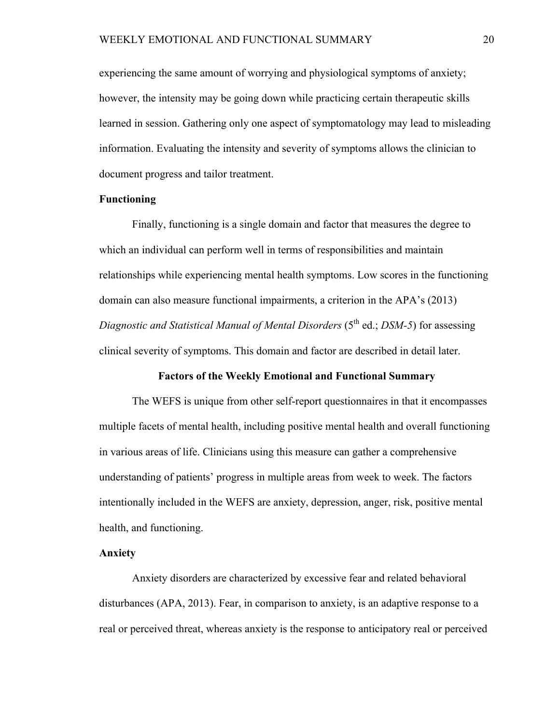experiencing the same amount of worrying and physiological symptoms of anxiety; however, the intensity may be going down while practicing certain therapeutic skills learned in session. Gathering only one aspect of symptomatology may lead to misleading information. Evaluating the intensity and severity of symptoms allows the clinician to document progress and tailor treatment.

#### **Functioning**

Finally, functioning is a single domain and factor that measures the degree to which an individual can perform well in terms of responsibilities and maintain relationships while experiencing mental health symptoms. Low scores in the functioning domain can also measure functional impairments, a criterion in the APA's (2013) *Diagnostic and Statistical Manual of Mental Disorders* (5<sup>th</sup> ed.; *DSM-5*) for assessing clinical severity of symptoms. This domain and factor are described in detail later.

#### **Factors of the Weekly Emotional and Functional Summary**

 The WEFS is unique from other self-report questionnaires in that it encompasses multiple facets of mental health, including positive mental health and overall functioning in various areas of life. Clinicians using this measure can gather a comprehensive understanding of patients' progress in multiple areas from week to week. The factors intentionally included in the WEFS are anxiety, depression, anger, risk, positive mental health, and functioning.

#### **Anxiety**

 Anxiety disorders are characterized by excessive fear and related behavioral disturbances (APA, 2013). Fear, in comparison to anxiety, is an adaptive response to a real or perceived threat, whereas anxiety is the response to anticipatory real or perceived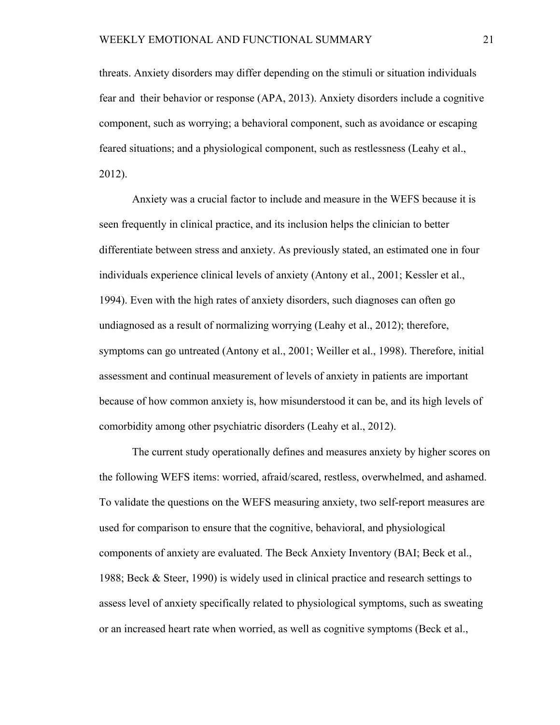threats. Anxiety disorders may differ depending on the stimuli or situation individuals fear and their behavior or response (APA, 2013). Anxiety disorders include a cognitive component, such as worrying; a behavioral component, such as avoidance or escaping feared situations; and a physiological component, such as restlessness (Leahy et al., 2012).

Anxiety was a crucial factor to include and measure in the WEFS because it is seen frequently in clinical practice, and its inclusion helps the clinician to better differentiate between stress and anxiety. As previously stated, an estimated one in four individuals experience clinical levels of anxiety (Antony et al., 2001; Kessler et al., 1994). Even with the high rates of anxiety disorders, such diagnoses can often go undiagnosed as a result of normalizing worrying (Leahy et al., 2012); therefore, symptoms can go untreated (Antony et al., 2001; Weiller et al., 1998). Therefore, initial assessment and continual measurement of levels of anxiety in patients are important because of how common anxiety is, how misunderstood it can be, and its high levels of comorbidity among other psychiatric disorders (Leahy et al., 2012).

 The current study operationally defines and measures anxiety by higher scores on the following WEFS items: worried, afraid/scared, restless, overwhelmed, and ashamed. To validate the questions on the WEFS measuring anxiety, two self-report measures are used for comparison to ensure that the cognitive, behavioral, and physiological components of anxiety are evaluated. The Beck Anxiety Inventory (BAI; Beck et al., 1988; Beck & Steer, 1990) is widely used in clinical practice and research settings to assess level of anxiety specifically related to physiological symptoms, such as sweating or an increased heart rate when worried, as well as cognitive symptoms (Beck et al.,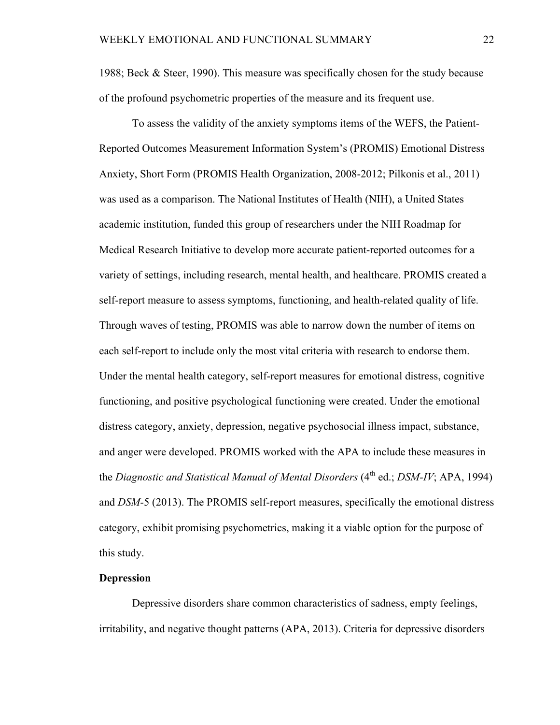1988; Beck & Steer, 1990). This measure was specifically chosen for the study because of the profound psychometric properties of the measure and its frequent use.

To assess the validity of the anxiety symptoms items of the WEFS, the Patient-Reported Outcomes Measurement Information System's (PROMIS) Emotional Distress Anxiety, Short Form (PROMIS Health Organization, 2008-2012; Pilkonis et al., 2011) was used as a comparison. The National Institutes of Health (NIH), a United States academic institution, funded this group of researchers under the NIH Roadmap for Medical Research Initiative to develop more accurate patient-reported outcomes for a variety of settings, including research, mental health, and healthcare. PROMIS created a self-report measure to assess symptoms, functioning, and health-related quality of life. Through waves of testing, PROMIS was able to narrow down the number of items on each self-report to include only the most vital criteria with research to endorse them. Under the mental health category, self-report measures for emotional distress, cognitive functioning, and positive psychological functioning were created. Under the emotional distress category, anxiety, depression, negative psychosocial illness impact, substance, and anger were developed. PROMIS worked with the APA to include these measures in the *Diagnostic and Statistical Manual of Mental Disorders* (4<sup>th</sup> ed.; *DSM-IV*; APA, 1994) and *DSM-*5 (2013). The PROMIS self-report measures, specifically the emotional distress category, exhibit promising psychometrics, making it a viable option for the purpose of this study.

#### **Depression**

 Depressive disorders share common characteristics of sadness, empty feelings, irritability, and negative thought patterns (APA, 2013). Criteria for depressive disorders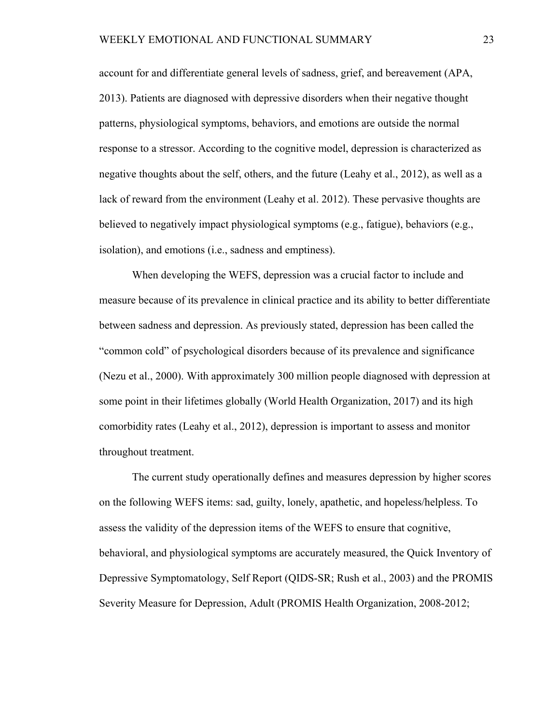account for and differentiate general levels of sadness, grief, and bereavement (APA, 2013). Patients are diagnosed with depressive disorders when their negative thought patterns, physiological symptoms, behaviors, and emotions are outside the normal response to a stressor. According to the cognitive model, depression is characterized as negative thoughts about the self, others, and the future (Leahy et al., 2012), as well as a lack of reward from the environment (Leahy et al. 2012). These pervasive thoughts are believed to negatively impact physiological symptoms (e.g., fatigue), behaviors (e.g., isolation), and emotions (i.e., sadness and emptiness).

 When developing the WEFS, depression was a crucial factor to include and measure because of its prevalence in clinical practice and its ability to better differentiate between sadness and depression. As previously stated, depression has been called the "common cold" of psychological disorders because of its prevalence and significance (Nezu et al., 2000). With approximately 300 million people diagnosed with depression at some point in their lifetimes globally (World Health Organization, 2017) and its high comorbidity rates (Leahy et al., 2012), depression is important to assess and monitor throughout treatment.

 The current study operationally defines and measures depression by higher scores on the following WEFS items: sad, guilty, lonely, apathetic, and hopeless/helpless. To assess the validity of the depression items of the WEFS to ensure that cognitive, behavioral, and physiological symptoms are accurately measured, the Quick Inventory of Depressive Symptomatology, Self Report (QIDS-SR; Rush et al., 2003) and the PROMIS Severity Measure for Depression, Adult (PROMIS Health Organization, 2008-2012;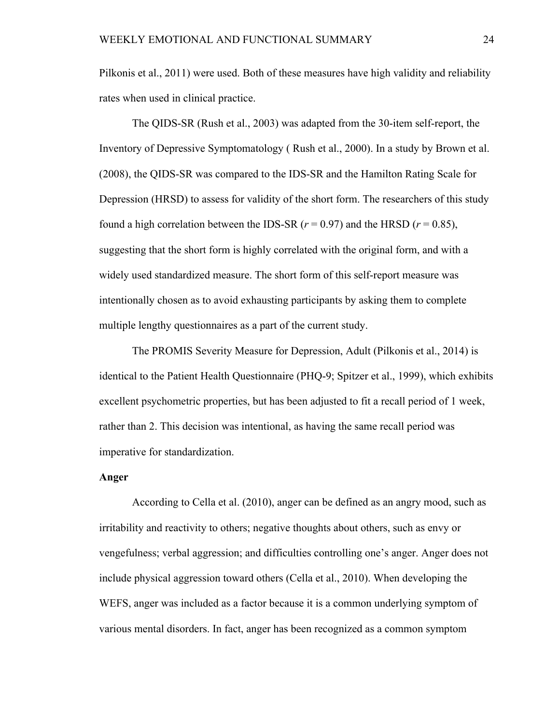Pilkonis et al., 2011) were used. Both of these measures have high validity and reliability rates when used in clinical practice.

The QIDS-SR (Rush et al., 2003) was adapted from the 30-item self-report, the Inventory of Depressive Symptomatology ( Rush et al., 2000). In a study by Brown et al. (2008), the QIDS-SR was compared to the IDS-SR and the Hamilton Rating Scale for Depression (HRSD) to assess for validity of the short form. The researchers of this study found a high correlation between the IDS-SR  $(r = 0.97)$  and the HRSD  $(r = 0.85)$ , suggesting that the short form is highly correlated with the original form, and with a widely used standardized measure. The short form of this self-report measure was intentionally chosen as to avoid exhausting participants by asking them to complete multiple lengthy questionnaires as a part of the current study.

The PROMIS Severity Measure for Depression, Adult (Pilkonis et al., 2014) is identical to the Patient Health Questionnaire (PHQ-9; Spitzer et al., 1999), which exhibits excellent psychometric properties, but has been adjusted to fit a recall period of 1 week, rather than 2. This decision was intentional, as having the same recall period was imperative for standardization.

#### **Anger**

According to Cella et al. (2010), anger can be defined as an angry mood, such as irritability and reactivity to others; negative thoughts about others, such as envy or vengefulness; verbal aggression; and difficulties controlling one's anger. Anger does not include physical aggression toward others (Cella et al., 2010). When developing the WEFS, anger was included as a factor because it is a common underlying symptom of various mental disorders. In fact, anger has been recognized as a common symptom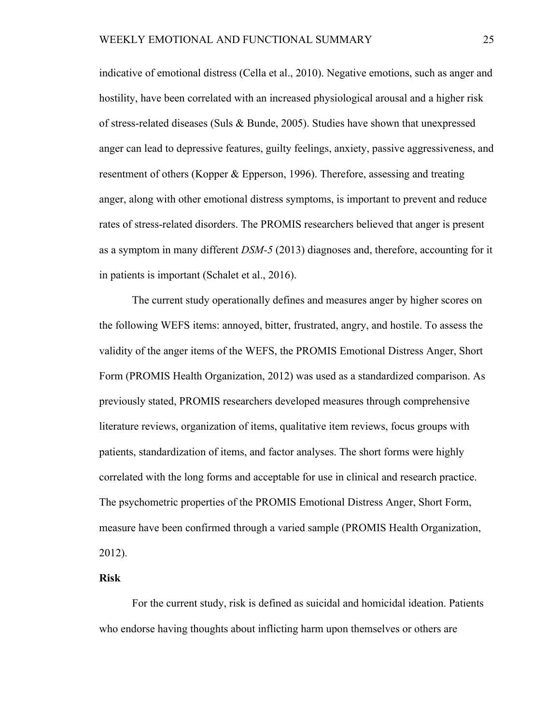indicative of emotional distress (Cella et al., 2010). Negative emotions, such as anger and hostility, have been correlated with an increased physiological arousal and a higher risk of stress-related diseases (Suls & Bunde, 2005). Studies have shown that unexpressed anger can lead to depressive features, guilty feelings, anxiety, passive aggressiveness, and resentment of others (Kopper & Epperson, 1996). Therefore, assessing and treating anger, along with other emotional distress symptoms, is important to prevent and reduce rates of stress-related disorders. The PROMIS researchers believed that anger is present as a symptom in many different *DSM-5* (2013) diagnoses and, therefore, accounting for it in patients is important (Schalet et al., 2016).

The current study operationally defines and measures anger by higher scores on the following WEFS items: annoyed, bitter, frustrated, angry, and hostile. To assess the validity of the anger items of the WEFS, the PROMIS Emotional Distress Anger, Short Form (PROMIS Health Organization, 2012) was used as a standardized comparison. As previously stated, PROMIS researchers developed measures through comprehensive literature reviews, organization of items, qualitative item reviews, focus groups with patients, standardization of items, and factor analyses. The short forms were highly correlated with the long forms and acceptable for use in clinical and research practice. The psychometric properties of the PROMIS Emotional Distress Anger, Short Form, measure have been confirmed through a varied sample (PROMIS Health Organization, 2012).

#### **Risk**

For the current study, risk is defined as suicidal and homicidal ideation. Patients who endorse having thoughts about inflicting harm upon themselves or others are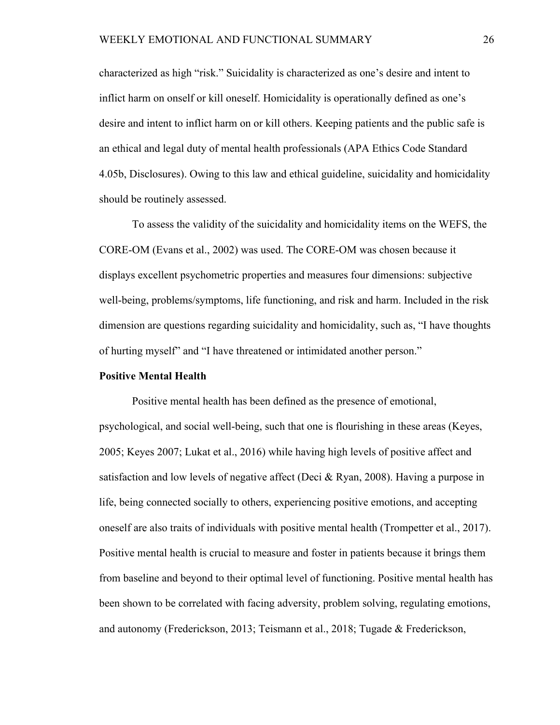characterized as high "risk." Suicidality is characterized as one's desire and intent to inflict harm on onself or kill oneself. Homicidality is operationally defined as one's desire and intent to inflict harm on or kill others. Keeping patients and the public safe is an ethical and legal duty of mental health professionals (APA Ethics Code Standard 4.05b, Disclosures). Owing to this law and ethical guideline, suicidality and homicidality should be routinely assessed.

To assess the validity of the suicidality and homicidality items on the WEFS, the CORE-OM (Evans et al., 2002) was used. The CORE-OM was chosen because it displays excellent psychometric properties and measures four dimensions: subjective well-being, problems/symptoms, life functioning, and risk and harm. Included in the risk dimension are questions regarding suicidality and homicidality, such as, "I have thoughts of hurting myself" and "I have threatened or intimidated another person."

#### **Positive Mental Health**

Positive mental health has been defined as the presence of emotional, psychological, and social well-being, such that one is flourishing in these areas (Keyes, 2005; Keyes 2007; Lukat et al., 2016) while having high levels of positive affect and satisfaction and low levels of negative affect (Deci & Ryan, 2008). Having a purpose in life, being connected socially to others, experiencing positive emotions, and accepting oneself are also traits of individuals with positive mental health (Trompetter et al., 2017). Positive mental health is crucial to measure and foster in patients because it brings them from baseline and beyond to their optimal level of functioning. Positive mental health has been shown to be correlated with facing adversity, problem solving, regulating emotions, and autonomy (Frederickson, 2013; Teismann et al., 2018; Tugade & Frederickson,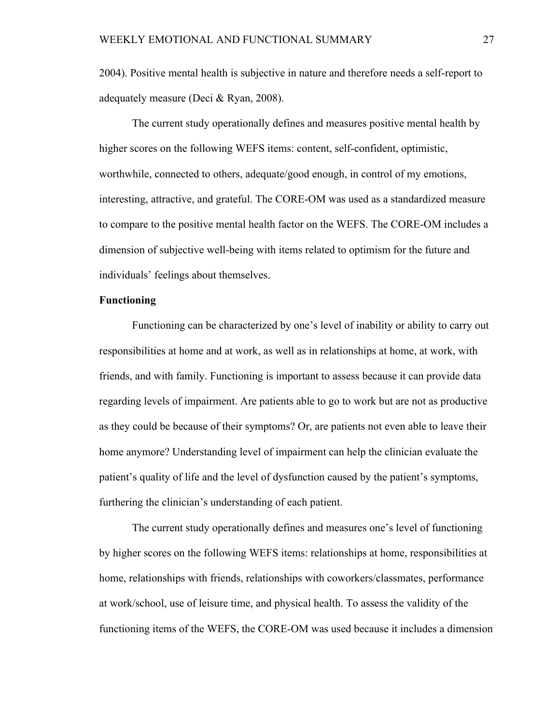2004). Positive mental health is subjective in nature and therefore needs a self-report to adequately measure (Deci & Ryan, 2008).

The current study operationally defines and measures positive mental health by higher scores on the following WEFS items: content, self-confident, optimistic, worthwhile, connected to others, adequate/good enough, in control of my emotions, interesting, attractive, and grateful. The CORE-OM was used as a standardized measure to compare to the positive mental health factor on the WEFS. The CORE-OM includes a dimension of subjective well-being with items related to optimism for the future and individuals' feelings about themselves.

#### **Functioning**

Functioning can be characterized by one's level of inability or ability to carry out responsibilities at home and at work, as well as in relationships at home, at work, with friends, and with family. Functioning is important to assess because it can provide data regarding levels of impairment. Are patients able to go to work but are not as productive as they could be because of their symptoms? Or, are patients not even able to leave their home anymore? Understanding level of impairment can help the clinician evaluate the patient's quality of life and the level of dysfunction caused by the patient's symptoms, furthering the clinician's understanding of each patient.

The current study operationally defines and measures one's level of functioning by higher scores on the following WEFS items: relationships at home, responsibilities at home, relationships with friends, relationships with coworkers/classmates, performance at work/school, use of leisure time, and physical health. To assess the validity of the functioning items of the WEFS, the CORE-OM was used because it includes a dimension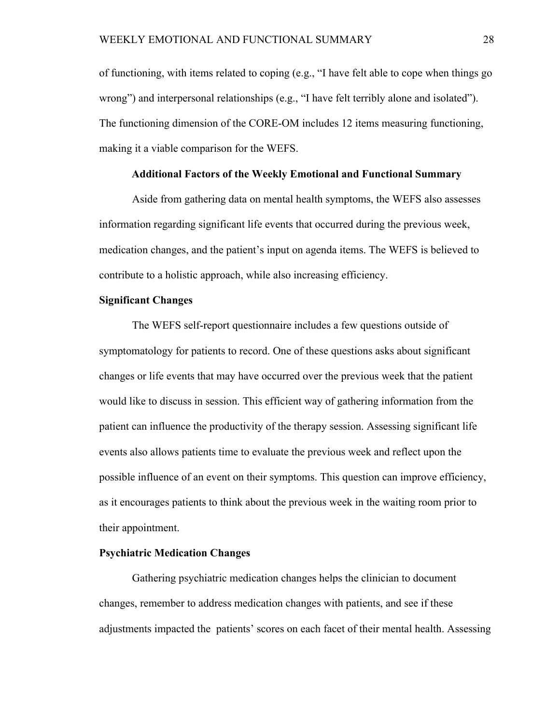of functioning, with items related to coping (e.g., "I have felt able to cope when things go wrong") and interpersonal relationships (e.g., "I have felt terribly alone and isolated"). The functioning dimension of the CORE-OM includes 12 items measuring functioning, making it a viable comparison for the WEFS.

#### **Additional Factors of the Weekly Emotional and Functional Summary**

 Aside from gathering data on mental health symptoms, the WEFS also assesses information regarding significant life events that occurred during the previous week, medication changes, and the patient's input on agenda items. The WEFS is believed to contribute to a holistic approach, while also increasing efficiency.

#### **Significant Changes**

The WEFS self-report questionnaire includes a few questions outside of symptomatology for patients to record. One of these questions asks about significant changes or life events that may have occurred over the previous week that the patient would like to discuss in session. This efficient way of gathering information from the patient can influence the productivity of the therapy session. Assessing significant life events also allows patients time to evaluate the previous week and reflect upon the possible influence of an event on their symptoms. This question can improve efficiency, as it encourages patients to think about the previous week in the waiting room prior to their appointment.

#### **Psychiatric Medication Changes**

 Gathering psychiatric medication changes helps the clinician to document changes, remember to address medication changes with patients, and see if these adjustments impacted the patients' scores on each facet of their mental health. Assessing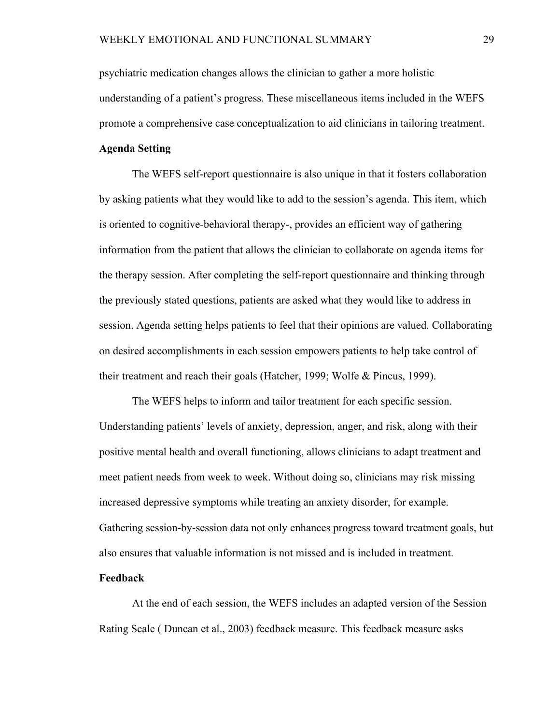psychiatric medication changes allows the clinician to gather a more holistic understanding of a patient's progress. These miscellaneous items included in the WEFS promote a comprehensive case conceptualization to aid clinicians in tailoring treatment.

## **Agenda Setting**

The WEFS self-report questionnaire is also unique in that it fosters collaboration by asking patients what they would like to add to the session's agenda. This item, which is oriented to cognitive-behavioral therapy-, provides an efficient way of gathering information from the patient that allows the clinician to collaborate on agenda items for the therapy session. After completing the self-report questionnaire and thinking through the previously stated questions, patients are asked what they would like to address in session. Agenda setting helps patients to feel that their opinions are valued. Collaborating on desired accomplishments in each session empowers patients to help take control of their treatment and reach their goals (Hatcher, 1999; Wolfe & Pincus, 1999).

The WEFS helps to inform and tailor treatment for each specific session. Understanding patients' levels of anxiety, depression, anger, and risk, along with their positive mental health and overall functioning, allows clinicians to adapt treatment and meet patient needs from week to week. Without doing so, clinicians may risk missing increased depressive symptoms while treating an anxiety disorder, for example. Gathering session-by-session data not only enhances progress toward treatment goals, but also ensures that valuable information is not missed and is included in treatment. **Feedback** 

 At the end of each session, the WEFS includes an adapted version of the Session Rating Scale ( Duncan et al., 2003) feedback measure. This feedback measure asks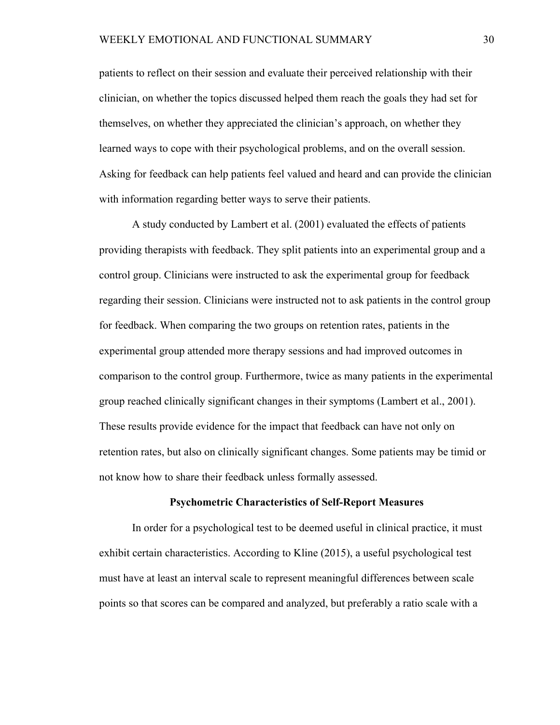patients to reflect on their session and evaluate their perceived relationship with their clinician, on whether the topics discussed helped them reach the goals they had set for themselves, on whether they appreciated the clinician's approach, on whether they learned ways to cope with their psychological problems, and on the overall session. Asking for feedback can help patients feel valued and heard and can provide the clinician with information regarding better ways to serve their patients.

 A study conducted by Lambert et al. (2001) evaluated the effects of patients providing therapists with feedback. They split patients into an experimental group and a control group. Clinicians were instructed to ask the experimental group for feedback regarding their session. Clinicians were instructed not to ask patients in the control group for feedback. When comparing the two groups on retention rates, patients in the experimental group attended more therapy sessions and had improved outcomes in comparison to the control group. Furthermore, twice as many patients in the experimental group reached clinically significant changes in their symptoms (Lambert et al., 2001). These results provide evidence for the impact that feedback can have not only on retention rates, but also on clinically significant changes. Some patients may be timid or not know how to share their feedback unless formally assessed.

### **Psychometric Characteristics of Self-Report Measures**

In order for a psychological test to be deemed useful in clinical practice, it must exhibit certain characteristics. According to Kline (2015), a useful psychological test must have at least an interval scale to represent meaningful differences between scale points so that scores can be compared and analyzed, but preferably a ratio scale with a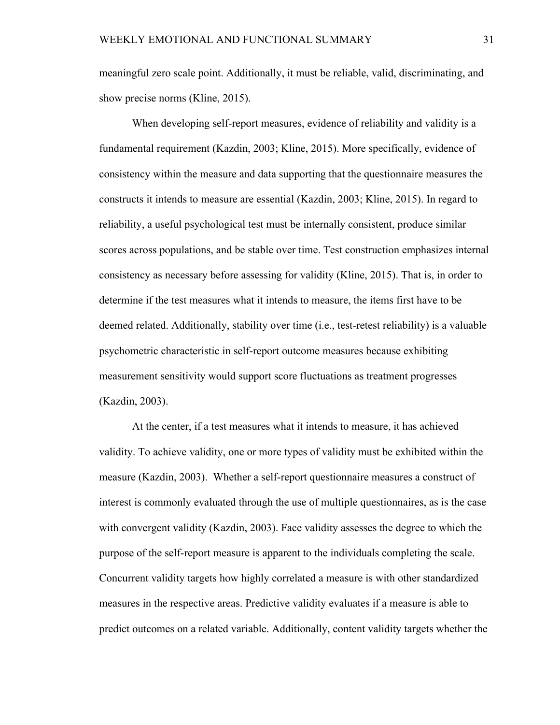meaningful zero scale point. Additionally, it must be reliable, valid, discriminating, and show precise norms (Kline, 2015).

When developing self-report measures, evidence of reliability and validity is a fundamental requirement (Kazdin, 2003; Kline, 2015). More specifically, evidence of consistency within the measure and data supporting that the questionnaire measures the constructs it intends to measure are essential (Kazdin, 2003; Kline, 2015). In regard to reliability, a useful psychological test must be internally consistent, produce similar scores across populations, and be stable over time. Test construction emphasizes internal consistency as necessary before assessing for validity (Kline, 2015). That is, in order to determine if the test measures what it intends to measure, the items first have to be deemed related. Additionally, stability over time (i.e., test-retest reliability) is a valuable psychometric characteristic in self-report outcome measures because exhibiting measurement sensitivity would support score fluctuations as treatment progresses (Kazdin, 2003).

At the center, if a test measures what it intends to measure, it has achieved validity. To achieve validity, one or more types of validity must be exhibited within the measure (Kazdin, 2003). Whether a self-report questionnaire measures a construct of interest is commonly evaluated through the use of multiple questionnaires, as is the case with convergent validity (Kazdin, 2003). Face validity assesses the degree to which the purpose of the self-report measure is apparent to the individuals completing the scale. Concurrent validity targets how highly correlated a measure is with other standardized measures in the respective areas. Predictive validity evaluates if a measure is able to predict outcomes on a related variable. Additionally, content validity targets whether the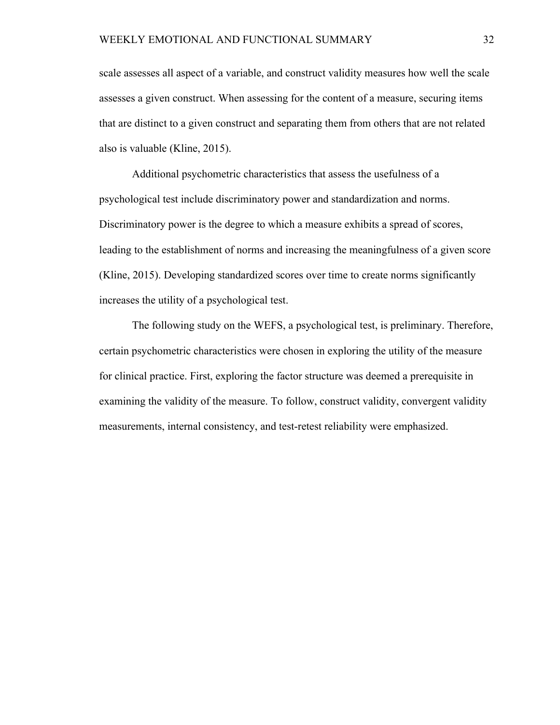scale assesses all aspect of a variable, and construct validity measures how well the scale assesses a given construct. When assessing for the content of a measure, securing items that are distinct to a given construct and separating them from others that are not related also is valuable (Kline, 2015).

Additional psychometric characteristics that assess the usefulness of a psychological test include discriminatory power and standardization and norms. Discriminatory power is the degree to which a measure exhibits a spread of scores, leading to the establishment of norms and increasing the meaningfulness of a given score (Kline, 2015). Developing standardized scores over time to create norms significantly increases the utility of a psychological test.

The following study on the WEFS, a psychological test, is preliminary. Therefore, certain psychometric characteristics were chosen in exploring the utility of the measure for clinical practice. First, exploring the factor structure was deemed a prerequisite in examining the validity of the measure. To follow, construct validity, convergent validity measurements, internal consistency, and test-retest reliability were emphasized.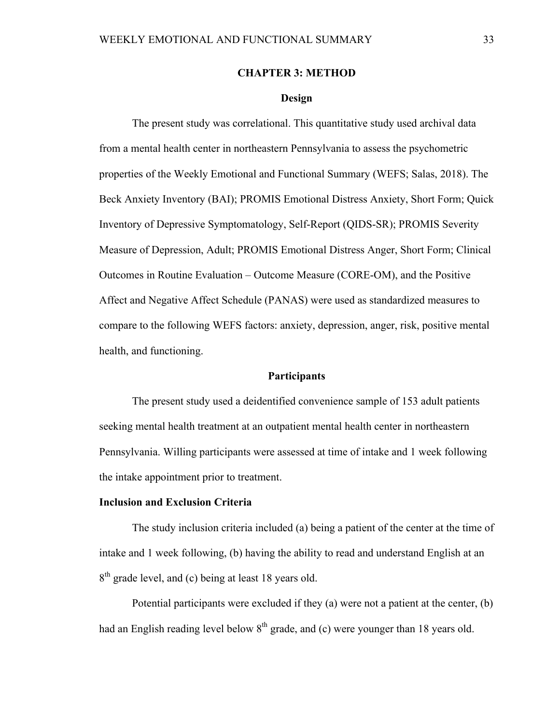## **CHAPTER 3: METHOD**

## **Design**

The present study was correlational. This quantitative study used archival data from a mental health center in northeastern Pennsylvania to assess the psychometric properties of the Weekly Emotional and Functional Summary (WEFS; Salas, 2018). The Beck Anxiety Inventory (BAI); PROMIS Emotional Distress Anxiety, Short Form; Quick Inventory of Depressive Symptomatology, Self-Report (QIDS-SR); PROMIS Severity Measure of Depression, Adult; PROMIS Emotional Distress Anger, Short Form; Clinical Outcomes in Routine Evaluation – Outcome Measure (CORE-OM), and the Positive Affect and Negative Affect Schedule (PANAS) were used as standardized measures to compare to the following WEFS factors: anxiety, depression, anger, risk, positive mental health, and functioning.

### **Participants**

The present study used a deidentified convenience sample of 153 adult patients seeking mental health treatment at an outpatient mental health center in northeastern Pennsylvania. Willing participants were assessed at time of intake and 1 week following the intake appointment prior to treatment.

### **Inclusion and Exclusion Criteria**

The study inclusion criteria included (a) being a patient of the center at the time of intake and 1 week following, (b) having the ability to read and understand English at an  $8<sup>th</sup>$  grade level, and (c) being at least 18 years old.

Potential participants were excluded if they (a) were not a patient at the center, (b) had an English reading level below  $8<sup>th</sup>$  grade, and (c) were younger than 18 years old.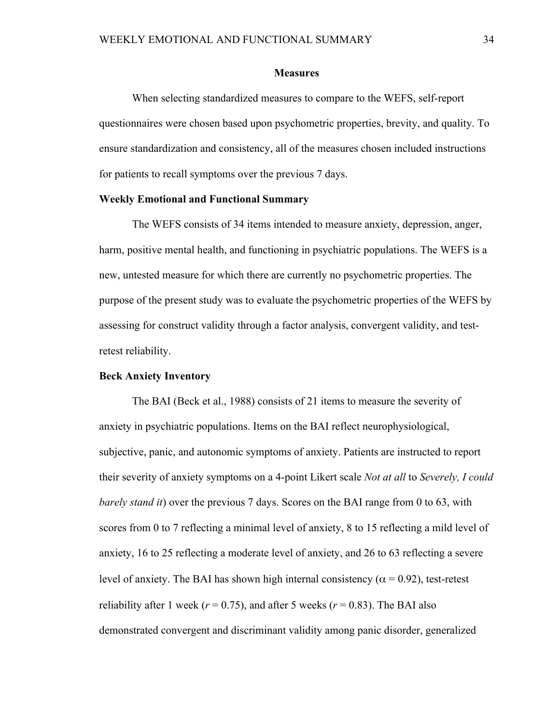#### **Measures**

 When selecting standardized measures to compare to the WEFS, self-report questionnaires were chosen based upon psychometric properties, brevity, and quality. To ensure standardization and consistency, all of the measures chosen included instructions for patients to recall symptoms over the previous 7 days.

## **Weekly Emotional and Functional Summary**

The WEFS consists of 34 items intended to measure anxiety, depression, anger, harm, positive mental health, and functioning in psychiatric populations. The WEFS is a new, untested measure for which there are currently no psychometric properties. The purpose of the present study was to evaluate the psychometric properties of the WEFS by assessing for construct validity through a factor analysis, convergent validity, and testretest reliability.

### **Beck Anxiety Inventory**

The BAI (Beck et al., 1988) consists of 21 items to measure the severity of anxiety in psychiatric populations. Items on the BAI reflect neurophysiological, subjective, panic, and autonomic symptoms of anxiety. Patients are instructed to report their severity of anxiety symptoms on a 4-point Likert scale *Not at all* to *Severely, I could barely stand it*) over the previous 7 days. Scores on the BAI range from 0 to 63, with scores from 0 to 7 reflecting a minimal level of anxiety, 8 to 15 reflecting a mild level of anxiety, 16 to 25 reflecting a moderate level of anxiety, and 26 to 63 reflecting a severe level of anxiety. The BAI has shown high internal consistency ( $\alpha$  = 0.92), test-retest reliability after 1 week ( $r = 0.75$ ), and after 5 weeks ( $r = 0.83$ ). The BAI also demonstrated convergent and discriminant validity among panic disorder, generalized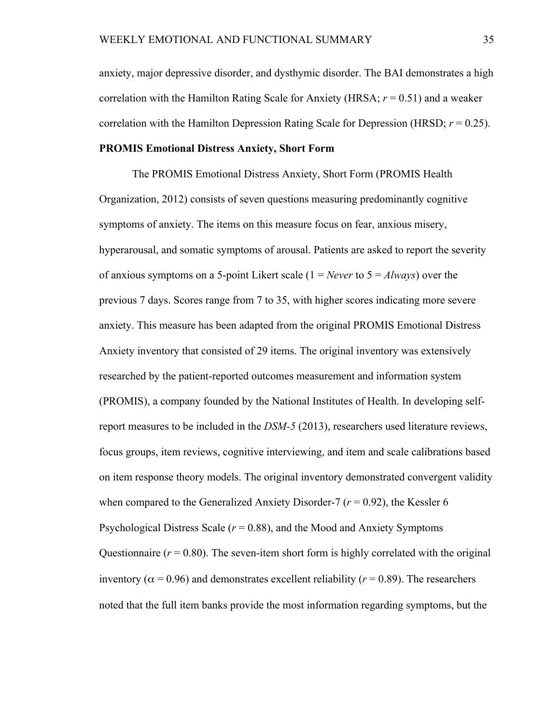anxiety, major depressive disorder, and dysthymic disorder. The BAI demonstrates a high correlation with the Hamilton Rating Scale for Anxiety (HRSA; *r* = 0.51) and a weaker correlation with the Hamilton Depression Rating Scale for Depression (HRSD;  $r = 0.25$ ).

## **PROMIS Emotional Distress Anxiety, Short Form**

The PROMIS Emotional Distress Anxiety, Short Form (PROMIS Health Organization, 2012) consists of seven questions measuring predominantly cognitive symptoms of anxiety. The items on this measure focus on fear, anxious misery, hyperarousal, and somatic symptoms of arousal. Patients are asked to report the severity of anxious symptoms on a 5-point Likert scale (1 = *Never* to 5 = *Always*) over the previous 7 days. Scores range from 7 to 35, with higher scores indicating more severe anxiety. This measure has been adapted from the original PROMIS Emotional Distress Anxiety inventory that consisted of 29 items. The original inventory was extensively researched by the patient-reported outcomes measurement and information system (PROMIS), a company founded by the National Institutes of Health. In developing selfreport measures to be included in the *DSM-5* (2013), researchers used literature reviews, focus groups, item reviews, cognitive interviewing, and item and scale calibrations based on item response theory models. The original inventory demonstrated convergent validity when compared to the Generalized Anxiety Disorder-7 ( $r = 0.92$ ), the Kessler 6 Psychological Distress Scale ( $r = 0.88$ ), and the Mood and Anxiety Symptoms Questionnaire  $(r = 0.80)$ . The seven-item short form is highly correlated with the original inventory ( $\alpha$  = 0.96) and demonstrates excellent reliability ( $r$  = 0.89). The researchers noted that the full item banks provide the most information regarding symptoms, but the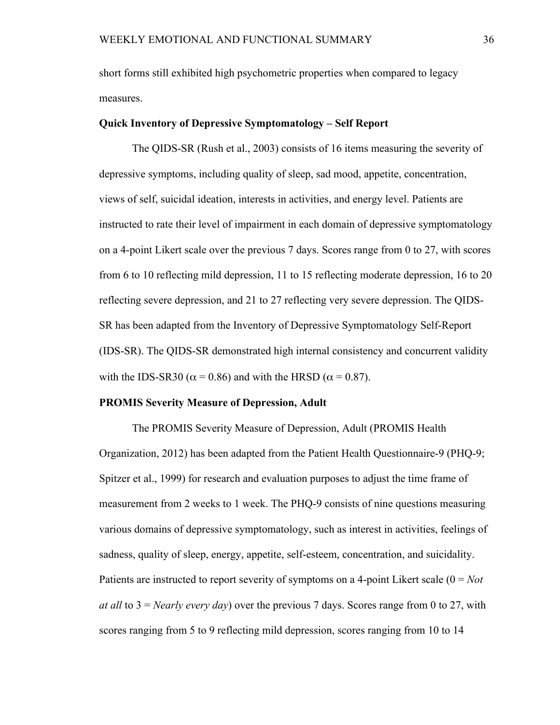short forms still exhibited high psychometric properties when compared to legacy measures.

### **Quick Inventory of Depressive Symptomatology – Self Report**

The QIDS-SR (Rush et al., 2003) consists of 16 items measuring the severity of depressive symptoms, including quality of sleep, sad mood, appetite, concentration, views of self, suicidal ideation, interests in activities, and energy level. Patients are instructed to rate their level of impairment in each domain of depressive symptomatology on a 4-point Likert scale over the previous 7 days. Scores range from 0 to 27, with scores from 6 to 10 reflecting mild depression, 11 to 15 reflecting moderate depression, 16 to 20 reflecting severe depression, and 21 to 27 reflecting very severe depression. The QIDS-SR has been adapted from the Inventory of Depressive Symptomatology Self-Report (IDS-SR). The QIDS-SR demonstrated high internal consistency and concurrent validity with the IDS-SR30 ( $\alpha$  = 0.86) and with the HRSD ( $\alpha$  = 0.87).

## **PROMIS Severity Measure of Depression, Adult**

The PROMIS Severity Measure of Depression, Adult (PROMIS Health Organization, 2012) has been adapted from the Patient Health Questionnaire-9 (PHQ-9; Spitzer et al., 1999) for research and evaluation purposes to adjust the time frame of measurement from 2 weeks to 1 week. The PHQ-9 consists of nine questions measuring various domains of depressive symptomatology, such as interest in activities, feelings of sadness, quality of sleep, energy, appetite, self-esteem, concentration, and suicidality. Patients are instructed to report severity of symptoms on a 4-point Likert scale (0 = *Not at all* to 3 = *Nearly every day*) over the previous 7 days. Scores range from 0 to 27, with scores ranging from 5 to 9 reflecting mild depression, scores ranging from 10 to 14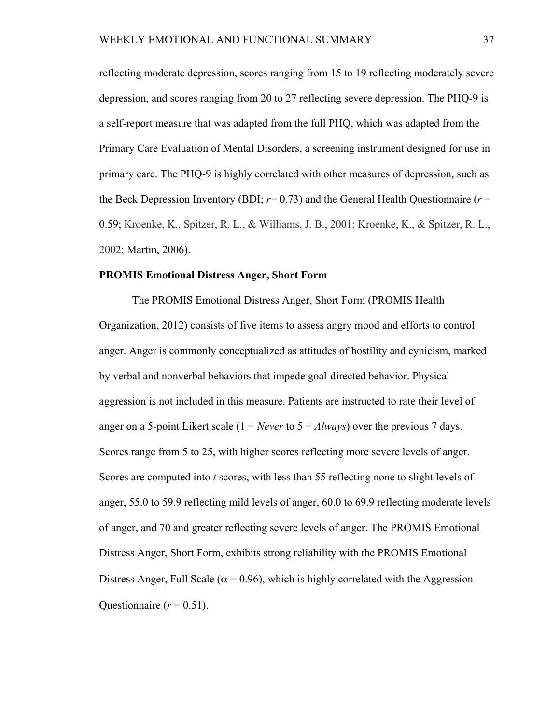reflecting moderate depression, scores ranging from 15 to 19 reflecting moderately severe depression, and scores ranging from 20 to 27 reflecting severe depression. The PHQ-9 is a self-report measure that was adapted from the full PHQ, which was adapted from the Primary Care Evaluation of Mental Disorders, a screening instrument designed for use in primary care. The PHQ-9 is highly correlated with other measures of depression, such as the Beck Depression Inventory (BDI;  $r=0.73$ ) and the General Health Questionnaire ( $r=$ 0.59; Kroenke, K., Spitzer, R. L., & Williams, J. B., 2001; Kroenke, K., & Spitzer, R. L., 2002; Martin, 2006).

### **PROMIS Emotional Distress Anger, Short Form**

The PROMIS Emotional Distress Anger, Short Form (PROMIS Health Organization, 2012) consists of five items to assess angry mood and efforts to control anger. Anger is commonly conceptualized as attitudes of hostility and cynicism, marked by verbal and nonverbal behaviors that impede goal-directed behavior. Physical aggression is not included in this measure. Patients are instructed to rate their level of anger on a 5-point Likert scale  $(1 = Never to 5 = Always)$  over the previous 7 days. Scores range from 5 to 25, with higher scores reflecting more severe levels of anger. Scores are computed into *t* scores, with less than 55 reflecting none to slight levels of anger, 55.0 to 59.9 reflecting mild levels of anger, 60.0 to 69.9 reflecting moderate levels of anger, and 70 and greater reflecting severe levels of anger. The PROMIS Emotional Distress Anger, Short Form, exhibits strong reliability with the PROMIS Emotional Distress Anger, Full Scale ( $\alpha$  = 0.96), which is highly correlated with the Aggression Ouestionnaire  $(r = 0.51)$ .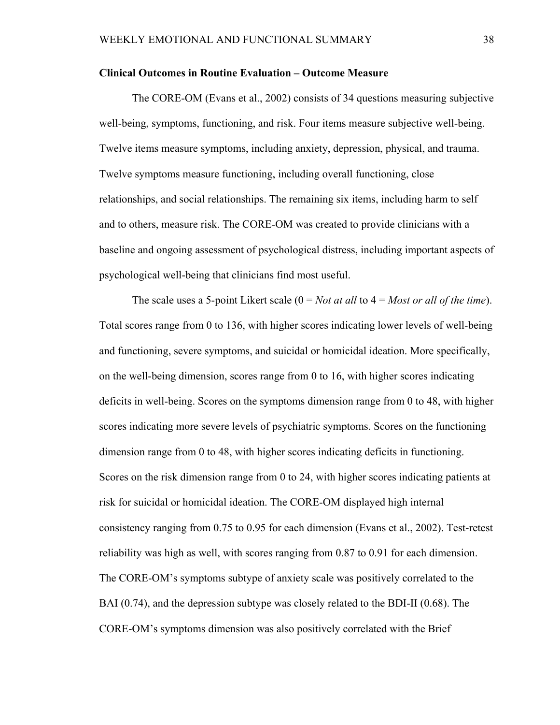### **Clinical Outcomes in Routine Evaluation – Outcome Measure**

The CORE-OM (Evans et al., 2002) consists of 34 questions measuring subjective well-being, symptoms, functioning, and risk. Four items measure subjective well-being. Twelve items measure symptoms, including anxiety, depression, physical, and trauma. Twelve symptoms measure functioning, including overall functioning, close relationships, and social relationships. The remaining six items, including harm to self and to others, measure risk. The CORE-OM was created to provide clinicians with a baseline and ongoing assessment of psychological distress, including important aspects of psychological well-being that clinicians find most useful.

The scale uses a 5-point Likert scale (0 = *Not at all* to 4 = *Most or all of the time*). Total scores range from 0 to 136, with higher scores indicating lower levels of well-being and functioning, severe symptoms, and suicidal or homicidal ideation. More specifically, on the well-being dimension, scores range from 0 to 16, with higher scores indicating deficits in well-being. Scores on the symptoms dimension range from 0 to 48, with higher scores indicating more severe levels of psychiatric symptoms. Scores on the functioning dimension range from 0 to 48, with higher scores indicating deficits in functioning. Scores on the risk dimension range from 0 to 24, with higher scores indicating patients at risk for suicidal or homicidal ideation. The CORE-OM displayed high internal consistency ranging from 0.75 to 0.95 for each dimension (Evans et al., 2002). Test-retest reliability was high as well, with scores ranging from 0.87 to 0.91 for each dimension. The CORE-OM's symptoms subtype of anxiety scale was positively correlated to the BAI (0.74), and the depression subtype was closely related to the BDI-II (0.68). The CORE-OM's symptoms dimension was also positively correlated with the Brief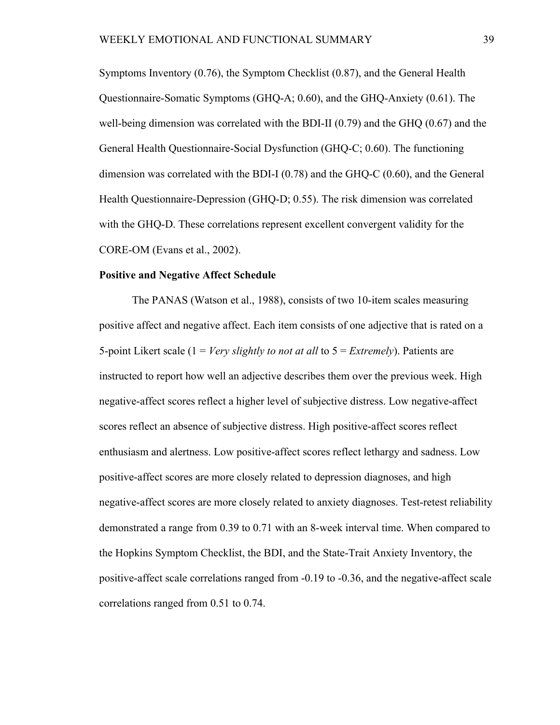Symptoms Inventory (0.76), the Symptom Checklist (0.87), and the General Health Questionnaire-Somatic Symptoms (GHQ-A; 0.60), and the GHQ-Anxiety (0.61). The well-being dimension was correlated with the BDI-II (0.79) and the GHQ (0.67) and the General Health Questionnaire-Social Dysfunction (GHQ-C; 0.60). The functioning dimension was correlated with the BDI-I (0.78) and the GHQ-C (0.60), and the General Health Questionnaire-Depression (GHQ-D; 0.55). The risk dimension was correlated with the GHQ-D. These correlations represent excellent convergent validity for the CORE-OM (Evans et al., 2002).

### **Positive and Negative Affect Schedule**

The PANAS (Watson et al., 1988), consists of two 10-item scales measuring positive affect and negative affect. Each item consists of one adjective that is rated on a 5-point Likert scale (1 = *Very slightly to not at all* to 5 = *Extremely*). Patients are instructed to report how well an adjective describes them over the previous week. High negative-affect scores reflect a higher level of subjective distress. Low negative-affect scores reflect an absence of subjective distress. High positive-affect scores reflect enthusiasm and alertness. Low positive-affect scores reflect lethargy and sadness. Low positive-affect scores are more closely related to depression diagnoses, and high negative-affect scores are more closely related to anxiety diagnoses. Test-retest reliability demonstrated a range from 0.39 to 0.71 with an 8-week interval time. When compared to the Hopkins Symptom Checklist, the BDI, and the State-Trait Anxiety Inventory, the positive-affect scale correlations ranged from -0.19 to -0.36, and the negative-affect scale correlations ranged from 0.51 to 0.74.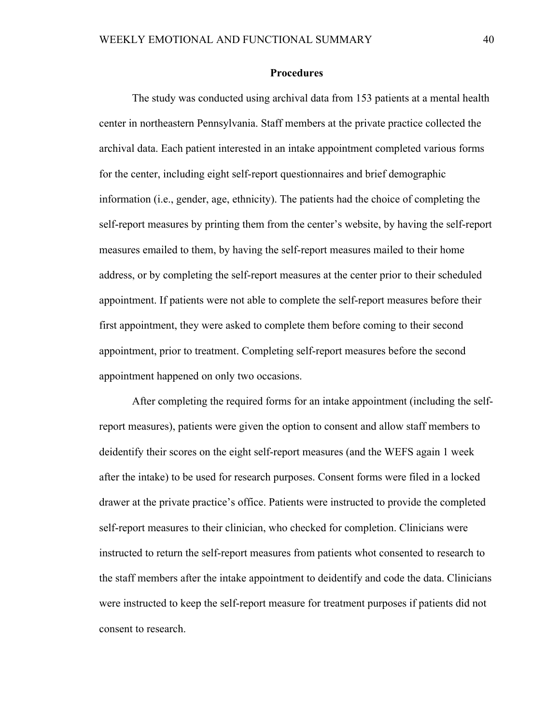### **Procedures**

 The study was conducted using archival data from 153 patients at a mental health center in northeastern Pennsylvania. Staff members at the private practice collected the archival data. Each patient interested in an intake appointment completed various forms for the center, including eight self-report questionnaires and brief demographic information (i.e., gender, age, ethnicity). The patients had the choice of completing the self-report measures by printing them from the center's website, by having the self-report measures emailed to them, by having the self-report measures mailed to their home address, or by completing the self-report measures at the center prior to their scheduled appointment. If patients were not able to complete the self-report measures before their first appointment, they were asked to complete them before coming to their second appointment, prior to treatment. Completing self-report measures before the second appointment happened on only two occasions.

After completing the required forms for an intake appointment (including the selfreport measures), patients were given the option to consent and allow staff members to deidentify their scores on the eight self-report measures (and the WEFS again 1 week after the intake) to be used for research purposes. Consent forms were filed in a locked drawer at the private practice's office. Patients were instructed to provide the completed self-report measures to their clinician, who checked for completion. Clinicians were instructed to return the self-report measures from patients whot consented to research to the staff members after the intake appointment to deidentify and code the data. Clinicians were instructed to keep the self-report measure for treatment purposes if patients did not consent to research.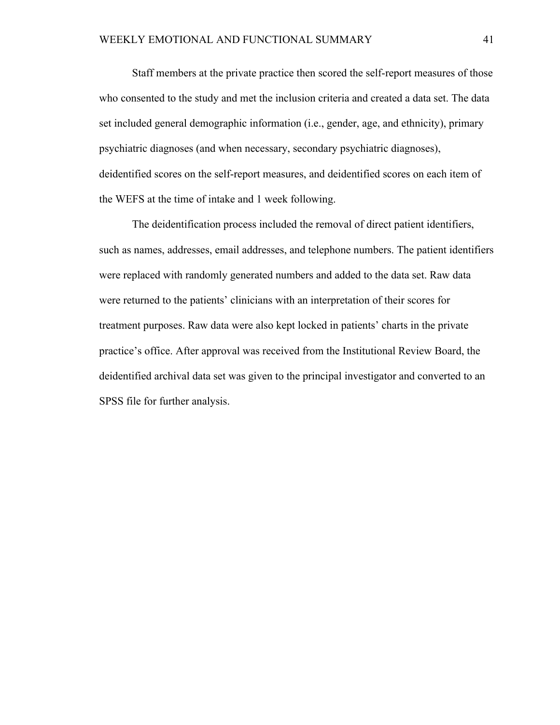Staff members at the private practice then scored the self-report measures of those who consented to the study and met the inclusion criteria and created a data set. The data set included general demographic information (i.e., gender, age, and ethnicity), primary psychiatric diagnoses (and when necessary, secondary psychiatric diagnoses), deidentified scores on the self-report measures, and deidentified scores on each item of the WEFS at the time of intake and 1 week following.

The deidentification process included the removal of direct patient identifiers, such as names, addresses, email addresses, and telephone numbers. The patient identifiers were replaced with randomly generated numbers and added to the data set. Raw data were returned to the patients' clinicians with an interpretation of their scores for treatment purposes. Raw data were also kept locked in patients' charts in the private practice's office. After approval was received from the Institutional Review Board, the deidentified archival data set was given to the principal investigator and converted to an SPSS file for further analysis.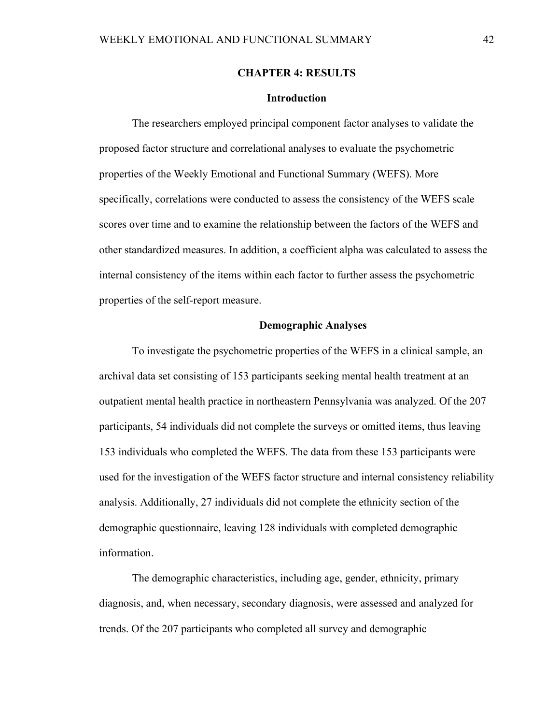## **CHAPTER 4: RESULTS**

### **Introduction**

The researchers employed principal component factor analyses to validate the proposed factor structure and correlational analyses to evaluate the psychometric properties of the Weekly Emotional and Functional Summary (WEFS). More specifically, correlations were conducted to assess the consistency of the WEFS scale scores over time and to examine the relationship between the factors of the WEFS and other standardized measures. In addition, a coefficient alpha was calculated to assess the internal consistency of the items within each factor to further assess the psychometric properties of the self-report measure.

#### **Demographic Analyses**

 To investigate the psychometric properties of the WEFS in a clinical sample, an archival data set consisting of 153 participants seeking mental health treatment at an outpatient mental health practice in northeastern Pennsylvania was analyzed. Of the 207 participants, 54 individuals did not complete the surveys or omitted items, thus leaving 153 individuals who completed the WEFS. The data from these 153 participants were used for the investigation of the WEFS factor structure and internal consistency reliability analysis. Additionally, 27 individuals did not complete the ethnicity section of the demographic questionnaire, leaving 128 individuals with completed demographic information.

 The demographic characteristics, including age, gender, ethnicity, primary diagnosis, and, when necessary, secondary diagnosis, were assessed and analyzed for trends. Of the 207 participants who completed all survey and demographic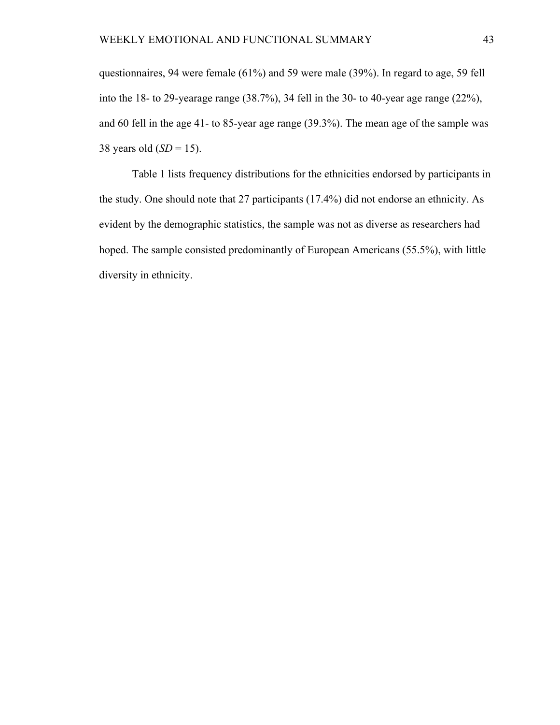questionnaires, 94 were female (61%) and 59 were male (39%). In regard to age, 59 fell into the 18- to 29-yearage range (38.7%), 34 fell in the 30- to 40-year age range (22%), and 60 fell in the age 41- to 85-year age range (39.3%). The mean age of the sample was 38 years old (*SD* = 15).

Table 1 lists frequency distributions for the ethnicities endorsed by participants in the study. One should note that 27 participants (17.4%) did not endorse an ethnicity. As evident by the demographic statistics, the sample was not as diverse as researchers had hoped. The sample consisted predominantly of European Americans (55.5%), with little diversity in ethnicity.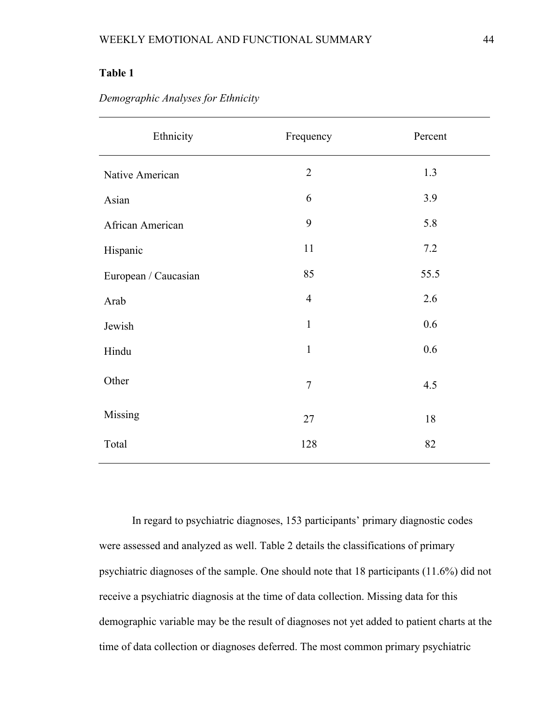| Ethnicity            | Frequency      | Percent |
|----------------------|----------------|---------|
| Native American      | $\overline{2}$ | 1.3     |
| Asian                | 6              | 3.9     |
| African American     | 9              | 5.8     |
| Hispanic             | 11             | 7.2     |
| European / Caucasian | 85             | 55.5    |
| Arab                 | $\overline{4}$ | 2.6     |
| Jewish               | $\mathbf{1}$   | 0.6     |
| Hindu                | $\mathbf{1}$   | 0.6     |
| Other                | $\overline{7}$ | 4.5     |
| Missing              | 27             | $18\,$  |
| Total                | 128            | 82      |

*Demographic Analyses for Ethnicity* 

In regard to psychiatric diagnoses, 153 participants' primary diagnostic codes were assessed and analyzed as well. Table 2 details the classifications of primary psychiatric diagnoses of the sample. One should note that 18 participants (11.6%) did not receive a psychiatric diagnosis at the time of data collection. Missing data for this demographic variable may be the result of diagnoses not yet added to patient charts at the time of data collection or diagnoses deferred. The most common primary psychiatric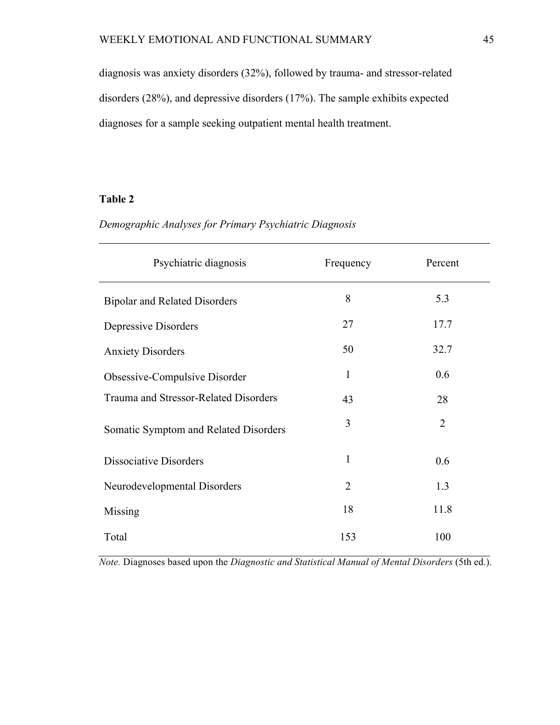diagnosis was anxiety disorders (32%), followed by trauma- and stressor-related disorders (28%), and depressive disorders (17%). The sample exhibits expected diagnoses for a sample seeking outpatient mental health treatment.

# **Table 2**

# *Demographic Analyses for Primary Psychiatric Diagnosis*

| Psychiatric diagnosis                 | Frequency      | Percent        |
|---------------------------------------|----------------|----------------|
| <b>Bipolar and Related Disorders</b>  | 8              | 5.3            |
| Depressive Disorders                  | 27             | 17.7           |
| <b>Anxiety Disorders</b>              | 50             | 32.7           |
| Obsessive-Compulsive Disorder         | 1              | 0.6            |
| Trauma and Stressor-Related Disorders | 43             | 28             |
| Somatic Symptom and Related Disorders | 3              | $\overline{2}$ |
| Dissociative Disorders                | 1              | 0.6            |
| Neurodevelopmental Disorders          | $\overline{2}$ | 1.3            |
| Missing                               | 18             | 11.8           |
| Total                                 | 153            | 100            |

*Note.* Diagnoses based upon the *Diagnostic and Statistical Manual of Mental Disorders* (5th ed.).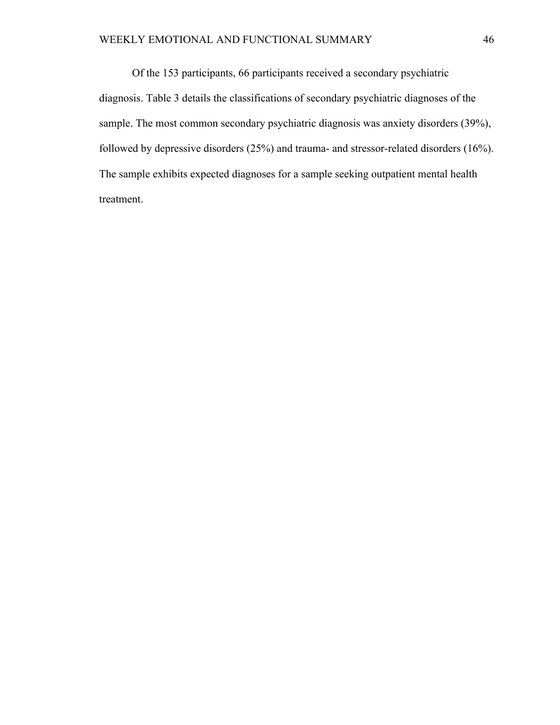Of the 153 participants, 66 participants received a secondary psychiatric diagnosis. Table 3 details the classifications of secondary psychiatric diagnoses of the sample. The most common secondary psychiatric diagnosis was anxiety disorders (39%), followed by depressive disorders (25%) and trauma- and stressor-related disorders (16%). The sample exhibits expected diagnoses for a sample seeking outpatient mental health treatment.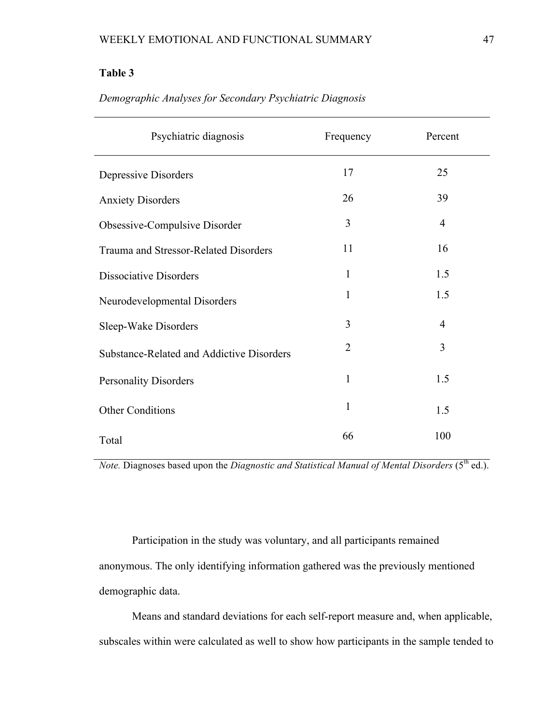| Psychiatric diagnosis                     | Frequency      | Percent        |
|-------------------------------------------|----------------|----------------|
| Depressive Disorders                      | 17             | 25             |
| <b>Anxiety Disorders</b>                  | 26             | 39             |
| Obsessive-Compulsive Disorder             | 3              | $\overline{4}$ |
| Trauma and Stressor-Related Disorders     | 11             | 16             |
| <b>Dissociative Disorders</b>             | 1              | 1.5            |
| Neurodevelopmental Disorders              | 1              | 1.5            |
| Sleep-Wake Disorders                      | 3              | $\overline{4}$ |
| Substance-Related and Addictive Disorders | $\overline{2}$ | 3              |
| <b>Personality Disorders</b>              | 1              | 1.5            |
| <b>Other Conditions</b>                   | $\mathbf{1}$   | 1.5            |
| Total                                     | 66             | 100            |

*Demographic Analyses for Secondary Psychiatric Diagnosis* 

*Note.* Diagnoses based upon the *Diagnostic and Statistical Manual of Mental Disorders* (5<sup>th</sup> ed.).

Participation in the study was voluntary, and all participants remained anonymous. The only identifying information gathered was the previously mentioned demographic data.

 Means and standard deviations for each self-report measure and, when applicable, subscales within were calculated as well to show how participants in the sample tended to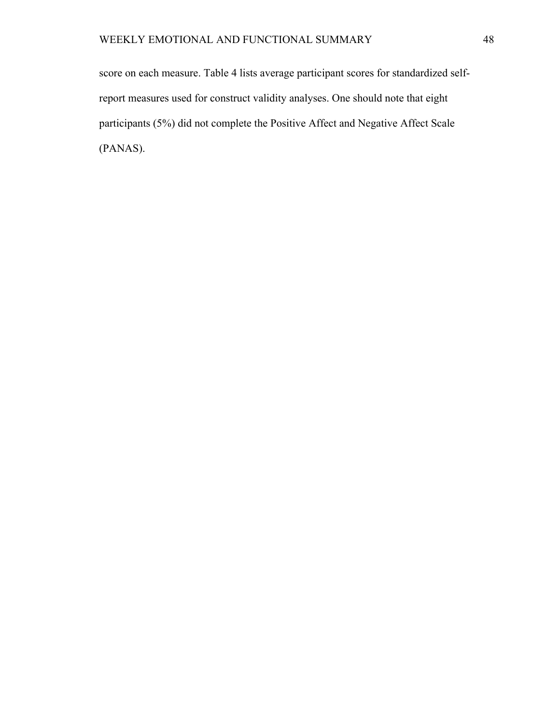score on each measure. Table 4 lists average participant scores for standardized selfreport measures used for construct validity analyses. One should note that eight participants (5%) did not complete the Positive Affect and Negative Affect Scale (PANAS).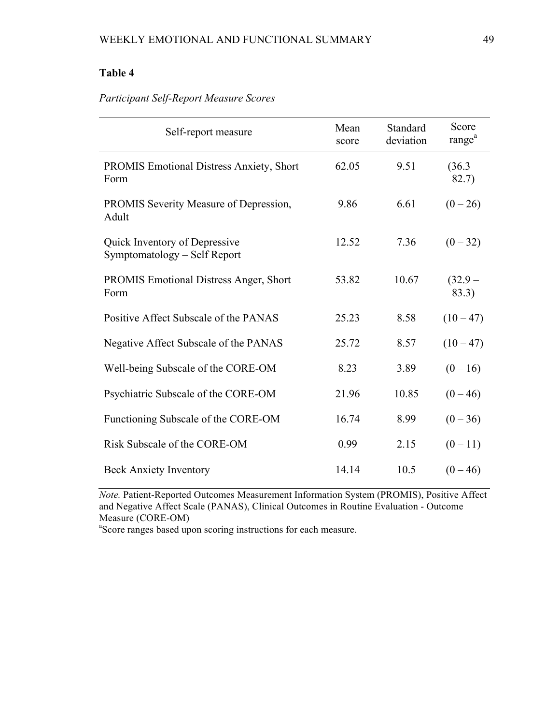# *Participant Self-Report Measure Scores*

| Self-report measure                                           | Mean<br>score | Standard<br>deviation | Score<br>range <sup>a</sup> |
|---------------------------------------------------------------|---------------|-----------------------|-----------------------------|
| <b>PROMIS Emotional Distress Anxiety, Short</b><br>Form       | 62.05         | 9.51                  | $(36.3 -$<br>82.7)          |
| PROMIS Severity Measure of Depression,<br>Adult               | 9.86          | 6.61                  | $(0-26)$                    |
| Quick Inventory of Depressive<br>Symptomatology - Self Report | 12.52         | 7.36                  | $(0 - 32)$                  |
| <b>PROMIS Emotional Distress Anger, Short</b><br>Form         | 53.82         | 10.67                 | $(32.9 -$<br>83.3)          |
| Positive Affect Subscale of the PANAS                         | 25.23         | 8.58                  | $(10-47)$                   |
| Negative Affect Subscale of the PANAS                         | 25.72         | 8.57                  | $(10-47)$                   |
| Well-being Subscale of the CORE-OM                            | 8.23          | 3.89                  | $(0-16)$                    |
| Psychiatric Subscale of the CORE-OM                           | 21.96         | 10.85                 | $(0 - 46)$                  |
| Functioning Subscale of the CORE-OM                           | 16.74         | 8.99                  | $(0 - 36)$                  |
| Risk Subscale of the CORE-OM                                  | 0.99          | 2.15                  | $(0-11)$                    |
| <b>Beck Anxiety Inventory</b>                                 | 14.14         | 10.5                  | $(0 - 46)$                  |

*Note.* Patient-Reported Outcomes Measurement Information System (PROMIS), Positive Affect and Negative Affect Scale (PANAS), Clinical Outcomes in Routine Evaluation - Outcome Measure (CORE-OM)

<sup>a</sup>Score ranges based upon scoring instructions for each measure.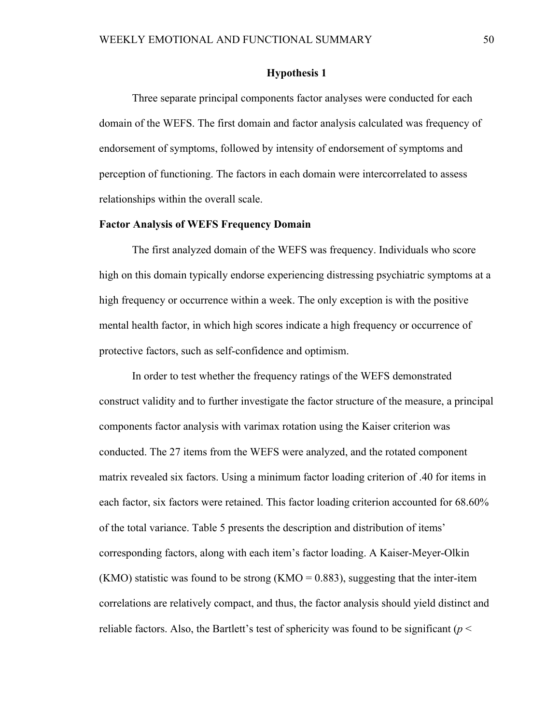### **Hypothesis 1**

Three separate principal components factor analyses were conducted for each domain of the WEFS. The first domain and factor analysis calculated was frequency of endorsement of symptoms, followed by intensity of endorsement of symptoms and perception of functioning. The factors in each domain were intercorrelated to assess relationships within the overall scale.

#### **Factor Analysis of WEFS Frequency Domain**

The first analyzed domain of the WEFS was frequency. Individuals who score high on this domain typically endorse experiencing distressing psychiatric symptoms at a high frequency or occurrence within a week. The only exception is with the positive mental health factor, in which high scores indicate a high frequency or occurrence of protective factors, such as self-confidence and optimism.

In order to test whether the frequency ratings of the WEFS demonstrated construct validity and to further investigate the factor structure of the measure, a principal components factor analysis with varimax rotation using the Kaiser criterion was conducted. The 27 items from the WEFS were analyzed, and the rotated component matrix revealed six factors. Using a minimum factor loading criterion of .40 for items in each factor, six factors were retained. This factor loading criterion accounted for 68.60% of the total variance. Table 5 presents the description and distribution of items' corresponding factors, along with each item's factor loading. A Kaiser-Meyer-Olkin  $(KMO)$  statistic was found to be strong  $(KMO = 0.883)$ , suggesting that the inter-item correlations are relatively compact, and thus, the factor analysis should yield distinct and reliable factors. Also, the Bartlett's test of sphericity was found to be significant ( $p <$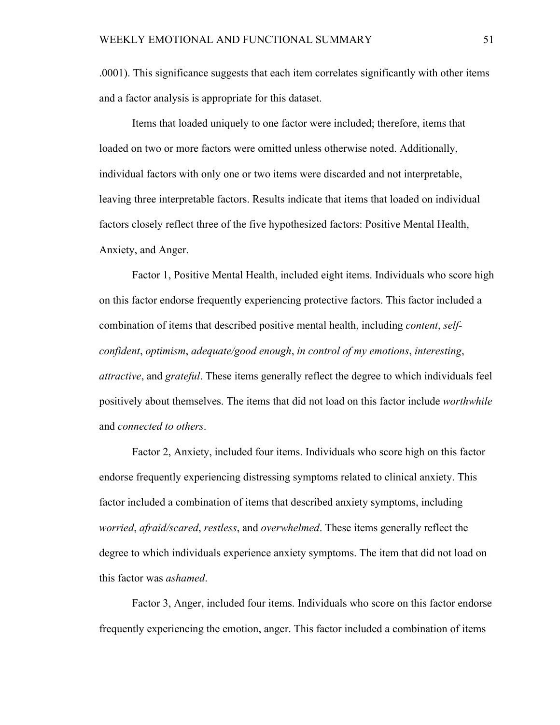.0001). This significance suggests that each item correlates significantly with other items and a factor analysis is appropriate for this dataset.

Items that loaded uniquely to one factor were included; therefore, items that loaded on two or more factors were omitted unless otherwise noted. Additionally, individual factors with only one or two items were discarded and not interpretable, leaving three interpretable factors. Results indicate that items that loaded on individual factors closely reflect three of the five hypothesized factors: Positive Mental Health, Anxiety, and Anger.

Factor 1, Positive Mental Health, included eight items. Individuals who score high on this factor endorse frequently experiencing protective factors. This factor included a combination of items that described positive mental health, including *content*, *selfconfident*, *optimism*, *adequate/good enough*, *in control of my emotions*, *interesting*, *attractive*, and *grateful*. These items generally reflect the degree to which individuals feel positively about themselves. The items that did not load on this factor include *worthwhile* and *connected to others*.

Factor 2, Anxiety, included four items. Individuals who score high on this factor endorse frequently experiencing distressing symptoms related to clinical anxiety. This factor included a combination of items that described anxiety symptoms, including *worried*, *afraid/scared*, *restless*, and *overwhelmed*. These items generally reflect the degree to which individuals experience anxiety symptoms. The item that did not load on this factor was *ashamed*.

Factor 3, Anger, included four items. Individuals who score on this factor endorse frequently experiencing the emotion, anger. This factor included a combination of items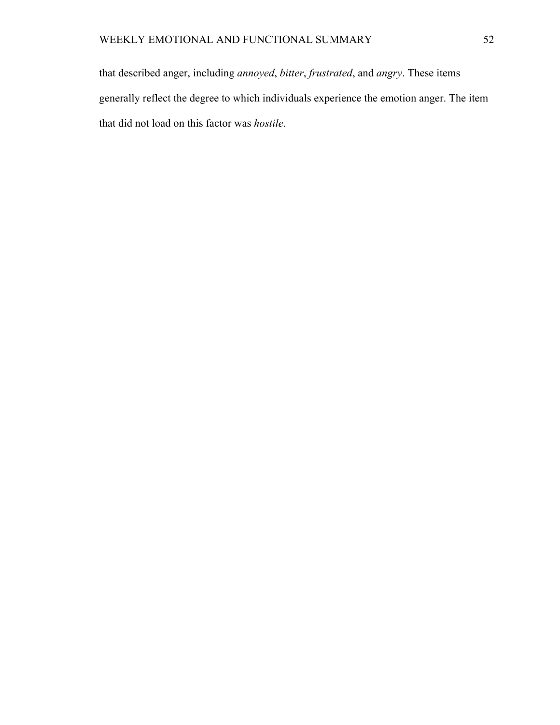that described anger, including *annoyed*, *bitter*, *frustrated*, and *angry*. These items generally reflect the degree to which individuals experience the emotion anger. The item that did not load on this factor was *hostile*.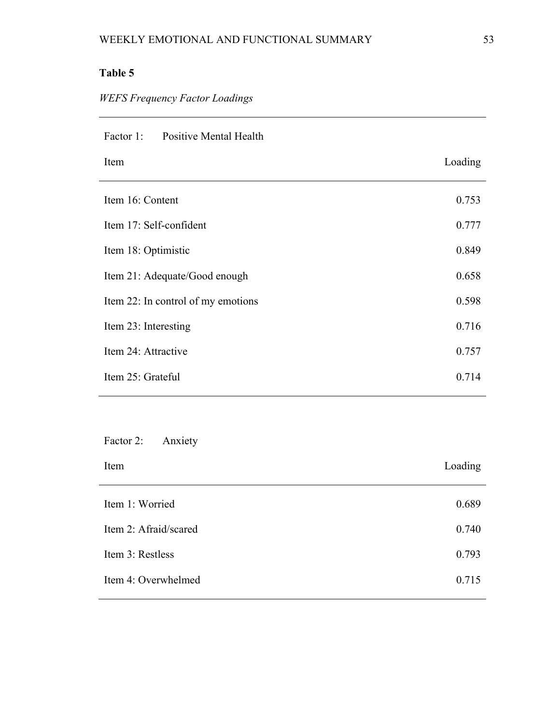# *WEFS Frequency Factor Loadings*

| <b>Positive Mental Health</b><br>Factor 1: |         |
|--------------------------------------------|---------|
| Item                                       | Loading |
| Item 16: Content                           | 0.753   |
| Item 17: Self-confident                    | 0.777   |
| Item 18: Optimistic                        | 0.849   |
| Item 21: Adequate/Good enough              | 0.658   |
| Item 22: In control of my emotions         | 0.598   |
| Item 23: Interesting                       | 0.716   |
| Item 24: Attractive                        | 0.757   |
| Item 25: Grateful                          | 0.714   |

Factor 2: Anxiety

| Item                  | Loading |
|-----------------------|---------|
| Item 1: Worried       | 0.689   |
| Item 2: Afraid/scared | 0.740   |
| Item 3: Restless      | 0.793   |
| Item 4: Overwhelmed   | 0.715   |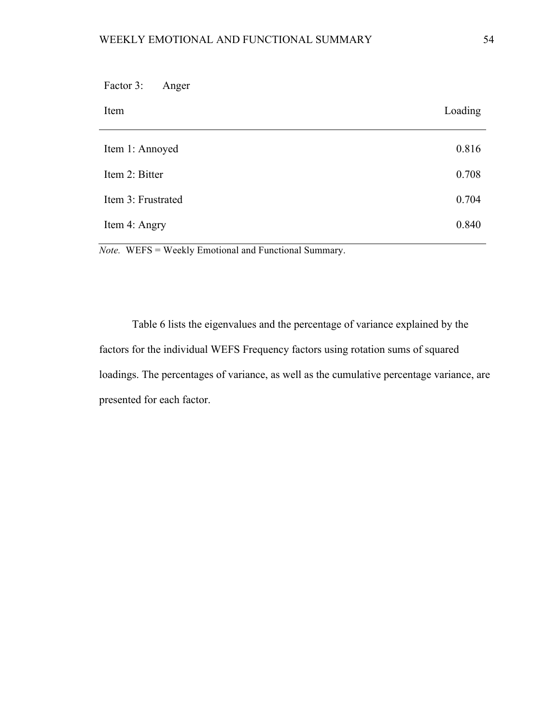| Factor 3:<br>Anger |         |
|--------------------|---------|
| Item               | Loading |
| Item 1: Annoyed    | 0.816   |
| Item 2: Bitter     | 0.708   |
| Item 3: Frustrated | 0.704   |
| Item 4: Angry      | 0.840   |

*Note.* WEFS = Weekly Emotional and Functional Summary.

Table 6 lists the eigenvalues and the percentage of variance explained by the factors for the individual WEFS Frequency factors using rotation sums of squared loadings. The percentages of variance, as well as the cumulative percentage variance, are presented for each factor.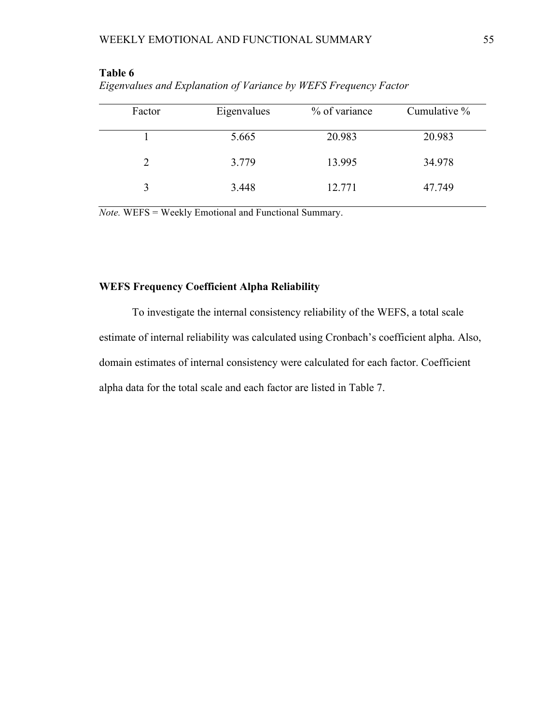| Factor       | Eigenvalues | % of variance | Cumulative % |
|--------------|-------------|---------------|--------------|
|              | 5.665       | 20.983        | 20.983       |
|              | 3.779       | 13.995        | 34.978       |
| $\mathbf{3}$ | 3.448       | 12.771        | 47.749       |

*Eigenvalues and Explanation of Variance by WEFS Frequency Factor*

*Note.* WEFS = Weekly Emotional and Functional Summary.

# **WEFS Frequency Coefficient Alpha Reliability**

To investigate the internal consistency reliability of the WEFS, a total scale estimate of internal reliability was calculated using Cronbach's coefficient alpha. Also, domain estimates of internal consistency were calculated for each factor. Coefficient alpha data for the total scale and each factor are listed in Table 7.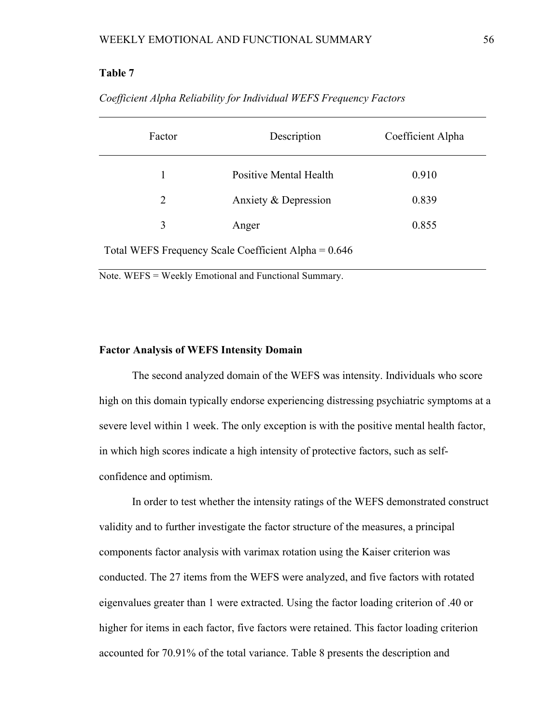| Factor                                               | Description            | Coefficient Alpha |
|------------------------------------------------------|------------------------|-------------------|
| 1                                                    | Positive Mental Health | 0.910             |
| $\overline{2}$                                       | Anxiety & Depression   | 0.839             |
| 3                                                    | Anger                  | 0.855             |
| Total WEFS Frequency Scale Coefficient Alpha = 0.646 |                        |                   |

*Coefficient Alpha Reliability for Individual WEFS Frequency Factors* 

Note. WEFS = Weekly Emotional and Functional Summary.

#### **Factor Analysis of WEFS Intensity Domain**

The second analyzed domain of the WEFS was intensity. Individuals who score high on this domain typically endorse experiencing distressing psychiatric symptoms at a severe level within 1 week. The only exception is with the positive mental health factor, in which high scores indicate a high intensity of protective factors, such as selfconfidence and optimism.

In order to test whether the intensity ratings of the WEFS demonstrated construct validity and to further investigate the factor structure of the measures, a principal components factor analysis with varimax rotation using the Kaiser criterion was conducted. The 27 items from the WEFS were analyzed, and five factors with rotated eigenvalues greater than 1 were extracted. Using the factor loading criterion of .40 or higher for items in each factor, five factors were retained. This factor loading criterion accounted for 70.91% of the total variance. Table 8 presents the description and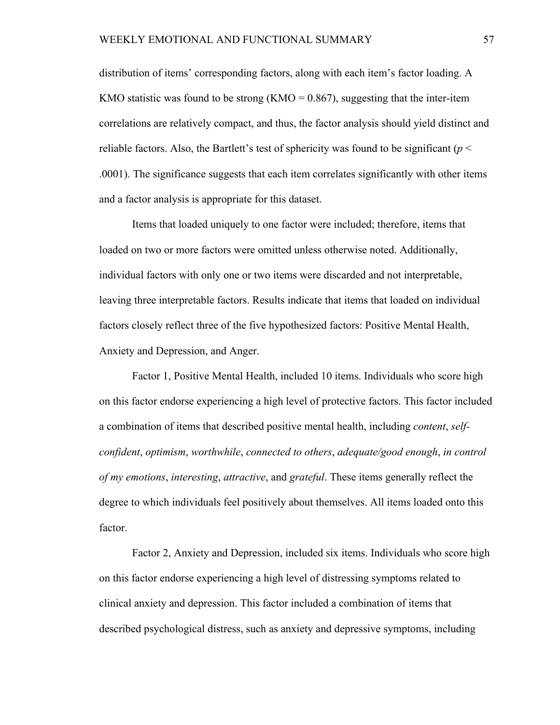distribution of items' corresponding factors, along with each item's factor loading. A KMO statistic was found to be strong (KMO =  $0.867$ ), suggesting that the inter-item correlations are relatively compact, and thus, the factor analysis should yield distinct and reliable factors. Also, the Bartlett's test of sphericity was found to be significant ( $p <$ .0001). The significance suggests that each item correlates significantly with other items and a factor analysis is appropriate for this dataset.

Items that loaded uniquely to one factor were included; therefore, items that loaded on two or more factors were omitted unless otherwise noted. Additionally, individual factors with only one or two items were discarded and not interpretable, leaving three interpretable factors. Results indicate that items that loaded on individual factors closely reflect three of the five hypothesized factors: Positive Mental Health, Anxiety and Depression, and Anger.

Factor 1, Positive Mental Health, included 10 items. Individuals who score high on this factor endorse experiencing a high level of protective factors. This factor included a combination of items that described positive mental health, including *content*, *selfconfident*, *optimism*, *worthwhile*, *connected to others*, *adequate/good enough*, *in control of my emotions*, *interesting*, *attractive*, and *grateful*. These items generally reflect the degree to which individuals feel positively about themselves. All items loaded onto this factor.

Factor 2, Anxiety and Depression, included six items. Individuals who score high on this factor endorse experiencing a high level of distressing symptoms related to clinical anxiety and depression. This factor included a combination of items that described psychological distress, such as anxiety and depressive symptoms, including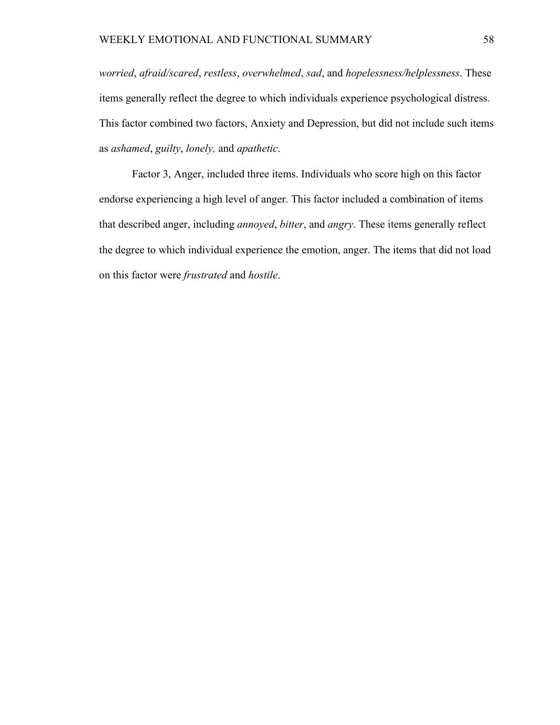*worried*, *afraid/scared*, *restless*, *overwhelmed*, *sad*, and *hopelessness/helplessness*. These items generally reflect the degree to which individuals experience psychological distress. This factor combined two factors, Anxiety and Depression, but did not include such items as *ashamed*, *guilty*, *lonely,* and *apathetic*.

Factor 3, Anger, included three items. Individuals who score high on this factor endorse experiencing a high level of anger. This factor included a combination of items that described anger, including *annoyed*, *bitter*, and *angry*. These items generally reflect the degree to which individual experience the emotion, anger. The items that did not load on this factor were *frustrated* and *hostile*.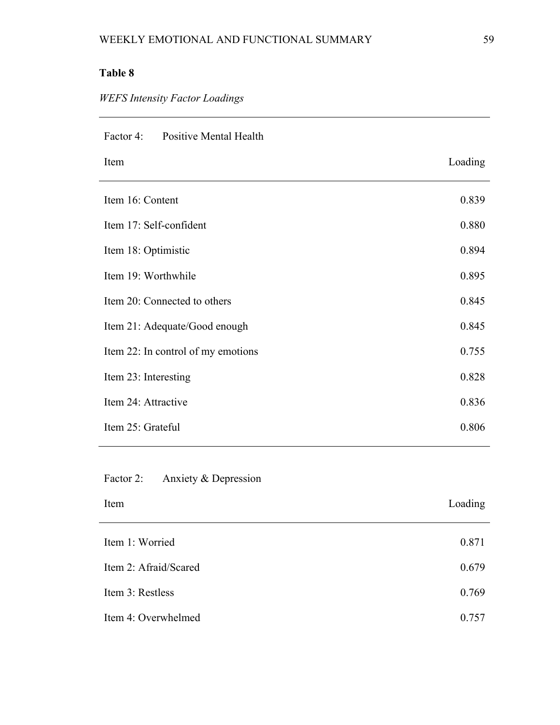# *WEFS Intensity Factor Loadings*

| Factor 4: Positive Mental Health   |         |
|------------------------------------|---------|
| Item                               | Loading |
| Item 16: Content                   | 0.839   |
| Item 17: Self-confident            | 0.880   |
| Item 18: Optimistic                | 0.894   |
| Item 19: Worthwhile                | 0.895   |
| Item 20: Connected to others       | 0.845   |
| Item 21: Adequate/Good enough      | 0.845   |
| Item 22: In control of my emotions | 0.755   |
| Item 23: Interesting               | 0.828   |
| Item 24: Attractive                | 0.836   |
| Item 25: Grateful                  | 0.806   |

Factor 2: Anxiety & Depression

| Item                  | Loading |
|-----------------------|---------|
| Item 1: Worried       | 0.871   |
| Item 2: Afraid/Scared | 0.679   |
| Item 3: Restless      | 0.769   |
| Item 4: Overwhelmed   | 0.757   |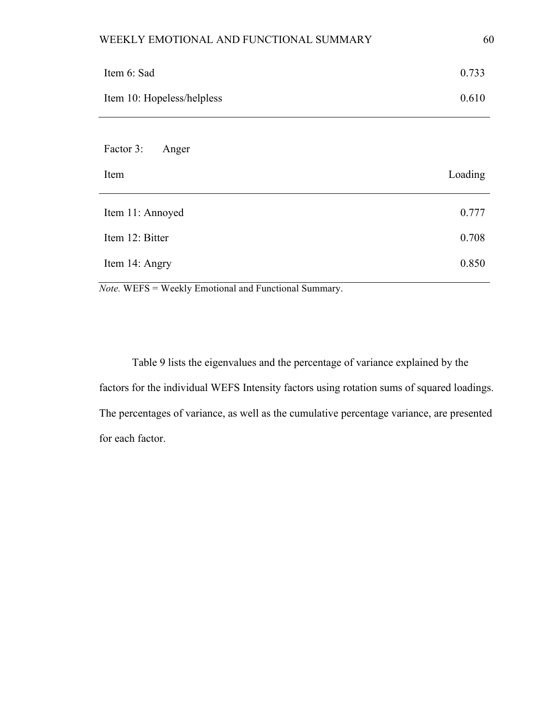| Item 6: Sad                                 | 0.733   |
|---------------------------------------------|---------|
| Item 10: Hopeless/helpless                  | 0.610   |
| Factor 3:<br>Anger                          |         |
| Item                                        | Loading |
| $I$ <sub>tom</sub> $11 \cdot \text{Annoud}$ | 0.777   |

| Item 11: Annoyed | 0.777 |
|------------------|-------|
| Item 12: Bitter  | 0.708 |
| Item 14: Angry   | 0.850 |

*Note.* WEFS = Weekly Emotional and Functional Summary.

Table 9 lists the eigenvalues and the percentage of variance explained by the factors for the individual WEFS Intensity factors using rotation sums of squared loadings. The percentages of variance, as well as the cumulative percentage variance, are presented for each factor.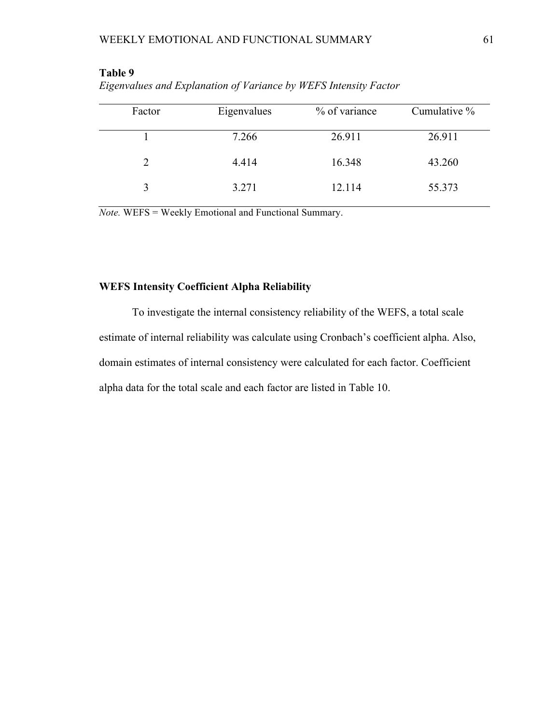| Factor                      | Eigenvalues | % of variance | Cumulative % |
|-----------------------------|-------------|---------------|--------------|
|                             | 7.266       | 26.911        | 26.911       |
| $\mathcal{D}_{\mathcal{L}}$ | 4.414       | 16.348        | 43.260       |
|                             | 3.271       | 12.114        | 55.373       |

| Eigenvalues and Explanation of Variance by WEFS Intensity Factor |  |  |  |
|------------------------------------------------------------------|--|--|--|
|------------------------------------------------------------------|--|--|--|

*Note.* WEFS = Weekly Emotional and Functional Summary.

# **WEFS Intensity Coefficient Alpha Reliability**

To investigate the internal consistency reliability of the WEFS, a total scale estimate of internal reliability was calculate using Cronbach's coefficient alpha. Also, domain estimates of internal consistency were calculated for each factor. Coefficient alpha data for the total scale and each factor are listed in Table 10.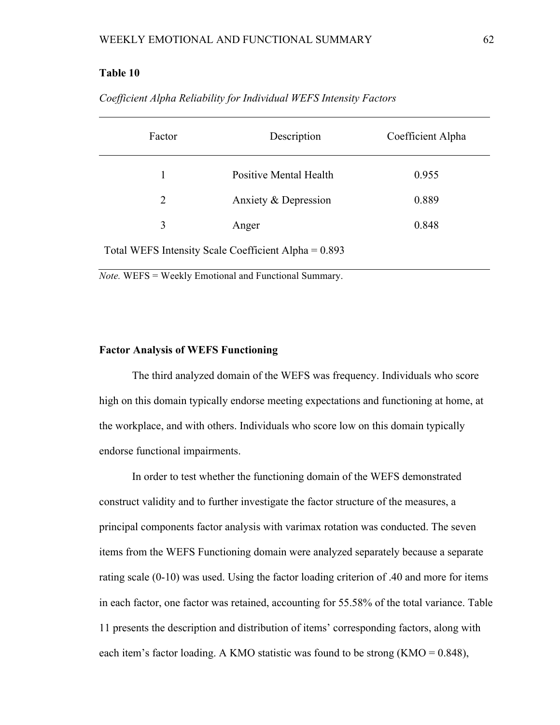| Factor                                               | Description            | Coefficient Alpha |  |  |
|------------------------------------------------------|------------------------|-------------------|--|--|
| 1                                                    | Positive Mental Health | 0.955             |  |  |
| 2                                                    | Anxiety & Depression   | 0.889             |  |  |
| 3                                                    | Anger                  | 0.848             |  |  |
| Total WEFS Intensity Scale Coefficient Alpha = 0.893 |                        |                   |  |  |

*Coefficient Alpha Reliability for Individual WEFS Intensity Factors* 

*Note.* WEFS = Weekly Emotional and Functional Summary.

#### **Factor Analysis of WEFS Functioning**

The third analyzed domain of the WEFS was frequency. Individuals who score high on this domain typically endorse meeting expectations and functioning at home, at the workplace, and with others. Individuals who score low on this domain typically endorse functional impairments.

In order to test whether the functioning domain of the WEFS demonstrated construct validity and to further investigate the factor structure of the measures, a principal components factor analysis with varimax rotation was conducted. The seven items from the WEFS Functioning domain were analyzed separately because a separate rating scale (0-10) was used. Using the factor loading criterion of .40 and more for items in each factor, one factor was retained, accounting for 55.58% of the total variance. Table 11 presents the description and distribution of items' corresponding factors, along with each item's factor loading. A KMO statistic was found to be strong (KMO = 0.848),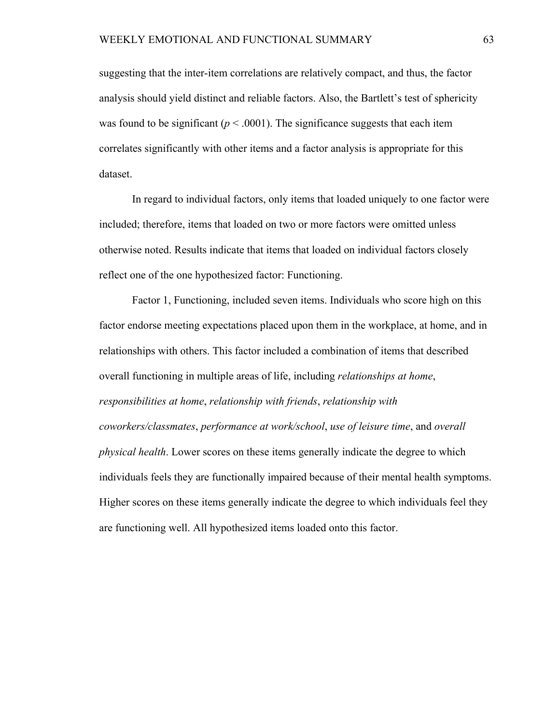suggesting that the inter-item correlations are relatively compact, and thus, the factor analysis should yield distinct and reliable factors. Also, the Bartlett's test of sphericity was found to be significant ( $p < .0001$ ). The significance suggests that each item correlates significantly with other items and a factor analysis is appropriate for this dataset.

In regard to individual factors, only items that loaded uniquely to one factor were included; therefore, items that loaded on two or more factors were omitted unless otherwise noted. Results indicate that items that loaded on individual factors closely reflect one of the one hypothesized factor: Functioning.

Factor 1, Functioning, included seven items. Individuals who score high on this factor endorse meeting expectations placed upon them in the workplace, at home, and in relationships with others. This factor included a combination of items that described overall functioning in multiple areas of life, including *relationships at home*, *responsibilities at home*, *relationship with friends*, *relationship with coworkers/classmates*, *performance at work/school*, *use of leisure time*, and *overall physical health*. Lower scores on these items generally indicate the degree to which individuals feels they are functionally impaired because of their mental health symptoms. Higher scores on these items generally indicate the degree to which individuals feel they are functioning well. All hypothesized items loaded onto this factor.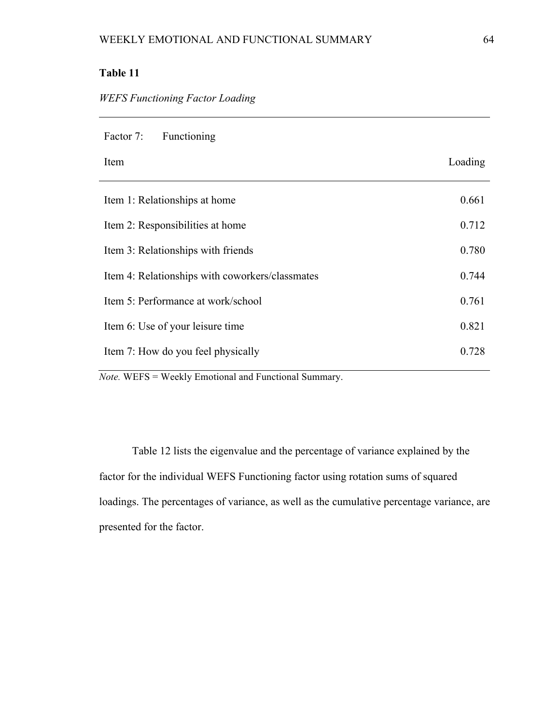| Factor 7:<br><b>Functioning</b>                 |         |
|-------------------------------------------------|---------|
| Item                                            | Loading |
| Item 1: Relationships at home                   | 0.661   |
| Item 2: Responsibilities at home                | 0.712   |
| Item 3: Relationships with friends              | 0.780   |
| Item 4: Relationships with coworkers/classmates | 0.744   |
| Item 5: Performance at work/school              | 0.761   |
| Item 6: Use of your leisure time                | 0.821   |
| Item 7: How do you feel physically              | 0.728   |

*Note.* WEFS = Weekly Emotional and Functional Summary.

Table 12 lists the eigenvalue and the percentage of variance explained by the factor for the individual WEFS Functioning factor using rotation sums of squared loadings. The percentages of variance, as well as the cumulative percentage variance, are presented for the factor.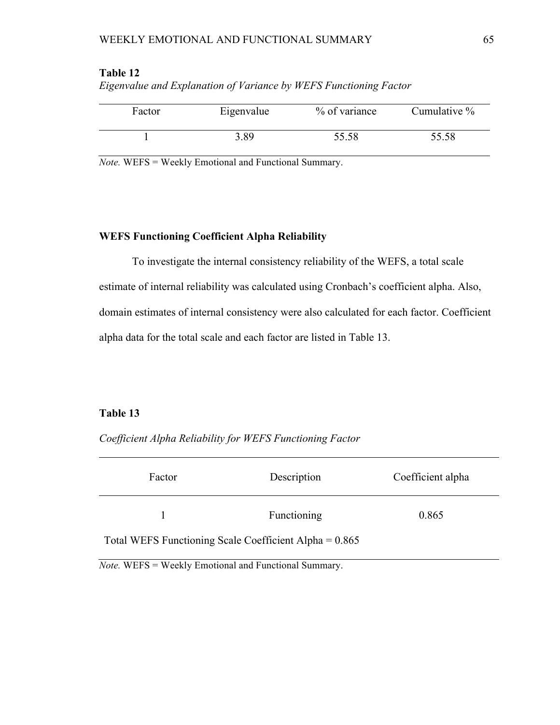| Factor | Eigenvalue | % of variance | Cumulative % |
|--------|------------|---------------|--------------|
|        | 3.89       | 55.58         | 55.58        |

| Table 12                                                          |  |
|-------------------------------------------------------------------|--|
| Eigenvalue and Explanation of Variance by WEFS Functioning Factor |  |

*Note.* WEFS = Weekly Emotional and Functional Summary.

# **WEFS Functioning Coefficient Alpha Reliability**

To investigate the internal consistency reliability of the WEFS, a total scale estimate of internal reliability was calculated using Cronbach's coefficient alpha. Also, domain estimates of internal consistency were also calculated for each factor. Coefficient alpha data for the total scale and each factor are listed in Table 13.

## **Table 13**

*Coefficient Alpha Reliability for WEFS Functioning Factor* 

| Factor                                                   | Description | Coefficient alpha |
|----------------------------------------------------------|-------------|-------------------|
|                                                          | Functioning | 0.865             |
| Total WEFS Functioning Scale Coefficient Alpha = $0.865$ |             |                   |

*Note.* WEFS = Weekly Emotional and Functional Summary.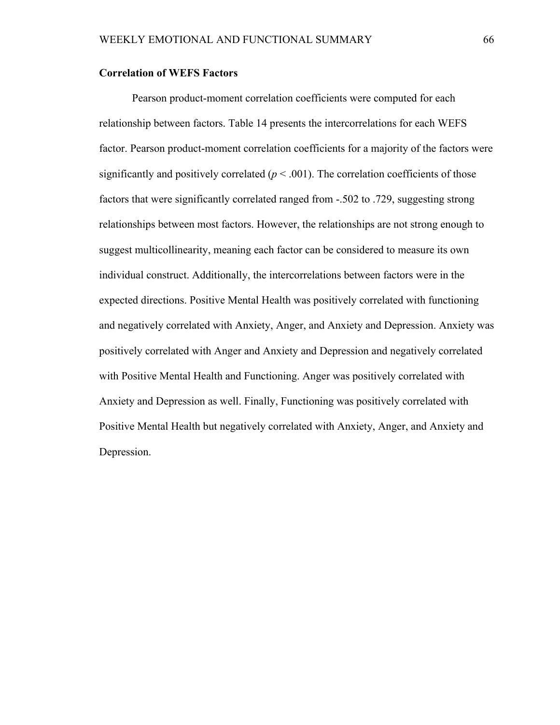### **Correlation of WEFS Factors**

Pearson product-moment correlation coefficients were computed for each relationship between factors. Table 14 presents the intercorrelations for each WEFS factor. Pearson product-moment correlation coefficients for a majority of the factors were significantly and positively correlated  $(p < .001)$ . The correlation coefficients of those factors that were significantly correlated ranged from -.502 to .729, suggesting strong relationships between most factors. However, the relationships are not strong enough to suggest multicollinearity, meaning each factor can be considered to measure its own individual construct. Additionally, the intercorrelations between factors were in the expected directions. Positive Mental Health was positively correlated with functioning and negatively correlated with Anxiety, Anger, and Anxiety and Depression. Anxiety was positively correlated with Anger and Anxiety and Depression and negatively correlated with Positive Mental Health and Functioning. Anger was positively correlated with Anxiety and Depression as well. Finally, Functioning was positively correlated with Positive Mental Health but negatively correlated with Anxiety, Anger, and Anxiety and Depression.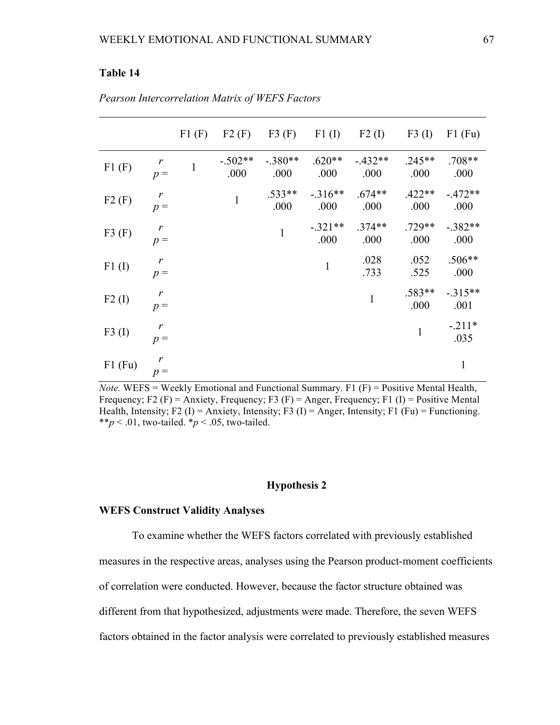## **Table 14**

|           |                       | F1(F)        | F2(F)             | F3(F)             | F1(I)             | F2(I)            | F3(I)            | $F1$ (Fu)         |
|-----------|-----------------------|--------------|-------------------|-------------------|-------------------|------------------|------------------|-------------------|
| F1(F)     | $p =$                 | $\mathbf{1}$ | $-.502**$<br>.000 | $-.380**$<br>.000 | $.620**$<br>.000  | $-432**$<br>.000 | $.245**$<br>.000 | $.708**$<br>.000  |
| F2(F)     | r<br>$p =$            |              | $\mathbf{1}$      | $.533**$<br>.000  | $-316**$<br>.000  | $.674**$<br>.000 | $.422**$<br>.000 | $-472**$<br>.000  |
| F3(F)     | $\mathbf{r}$<br>$p =$ |              |                   | $\mathbf{1}$      | $-.321**$<br>.000 | $.374**$<br>.000 | $.729**$<br>.000 | $-.382**$<br>.000 |
| F1(I)     | r<br>$p =$            |              |                   |                   | $\mathbf{1}$      | .028<br>.733     | .052<br>.525     | $.506**$<br>.000  |
| $F2$ (I)  | $\mathbf{r}$<br>$p =$ |              |                   |                   |                   | $\mathbf{1}$     | .583**<br>.000   | $-315**$<br>.001  |
| F3(I)     | r<br>$p =$            |              |                   |                   |                   |                  | $\mathbf{1}$     | $-.211*$<br>.035  |
| $F1$ (Fu) | $p =$                 |              |                   |                   |                   |                  |                  | $\mathbf{1}$      |

*Pearson Intercorrelation Matrix of WEFS Factors* 

*Note.* WEFS = Weekly Emotional and Functional Summary*.* F1 (F) = Positive Mental Health, Frequency; F2 (F) = Anxiety, Frequency; F3 (F) = Anger, Frequency; F1 (I) = Positive Mental Health, Intensity; F2 (I) = Anxiety, Intensity; F3 (I) = Anger, Intensity; F1 (Fu) = Functioning. \*\* $p < .01$ , two-tailed. \* $p < .05$ , two-tailed.

## **Hypothesis 2**

### **WEFS Construct Validity Analyses**

 To examine whether the WEFS factors correlated with previously established measures in the respective areas, analyses using the Pearson product-moment coefficients of correlation were conducted. However, because the factor structure obtained was different from that hypothesized, adjustments were made. Therefore, the seven WEFS factors obtained in the factor analysis were correlated to previously established measures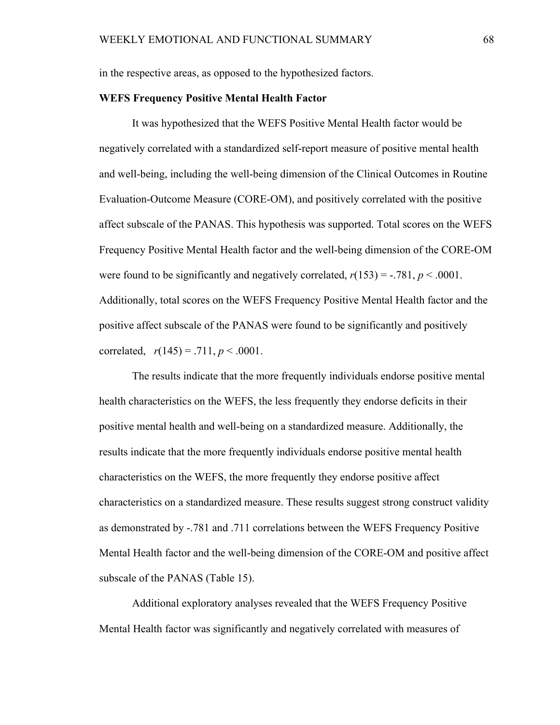in the respective areas, as opposed to the hypothesized factors.

### **WEFS Frequency Positive Mental Health Factor**

It was hypothesized that the WEFS Positive Mental Health factor would be negatively correlated with a standardized self-report measure of positive mental health and well-being, including the well-being dimension of the Clinical Outcomes in Routine Evaluation-Outcome Measure (CORE-OM), and positively correlated with the positive affect subscale of the PANAS. This hypothesis was supported. Total scores on the WEFS Frequency Positive Mental Health factor and the well-being dimension of the CORE-OM were found to be significantly and negatively correlated,  $r(153) = -0.781$ ,  $p < .0001$ . Additionally, total scores on the WEFS Frequency Positive Mental Health factor and the positive affect subscale of the PANAS were found to be significantly and positively correlated,  $r(145) = .711, p < .0001$ .

The results indicate that the more frequently individuals endorse positive mental health characteristics on the WEFS, the less frequently they endorse deficits in their positive mental health and well-being on a standardized measure. Additionally, the results indicate that the more frequently individuals endorse positive mental health characteristics on the WEFS, the more frequently they endorse positive affect characteristics on a standardized measure. These results suggest strong construct validity as demonstrated by -.781 and .711 correlations between the WEFS Frequency Positive Mental Health factor and the well-being dimension of the CORE-OM and positive affect subscale of the PANAS (Table 15).

Additional exploratory analyses revealed that the WEFS Frequency Positive Mental Health factor was significantly and negatively correlated with measures of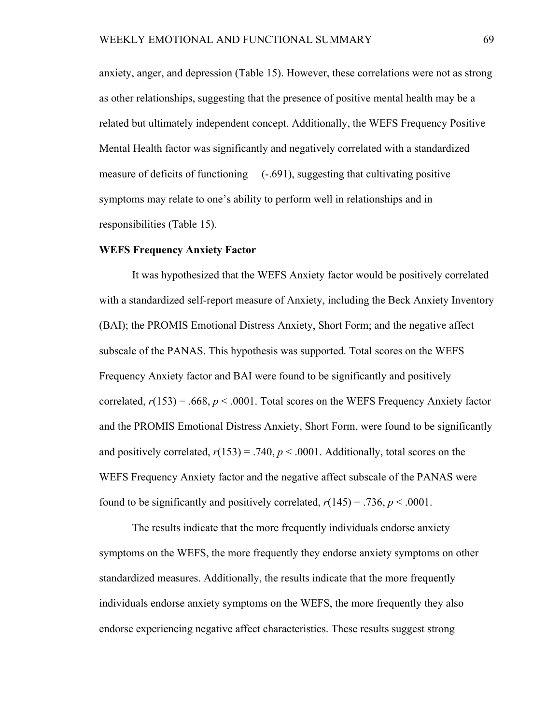anxiety, anger, and depression (Table 15). However, these correlations were not as strong as other relationships, suggesting that the presence of positive mental health may be a related but ultimately independent concept. Additionally, the WEFS Frequency Positive Mental Health factor was significantly and negatively correlated with a standardized measure of deficits of functioning  $(-.691)$ , suggesting that cultivating positive symptoms may relate to one's ability to perform well in relationships and in responsibilities (Table 15).

### **WEFS Frequency Anxiety Factor**

It was hypothesized that the WEFS Anxiety factor would be positively correlated with a standardized self-report measure of Anxiety, including the Beck Anxiety Inventory (BAI); the PROMIS Emotional Distress Anxiety, Short Form; and the negative affect subscale of the PANAS. This hypothesis was supported. Total scores on the WEFS Frequency Anxiety factor and BAI were found to be significantly and positively correlated,  $r(153) = .668$ ,  $p < .0001$ . Total scores on the WEFS Frequency Anxiety factor and the PROMIS Emotional Distress Anxiety, Short Form, were found to be significantly and positively correlated,  $r(153) = .740$ ,  $p < .0001$ . Additionally, total scores on the WEFS Frequency Anxiety factor and the negative affect subscale of the PANAS were found to be significantly and positively correlated,  $r(145) = .736$ ,  $p < .0001$ .

The results indicate that the more frequently individuals endorse anxiety symptoms on the WEFS, the more frequently they endorse anxiety symptoms on other standardized measures. Additionally, the results indicate that the more frequently individuals endorse anxiety symptoms on the WEFS, the more frequently they also endorse experiencing negative affect characteristics. These results suggest strong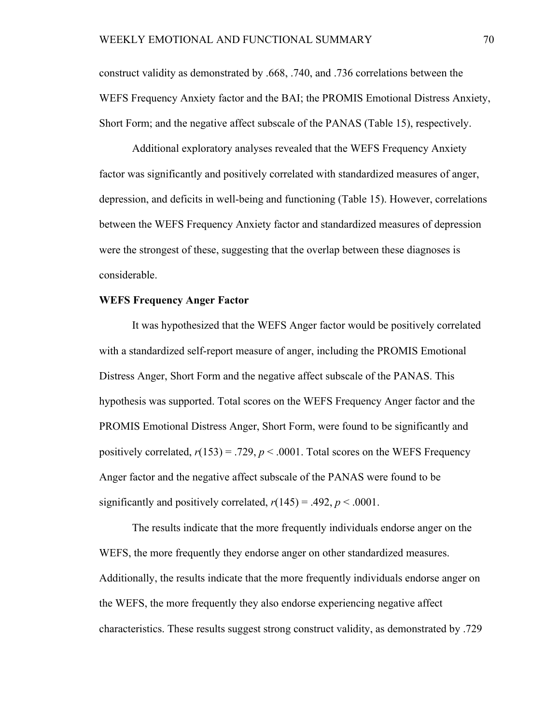construct validity as demonstrated by .668, .740, and .736 correlations between the WEFS Frequency Anxiety factor and the BAI; the PROMIS Emotional Distress Anxiety, Short Form; and the negative affect subscale of the PANAS (Table 15), respectively.

Additional exploratory analyses revealed that the WEFS Frequency Anxiety factor was significantly and positively correlated with standardized measures of anger, depression, and deficits in well-being and functioning (Table 15). However, correlations between the WEFS Frequency Anxiety factor and standardized measures of depression were the strongest of these, suggesting that the overlap between these diagnoses is considerable.

### **WEFS Frequency Anger Factor**

It was hypothesized that the WEFS Anger factor would be positively correlated with a standardized self-report measure of anger, including the PROMIS Emotional Distress Anger, Short Form and the negative affect subscale of the PANAS. This hypothesis was supported. Total scores on the WEFS Frequency Anger factor and the PROMIS Emotional Distress Anger, Short Form, were found to be significantly and positively correlated,  $r(153) = .729$ ,  $p < .0001$ . Total scores on the WEFS Frequency Anger factor and the negative affect subscale of the PANAS were found to be significantly and positively correlated,  $r(145) = .492$ ,  $p < .0001$ .

The results indicate that the more frequently individuals endorse anger on the WEFS, the more frequently they endorse anger on other standardized measures. Additionally, the results indicate that the more frequently individuals endorse anger on the WEFS, the more frequently they also endorse experiencing negative affect characteristics. These results suggest strong construct validity, as demonstrated by .729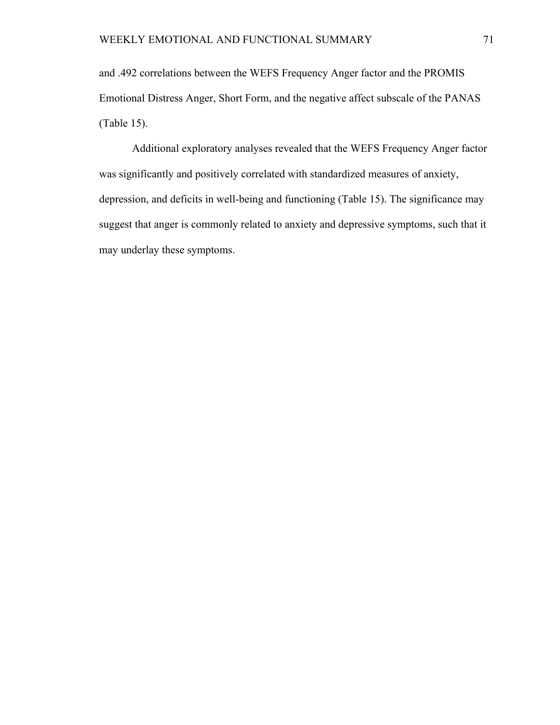and .492 correlations between the WEFS Frequency Anger factor and the PROMIS Emotional Distress Anger, Short Form, and the negative affect subscale of the PANAS (Table 15).

Additional exploratory analyses revealed that the WEFS Frequency Anger factor was significantly and positively correlated with standardized measures of anxiety, depression, and deficits in well-being and functioning (Table 15). The significance may suggest that anger is commonly related to anxiety and depressive symptoms, such that it may underlay these symptoms.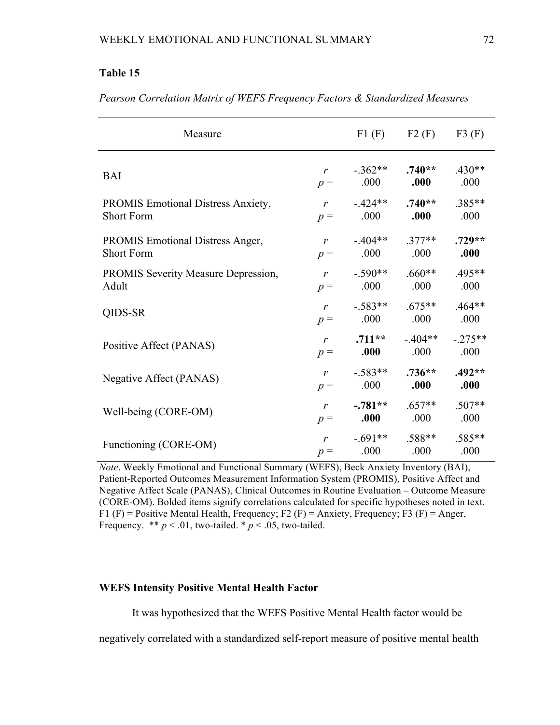# **Table 15**

| Measure                                    | F1(F)        | F2(F)                      | F3(F)            |                  |
|--------------------------------------------|--------------|----------------------------|------------------|------------------|
| <b>BAI</b>                                 | $r$ and $r$  | $-362**$                   | $.740**$         | $.430**$         |
|                                            | $p =$        | .000                       | .000             | .000             |
| PROMIS Emotional Distress Anxiety,         | $p =$        | $r = -424**$               | $.740**$         | .385**           |
| <b>Short Form</b>                          |              | .000                       | .000             | .000             |
| <b>PROMIS Emotional Distress Anger,</b>    | $r$ and $r$  | .000                       | $-404**$ .377**  | $.729**$         |
| <b>Short Form</b>                          | $p =$        |                            | .000             | .000             |
| <b>PROMIS Severity Measure Depression,</b> | $p =$        | $r = .590**$               | $.660**$         | $.495**$         |
| Adult                                      |              | .000                       | .000             | .000             |
| QIDS-SR                                    | $p =$        | $r = .583**$<br>.000       | $.675**$<br>.000 | $.464**$<br>.000 |
| Positive Affect (PANAS)                    | $p =$        | $r = .711**$<br>.000       | $-404**$<br>.000 | $-275**$<br>.000 |
| Negative Affect (PANAS)                    | $\mathbf{r}$ | $-583**$                   | $.736**$         | $.492**$         |
|                                            | $p =$        | .000                       | .000             | .000             |
| Well-being (CORE-OM)                       | r            | $-.781**$                  | $.657**$         | $.507**$         |
|                                            | $p =$        | .000                       | .000             | .000             |
| Functioning (CORE-OM)                      | $p =$        | $r = 691**$<br>$.000$ 0.00 | $.588**$         | $.585**$<br>.000 |

*Pearson Correlation Matrix of WEFS Frequency Factors & Standardized Measures* 

*Note*. Weekly Emotional and Functional Summary (WEFS), Beck Anxiety Inventory (BAI), Patient-Reported Outcomes Measurement Information System (PROMIS), Positive Affect and Negative Affect Scale (PANAS), Clinical Outcomes in Routine Evaluation – Outcome Measure (CORE-OM). Bolded items signify correlations calculated for specific hypotheses noted in text. F1 (F) = Positive Mental Health, Frequency; F2 (F) = Anxiety, Frequency; F3 (F) = Anger, Frequency.  $** p < .01$ , two-tailed.  $* p < .05$ , two-tailed.

### **WEFS Intensity Positive Mental Health Factor**

It was hypothesized that the WEFS Positive Mental Health factor would be

negatively correlated with a standardized self-report measure of positive mental health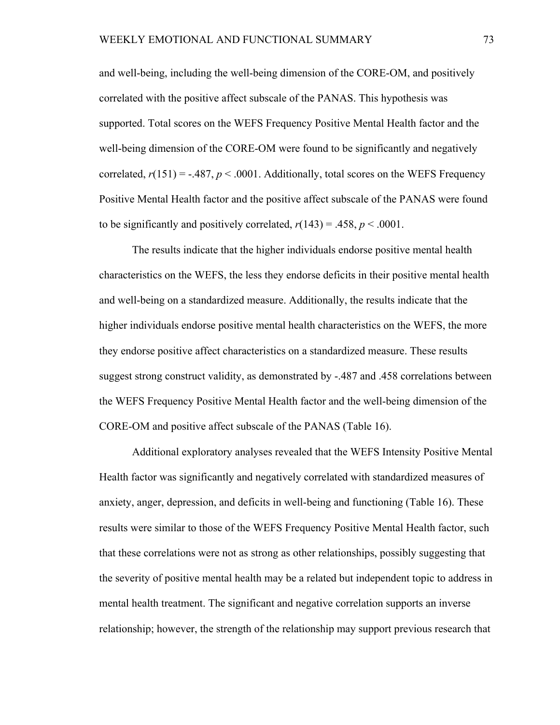and well-being, including the well-being dimension of the CORE-OM, and positively correlated with the positive affect subscale of the PANAS. This hypothesis was supported. Total scores on the WEFS Frequency Positive Mental Health factor and the well-being dimension of the CORE-OM were found to be significantly and negatively correlated,  $r(151) = -.487$ ,  $p < .0001$ . Additionally, total scores on the WEFS Frequency Positive Mental Health factor and the positive affect subscale of the PANAS were found to be significantly and positively correlated,  $r(143) = .458$ ,  $p < .0001$ .

The results indicate that the higher individuals endorse positive mental health characteristics on the WEFS, the less they endorse deficits in their positive mental health and well-being on a standardized measure. Additionally, the results indicate that the higher individuals endorse positive mental health characteristics on the WEFS, the more they endorse positive affect characteristics on a standardized measure. These results suggest strong construct validity, as demonstrated by -.487 and .458 correlations between the WEFS Frequency Positive Mental Health factor and the well-being dimension of the CORE-OM and positive affect subscale of the PANAS (Table 16).

Additional exploratory analyses revealed that the WEFS Intensity Positive Mental Health factor was significantly and negatively correlated with standardized measures of anxiety, anger, depression, and deficits in well-being and functioning (Table 16). These results were similar to those of the WEFS Frequency Positive Mental Health factor, such that these correlations were not as strong as other relationships, possibly suggesting that the severity of positive mental health may be a related but independent topic to address in mental health treatment. The significant and negative correlation supports an inverse relationship; however, the strength of the relationship may support previous research that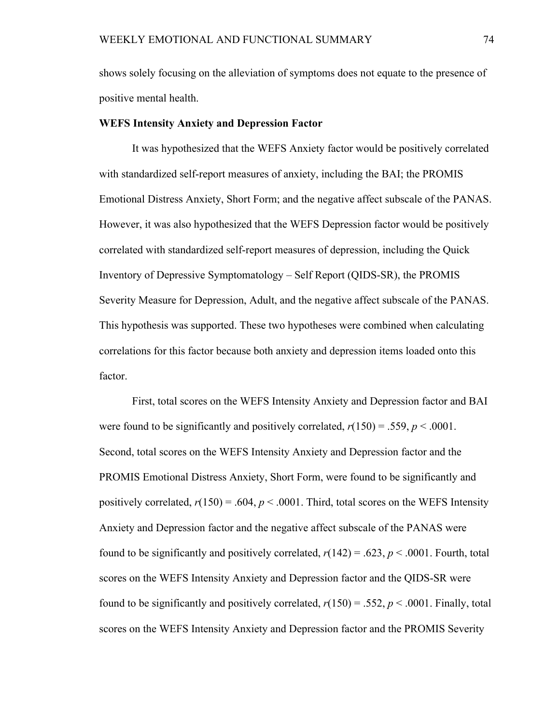shows solely focusing on the alleviation of symptoms does not equate to the presence of positive mental health.

### **WEFS Intensity Anxiety and Depression Factor**

It was hypothesized that the WEFS Anxiety factor would be positively correlated with standardized self-report measures of anxiety, including the BAI; the PROMIS Emotional Distress Anxiety, Short Form; and the negative affect subscale of the PANAS. However, it was also hypothesized that the WEFS Depression factor would be positively correlated with standardized self-report measures of depression, including the Quick Inventory of Depressive Symptomatology – Self Report (QIDS-SR), the PROMIS Severity Measure for Depression, Adult, and the negative affect subscale of the PANAS. This hypothesis was supported. These two hypotheses were combined when calculating correlations for this factor because both anxiety and depression items loaded onto this factor.

First, total scores on the WEFS Intensity Anxiety and Depression factor and BAI were found to be significantly and positively correlated,  $r(150) = .559$ ,  $p < .0001$ . Second, total scores on the WEFS Intensity Anxiety and Depression factor and the PROMIS Emotional Distress Anxiety, Short Form, were found to be significantly and positively correlated,  $r(150) = .604$ ,  $p < .0001$ . Third, total scores on the WEFS Intensity Anxiety and Depression factor and the negative affect subscale of the PANAS were found to be significantly and positively correlated,  $r(142) = .623$ ,  $p < .0001$ . Fourth, total scores on the WEFS Intensity Anxiety and Depression factor and the QIDS-SR were found to be significantly and positively correlated,  $r(150) = .552$ ,  $p < .0001$ . Finally, total scores on the WEFS Intensity Anxiety and Depression factor and the PROMIS Severity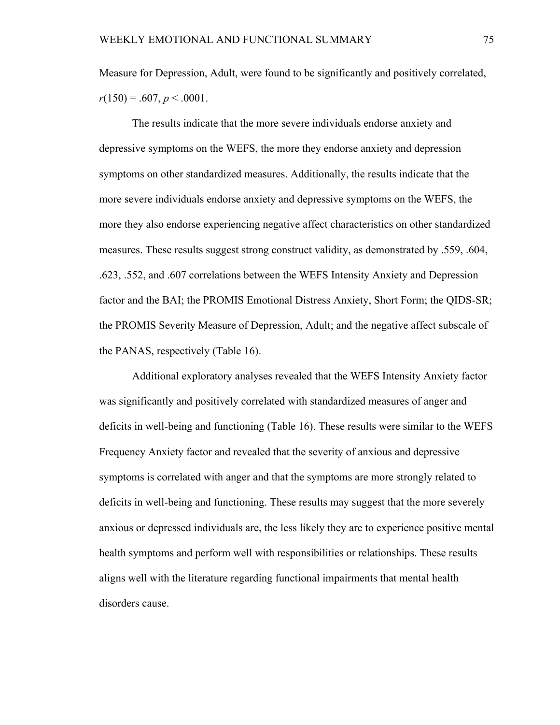Measure for Depression, Adult, were found to be significantly and positively correlated,  $r(150) = .607, p < .0001.$ 

The results indicate that the more severe individuals endorse anxiety and depressive symptoms on the WEFS, the more they endorse anxiety and depression symptoms on other standardized measures. Additionally, the results indicate that the more severe individuals endorse anxiety and depressive symptoms on the WEFS, the more they also endorse experiencing negative affect characteristics on other standardized measures. These results suggest strong construct validity, as demonstrated by .559, .604, .623, .552, and .607 correlations between the WEFS Intensity Anxiety and Depression factor and the BAI; the PROMIS Emotional Distress Anxiety, Short Form; the QIDS-SR; the PROMIS Severity Measure of Depression, Adult; and the negative affect subscale of the PANAS, respectively (Table 16).

Additional exploratory analyses revealed that the WEFS Intensity Anxiety factor was significantly and positively correlated with standardized measures of anger and deficits in well-being and functioning (Table 16). These results were similar to the WEFS Frequency Anxiety factor and revealed that the severity of anxious and depressive symptoms is correlated with anger and that the symptoms are more strongly related to deficits in well-being and functioning. These results may suggest that the more severely anxious or depressed individuals are, the less likely they are to experience positive mental health symptoms and perform well with responsibilities or relationships. These results aligns well with the literature regarding functional impairments that mental health disorders cause.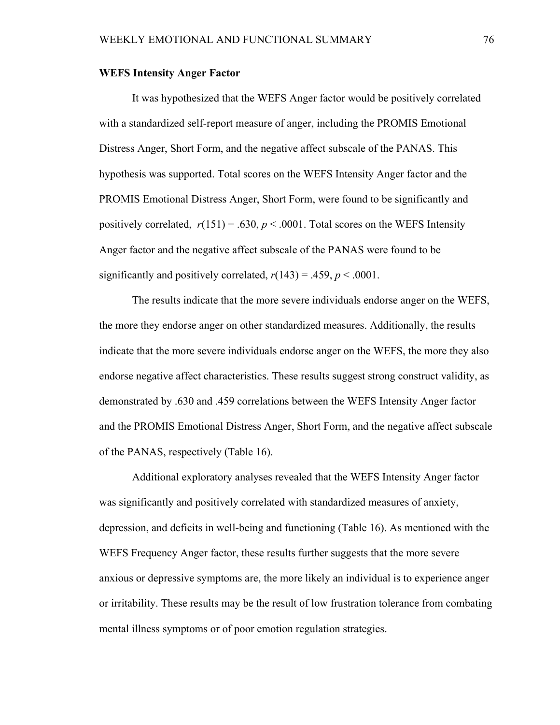### **WEFS Intensity Anger Factor**

It was hypothesized that the WEFS Anger factor would be positively correlated with a standardized self-report measure of anger, including the PROMIS Emotional Distress Anger, Short Form, and the negative affect subscale of the PANAS. This hypothesis was supported. Total scores on the WEFS Intensity Anger factor and the PROMIS Emotional Distress Anger, Short Form, were found to be significantly and positively correlated,  $r(151) = .630$ ,  $p < .0001$ . Total scores on the WEFS Intensity Anger factor and the negative affect subscale of the PANAS were found to be significantly and positively correlated,  $r(143) = .459$ ,  $p < .0001$ .

The results indicate that the more severe individuals endorse anger on the WEFS, the more they endorse anger on other standardized measures. Additionally, the results indicate that the more severe individuals endorse anger on the WEFS, the more they also endorse negative affect characteristics. These results suggest strong construct validity, as demonstrated by .630 and .459 correlations between the WEFS Intensity Anger factor and the PROMIS Emotional Distress Anger, Short Form, and the negative affect subscale of the PANAS, respectively (Table 16).

Additional exploratory analyses revealed that the WEFS Intensity Anger factor was significantly and positively correlated with standardized measures of anxiety, depression, and deficits in well-being and functioning (Table 16). As mentioned with the WEFS Frequency Anger factor, these results further suggests that the more severe anxious or depressive symptoms are, the more likely an individual is to experience anger or irritability. These results may be the result of low frustration tolerance from combating mental illness symptoms or of poor emotion regulation strategies.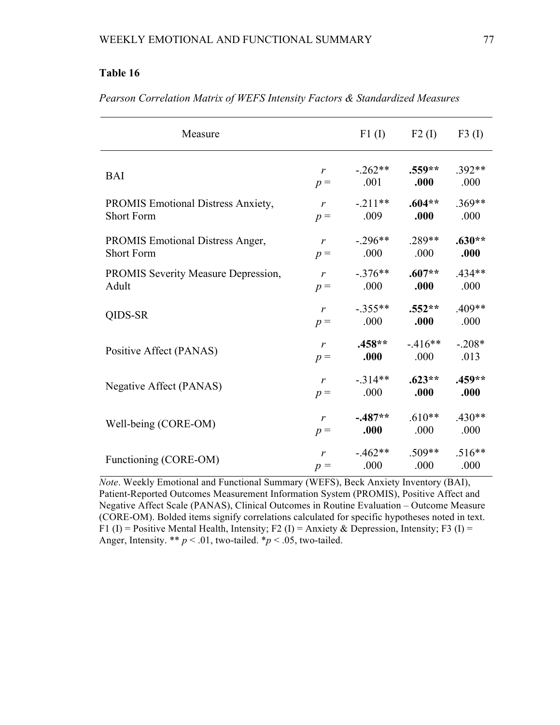# **Table 16**

| Measure                                   | F1(I)        | F2(I)      | F3(I)    |          |
|-------------------------------------------|--------------|------------|----------|----------|
| <b>BAI</b>                                | $\mathbf{r}$ | $-262**$   | $.559**$ | .392**   |
|                                           | $p =$        | .001       | .000     | .000     |
| <b>PROMIS Emotional Distress Anxiety,</b> | $\mathbf{r}$ | $-.211**$  | $.604**$ | $.369**$ |
| <b>Short Form</b>                         | $p =$        | .009       | .000     | .000     |
| <b>PROMIS Emotional Distress Anger,</b>   | $\mathbf{r}$ | $-0.296**$ | .289**   | $.630**$ |
| <b>Short Form</b>                         | $p =$        | .000       | .000     | .000     |
| PROMIS Severity Measure Depression,       | $\mathbf{r}$ | $-376**$   | $.607**$ | $434**$  |
| Adult                                     | $p =$        | .000       | .000     | .000     |
| QIDS-SR                                   | $\mathbf{r}$ | $-.355**$  | $.552**$ | $.409**$ |
|                                           | $p =$        | .000       | .000     | .000     |
| Positive Affect (PANAS)                   | $\mathbf{r}$ | $.458**$   | $-416**$ | $-.208*$ |
|                                           | $p =$        | .000       | .000     | .013     |
| Negative Affect (PANAS)                   | $\mathbf{r}$ | $-314**$   | $.623**$ | $.459**$ |
|                                           | $p =$        | .000       | .000     | .000     |
| Well-being (CORE-OM)                      | $\mathbf{r}$ | $-487**$   | $.610**$ | $.430**$ |
|                                           | $p =$        | .000       | .000     | .000     |
| Functioning (CORE-OM)                     | $\mathbf{r}$ | $-462**$   | $.509**$ | $.516**$ |
|                                           | $p =$        | .000       | .000     | .000     |

*Pearson Correlation Matrix of WEFS Intensity Factors & Standardized Measures* 

*Note*. Weekly Emotional and Functional Summary (WEFS), Beck Anxiety Inventory (BAI), Patient-Reported Outcomes Measurement Information System (PROMIS), Positive Affect and Negative Affect Scale (PANAS), Clinical Outcomes in Routine Evaluation – Outcome Measure (CORE-OM). Bolded items signify correlations calculated for specific hypotheses noted in text. F1 (I) = Positive Mental Health, Intensity; F2 (I) = Anxiety & Depression, Intensity; F3 (I) = Anger, Intensity. \*\*  $p < .01$ , two-tailed. \* $p < .05$ , two-tailed.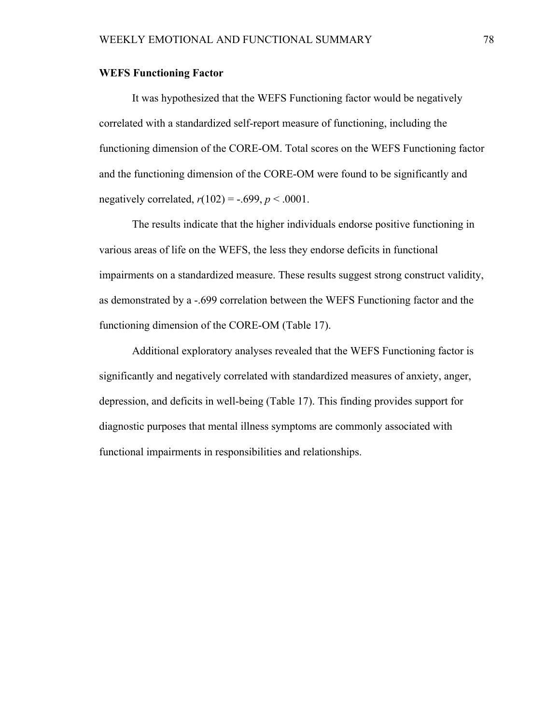### **WEFS Functioning Factor**

It was hypothesized that the WEFS Functioning factor would be negatively correlated with a standardized self-report measure of functioning, including the functioning dimension of the CORE-OM. Total scores on the WEFS Functioning factor and the functioning dimension of the CORE-OM were found to be significantly and negatively correlated,  $r(102) = -.699$ ,  $p < .0001$ .

The results indicate that the higher individuals endorse positive functioning in various areas of life on the WEFS, the less they endorse deficits in functional impairments on a standardized measure. These results suggest strong construct validity, as demonstrated by a -.699 correlation between the WEFS Functioning factor and the functioning dimension of the CORE-OM (Table 17).

Additional exploratory analyses revealed that the WEFS Functioning factor is significantly and negatively correlated with standardized measures of anxiety, anger, depression, and deficits in well-being (Table 17). This finding provides support for diagnostic purposes that mental illness symptoms are commonly associated with functional impairments in responsibilities and relationships.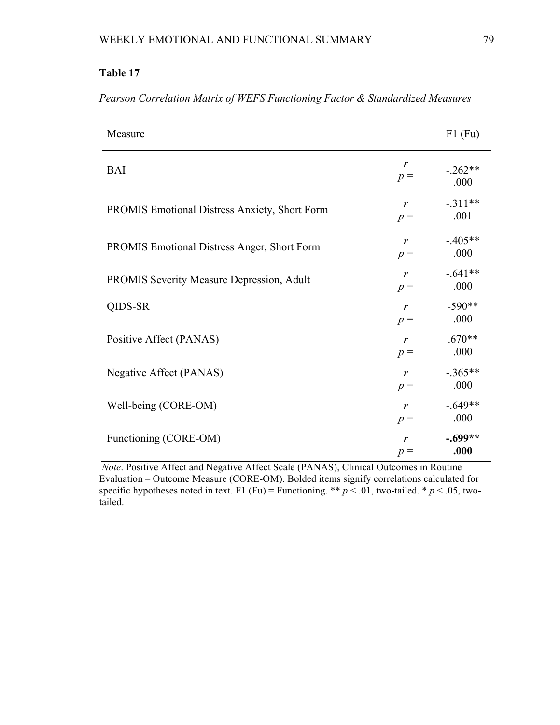# **Table 17**

| Measure                                              |                       | $F1$ (Fu)         |
|------------------------------------------------------|-----------------------|-------------------|
| <b>BAI</b>                                           | r<br>$p =$            | $-.262**$<br>.000 |
| <b>PROMIS Emotional Distress Anxiety, Short Form</b> | r<br>$p =$            | $-.311**$<br>.001 |
| PROMIS Emotional Distress Anger, Short Form          | $\mathbf{r}$<br>$p =$ | $-405**$<br>.000  |
| <b>PROMIS Severity Measure Depression, Adult</b>     | $\mathbf{r}$<br>$p =$ | $-.641**$<br>.000 |
| QIDS-SR                                              | $\mathbf{r}$<br>$p =$ | $-590**$<br>.000  |
| Positive Affect (PANAS)                              | $\mathbf{r}$<br>$p =$ | $.670**$<br>.000  |
| Negative Affect (PANAS)                              | $\mathbf{r}$<br>$p =$ | $-.365**$<br>.000 |
| Well-being (CORE-OM)                                 | $\mathbf{r}$<br>$p =$ | $-.649**$<br>.000 |
| Functioning (CORE-OM)                                | $\mathbf{r}$<br>$p =$ | $-.699**$<br>.000 |

*Pearson Correlation Matrix of WEFS Functioning Factor & Standardized Measures* 

*Note*. Positive Affect and Negative Affect Scale (PANAS), Clinical Outcomes in Routine Evaluation – Outcome Measure (CORE-OM). Bolded items signify correlations calculated for specific hypotheses noted in text. F1 (Fu) = Functioning. \*\*  $p < 0.01$ , two-tailed. \*  $p < 0.05$ , twotailed.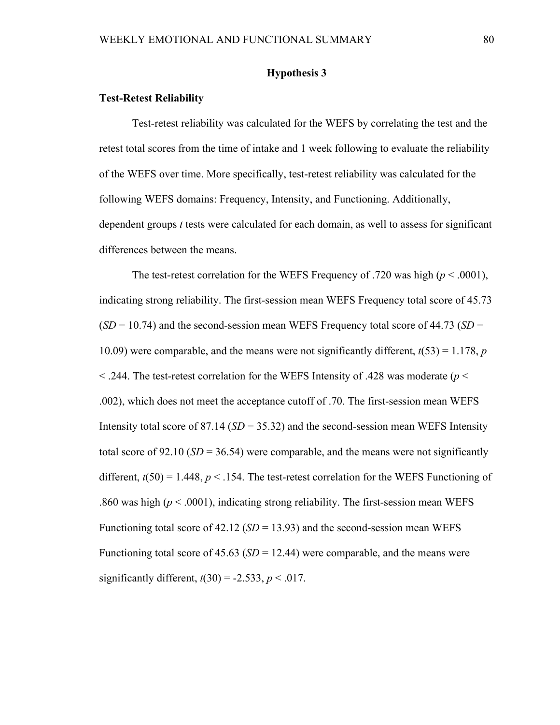## **Hypothesis 3**

### **Test-Retest Reliability**

Test-retest reliability was calculated for the WEFS by correlating the test and the retest total scores from the time of intake and 1 week following to evaluate the reliability of the WEFS over time. More specifically, test-retest reliability was calculated for the following WEFS domains: Frequency, Intensity, and Functioning. Additionally, dependent groups *t* tests were calculated for each domain, as well to assess for significant differences between the means.

The test-retest correlation for the WEFS Frequency of .720 was high  $(p < .0001)$ , indicating strong reliability. The first-session mean WEFS Frequency total score of 45.73 (*SD* = 10.74) and the second-session mean WEFS Frequency total score of 44.73 (*SD* = 10.09) were comparable, and the means were not significantly different, *t*(53) = 1.178, *p* < .244. The test-retest correlation for the WEFS Intensity of .428 was moderate (*p* < .002), which does not meet the acceptance cutoff of .70. The first-session mean WEFS Intensity total score of 87.14 (*SD* = 35.32) and the second-session mean WEFS Intensity total score of  $92.10$  ( $SD = 36.54$ ) were comparable, and the means were not significantly different,  $t(50) = 1.448$ ,  $p < .154$ . The test-retest correlation for the WEFS Functioning of .860 was high (*p* < .0001), indicating strong reliability. The first-session mean WEFS Functioning total score of 42.12 ( $SD = 13.93$ ) and the second-session mean WEFS Functioning total score of  $45.63$  (*SD* = 12.44) were comparable, and the means were significantly different,  $t(30) = -2.533$ ,  $p < .017$ .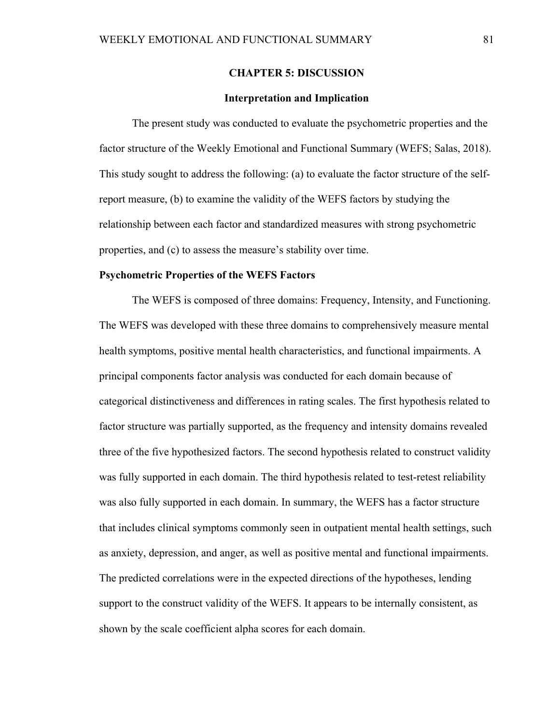### **CHAPTER 5: DISCUSSION**

### **Interpretation and Implication**

 The present study was conducted to evaluate the psychometric properties and the factor structure of the Weekly Emotional and Functional Summary (WEFS; Salas, 2018). This study sought to address the following: (a) to evaluate the factor structure of the selfreport measure, (b) to examine the validity of the WEFS factors by studying the relationship between each factor and standardized measures with strong psychometric properties, and (c) to assess the measure's stability over time.

#### **Psychometric Properties of the WEFS Factors**

 The WEFS is composed of three domains: Frequency, Intensity, and Functioning. The WEFS was developed with these three domains to comprehensively measure mental health symptoms, positive mental health characteristics, and functional impairments. A principal components factor analysis was conducted for each domain because of categorical distinctiveness and differences in rating scales. The first hypothesis related to factor structure was partially supported, as the frequency and intensity domains revealed three of the five hypothesized factors. The second hypothesis related to construct validity was fully supported in each domain. The third hypothesis related to test-retest reliability was also fully supported in each domain. In summary, the WEFS has a factor structure that includes clinical symptoms commonly seen in outpatient mental health settings, such as anxiety, depression, and anger, as well as positive mental and functional impairments. The predicted correlations were in the expected directions of the hypotheses, lending support to the construct validity of the WEFS. It appears to be internally consistent, as shown by the scale coefficient alpha scores for each domain.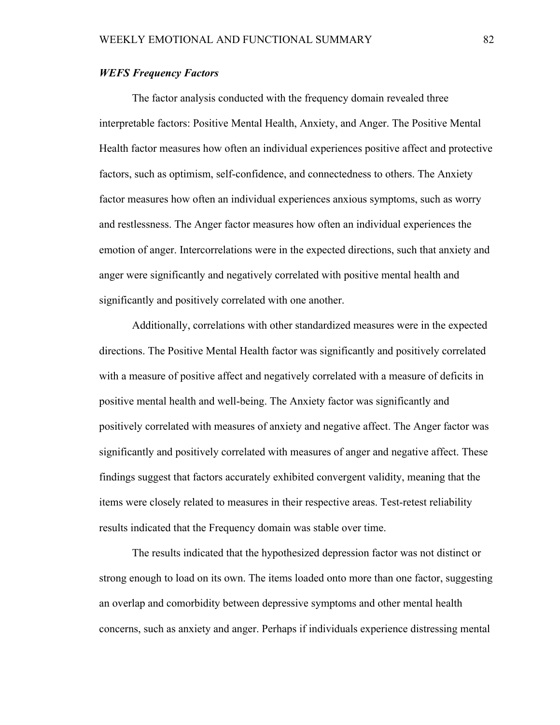## *WEFS Frequency Factors*

The factor analysis conducted with the frequency domain revealed three interpretable factors: Positive Mental Health, Anxiety, and Anger. The Positive Mental Health factor measures how often an individual experiences positive affect and protective factors, such as optimism, self-confidence, and connectedness to others. The Anxiety factor measures how often an individual experiences anxious symptoms, such as worry and restlessness. The Anger factor measures how often an individual experiences the emotion of anger. Intercorrelations were in the expected directions, such that anxiety and anger were significantly and negatively correlated with positive mental health and significantly and positively correlated with one another.

Additionally, correlations with other standardized measures were in the expected directions. The Positive Mental Health factor was significantly and positively correlated with a measure of positive affect and negatively correlated with a measure of deficits in positive mental health and well-being. The Anxiety factor was significantly and positively correlated with measures of anxiety and negative affect. The Anger factor was significantly and positively correlated with measures of anger and negative affect. These findings suggest that factors accurately exhibited convergent validity, meaning that the items were closely related to measures in their respective areas. Test-retest reliability results indicated that the Frequency domain was stable over time.

The results indicated that the hypothesized depression factor was not distinct or strong enough to load on its own. The items loaded onto more than one factor, suggesting an overlap and comorbidity between depressive symptoms and other mental health concerns, such as anxiety and anger. Perhaps if individuals experience distressing mental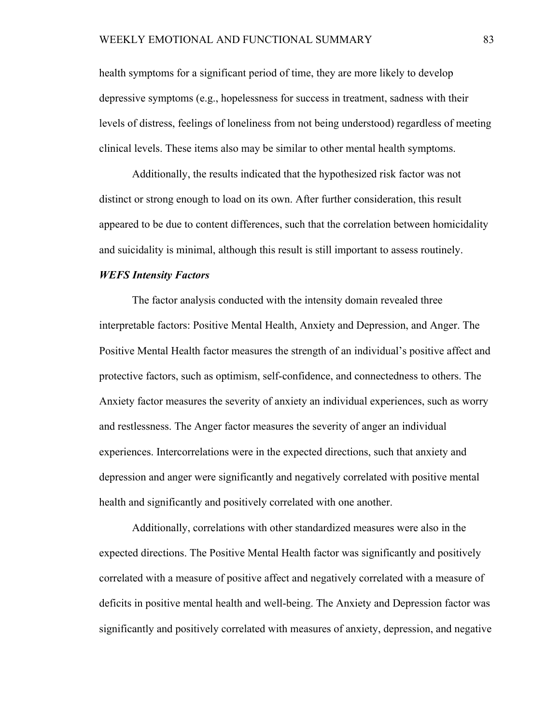health symptoms for a significant period of time, they are more likely to develop depressive symptoms (e.g., hopelessness for success in treatment, sadness with their levels of distress, feelings of loneliness from not being understood) regardless of meeting clinical levels. These items also may be similar to other mental health symptoms.

Additionally, the results indicated that the hypothesized risk factor was not distinct or strong enough to load on its own. After further consideration, this result appeared to be due to content differences, such that the correlation between homicidality and suicidality is minimal, although this result is still important to assess routinely.

#### *WEFS Intensity Factors*

The factor analysis conducted with the intensity domain revealed three interpretable factors: Positive Mental Health, Anxiety and Depression, and Anger. The Positive Mental Health factor measures the strength of an individual's positive affect and protective factors, such as optimism, self-confidence, and connectedness to others. The Anxiety factor measures the severity of anxiety an individual experiences, such as worry and restlessness. The Anger factor measures the severity of anger an individual experiences. Intercorrelations were in the expected directions, such that anxiety and depression and anger were significantly and negatively correlated with positive mental health and significantly and positively correlated with one another.

Additionally, correlations with other standardized measures were also in the expected directions. The Positive Mental Health factor was significantly and positively correlated with a measure of positive affect and negatively correlated with a measure of deficits in positive mental health and well-being. The Anxiety and Depression factor was significantly and positively correlated with measures of anxiety, depression, and negative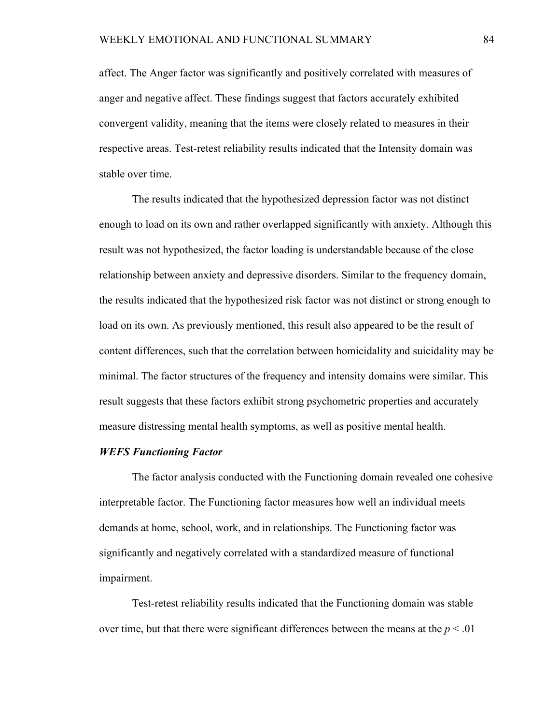affect. The Anger factor was significantly and positively correlated with measures of anger and negative affect. These findings suggest that factors accurately exhibited convergent validity, meaning that the items were closely related to measures in their respective areas. Test-retest reliability results indicated that the Intensity domain was stable over time.

The results indicated that the hypothesized depression factor was not distinct enough to load on its own and rather overlapped significantly with anxiety. Although this result was not hypothesized, the factor loading is understandable because of the close relationship between anxiety and depressive disorders. Similar to the frequency domain, the results indicated that the hypothesized risk factor was not distinct or strong enough to load on its own. As previously mentioned, this result also appeared to be the result of content differences, such that the correlation between homicidality and suicidality may be minimal. The factor structures of the frequency and intensity domains were similar. This result suggests that these factors exhibit strong psychometric properties and accurately measure distressing mental health symptoms, as well as positive mental health.

#### *WEFS Functioning Factor*

The factor analysis conducted with the Functioning domain revealed one cohesive interpretable factor. The Functioning factor measures how well an individual meets demands at home, school, work, and in relationships. The Functioning factor was significantly and negatively correlated with a standardized measure of functional impairment.

Test-retest reliability results indicated that the Functioning domain was stable over time, but that there were significant differences between the means at the  $p < .01$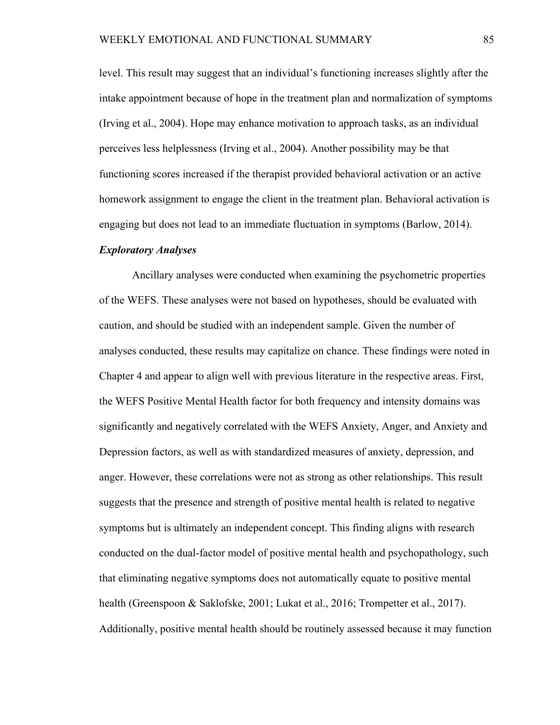level. This result may suggest that an individual's functioning increases slightly after the intake appointment because of hope in the treatment plan and normalization of symptoms (Irving et al., 2004). Hope may enhance motivation to approach tasks, as an individual perceives less helplessness (Irving et al., 2004). Another possibility may be that functioning scores increased if the therapist provided behavioral activation or an active homework assignment to engage the client in the treatment plan. Behavioral activation is engaging but does not lead to an immediate fluctuation in symptoms (Barlow, 2014).

### *Exploratory Analyses*

Ancillary analyses were conducted when examining the psychometric properties of the WEFS. These analyses were not based on hypotheses, should be evaluated with caution, and should be studied with an independent sample. Given the number of analyses conducted, these results may capitalize on chance. These findings were noted in Chapter 4 and appear to align well with previous literature in the respective areas. First, the WEFS Positive Mental Health factor for both frequency and intensity domains was significantly and negatively correlated with the WEFS Anxiety, Anger, and Anxiety and Depression factors, as well as with standardized measures of anxiety, depression, and anger. However, these correlations were not as strong as other relationships. This result suggests that the presence and strength of positive mental health is related to negative symptoms but is ultimately an independent concept. This finding aligns with research conducted on the dual-factor model of positive mental health and psychopathology, such that eliminating negative symptoms does not automatically equate to positive mental health (Greenspoon & Saklofske, 2001; Lukat et al., 2016; Trompetter et al., 2017). Additionally, positive mental health should be routinely assessed because it may function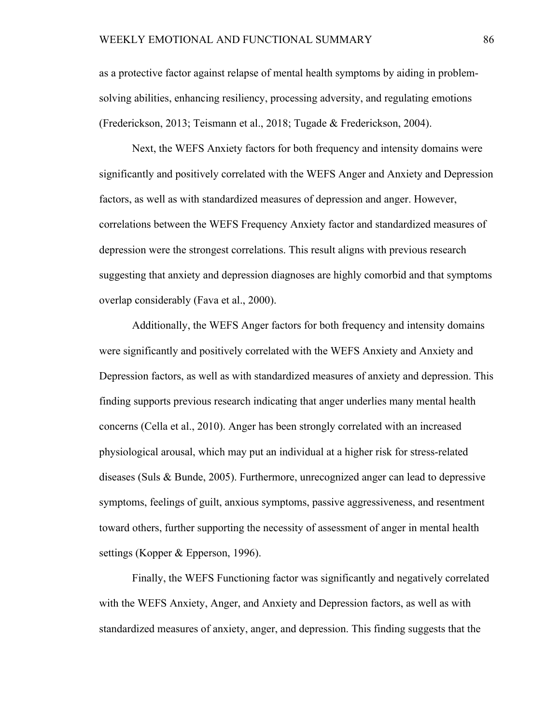as a protective factor against relapse of mental health symptoms by aiding in problemsolving abilities, enhancing resiliency, processing adversity, and regulating emotions (Frederickson, 2013; Teismann et al., 2018; Tugade & Frederickson, 2004).

Next, the WEFS Anxiety factors for both frequency and intensity domains were significantly and positively correlated with the WEFS Anger and Anxiety and Depression factors, as well as with standardized measures of depression and anger. However, correlations between the WEFS Frequency Anxiety factor and standardized measures of depression were the strongest correlations. This result aligns with previous research suggesting that anxiety and depression diagnoses are highly comorbid and that symptoms overlap considerably (Fava et al., 2000).

Additionally, the WEFS Anger factors for both frequency and intensity domains were significantly and positively correlated with the WEFS Anxiety and Anxiety and Depression factors, as well as with standardized measures of anxiety and depression. This finding supports previous research indicating that anger underlies many mental health concerns (Cella et al., 2010). Anger has been strongly correlated with an increased physiological arousal, which may put an individual at a higher risk for stress-related diseases (Suls & Bunde, 2005). Furthermore, unrecognized anger can lead to depressive symptoms, feelings of guilt, anxious symptoms, passive aggressiveness, and resentment toward others, further supporting the necessity of assessment of anger in mental health settings (Kopper & Epperson, 1996).

Finally, the WEFS Functioning factor was significantly and negatively correlated with the WEFS Anxiety, Anger, and Anxiety and Depression factors, as well as with standardized measures of anxiety, anger, and depression. This finding suggests that the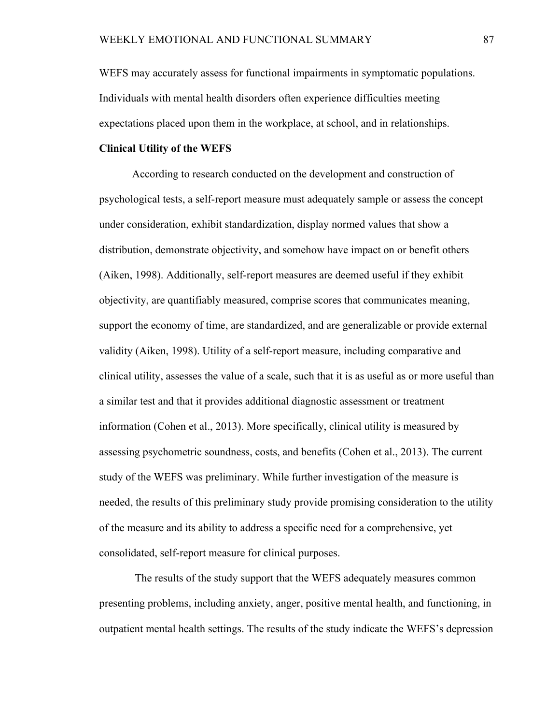WEFS may accurately assess for functional impairments in symptomatic populations. Individuals with mental health disorders often experience difficulties meeting expectations placed upon them in the workplace, at school, and in relationships.

### **Clinical Utility of the WEFS**

According to research conducted on the development and construction of psychological tests, a self-report measure must adequately sample or assess the concept under consideration, exhibit standardization, display normed values that show a distribution, demonstrate objectivity, and somehow have impact on or benefit others (Aiken, 1998). Additionally, self-report measures are deemed useful if they exhibit objectivity, are quantifiably measured, comprise scores that communicates meaning, support the economy of time, are standardized, and are generalizable or provide external validity (Aiken, 1998). Utility of a self-report measure, including comparative and clinical utility, assesses the value of a scale, such that it is as useful as or more useful than a similar test and that it provides additional diagnostic assessment or treatment information (Cohen et al., 2013). More specifically, clinical utility is measured by assessing psychometric soundness, costs, and benefits (Cohen et al., 2013). The current study of the WEFS was preliminary. While further investigation of the measure is needed, the results of this preliminary study provide promising consideration to the utility of the measure and its ability to address a specific need for a comprehensive, yet consolidated, self-report measure for clinical purposes.

 The results of the study support that the WEFS adequately measures common presenting problems, including anxiety, anger, positive mental health, and functioning, in outpatient mental health settings. The results of the study indicate the WEFS's depression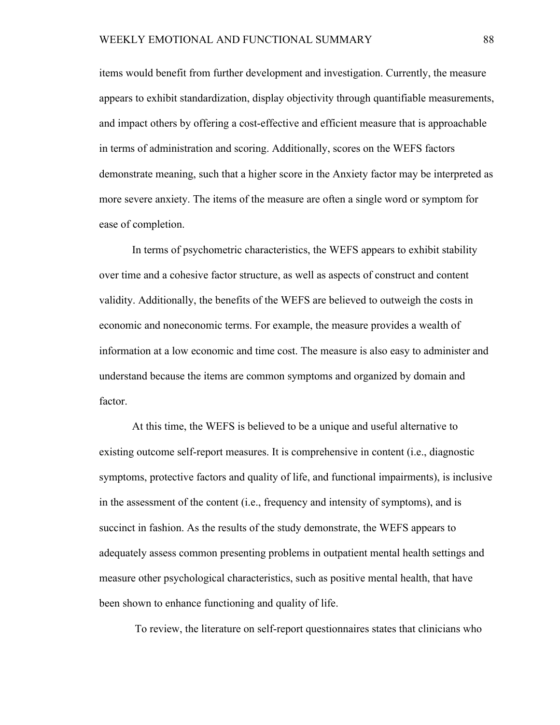items would benefit from further development and investigation. Currently, the measure appears to exhibit standardization, display objectivity through quantifiable measurements, and impact others by offering a cost-effective and efficient measure that is approachable in terms of administration and scoring. Additionally, scores on the WEFS factors demonstrate meaning, such that a higher score in the Anxiety factor may be interpreted as more severe anxiety. The items of the measure are often a single word or symptom for ease of completion.

In terms of psychometric characteristics, the WEFS appears to exhibit stability over time and a cohesive factor structure, as well as aspects of construct and content validity. Additionally, the benefits of the WEFS are believed to outweigh the costs in economic and noneconomic terms. For example, the measure provides a wealth of information at a low economic and time cost. The measure is also easy to administer and understand because the items are common symptoms and organized by domain and factor.

At this time, the WEFS is believed to be a unique and useful alternative to existing outcome self-report measures. It is comprehensive in content (i.e., diagnostic symptoms, protective factors and quality of life, and functional impairments), is inclusive in the assessment of the content (i.e., frequency and intensity of symptoms), and is succinct in fashion. As the results of the study demonstrate, the WEFS appears to adequately assess common presenting problems in outpatient mental health settings and measure other psychological characteristics, such as positive mental health, that have been shown to enhance functioning and quality of life.

To review, the literature on self-report questionnaires states that clinicians who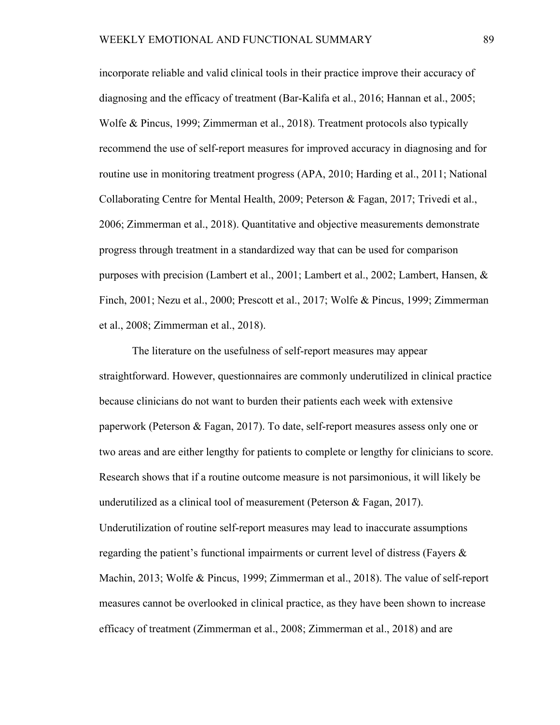incorporate reliable and valid clinical tools in their practice improve their accuracy of diagnosing and the efficacy of treatment (Bar-Kalifa et al., 2016; Hannan et al., 2005; Wolfe & Pincus, 1999; Zimmerman et al., 2018). Treatment protocols also typically recommend the use of self-report measures for improved accuracy in diagnosing and for routine use in monitoring treatment progress (APA, 2010; Harding et al., 2011; National Collaborating Centre for Mental Health, 2009; Peterson & Fagan, 2017; Trivedi et al., 2006; Zimmerman et al., 2018). Quantitative and objective measurements demonstrate progress through treatment in a standardized way that can be used for comparison purposes with precision (Lambert et al., 2001; Lambert et al., 2002; Lambert, Hansen, & Finch, 2001; Nezu et al., 2000; Prescott et al., 2017; Wolfe & Pincus, 1999; Zimmerman et al., 2008; Zimmerman et al., 2018).

The literature on the usefulness of self-report measures may appear straightforward. However, questionnaires are commonly underutilized in clinical practice because clinicians do not want to burden their patients each week with extensive paperwork (Peterson & Fagan, 2017). To date, self-report measures assess only one or two areas and are either lengthy for patients to complete or lengthy for clinicians to score. Research shows that if a routine outcome measure is not parsimonious, it will likely be underutilized as a clinical tool of measurement (Peterson & Fagan, 2017). Underutilization of routine self-report measures may lead to inaccurate assumptions regarding the patient's functional impairments or current level of distress (Fayers & Machin, 2013; Wolfe & Pincus, 1999; Zimmerman et al., 2018). The value of self-report measures cannot be overlooked in clinical practice, as they have been shown to increase efficacy of treatment (Zimmerman et al., 2008; Zimmerman et al., 2018) and are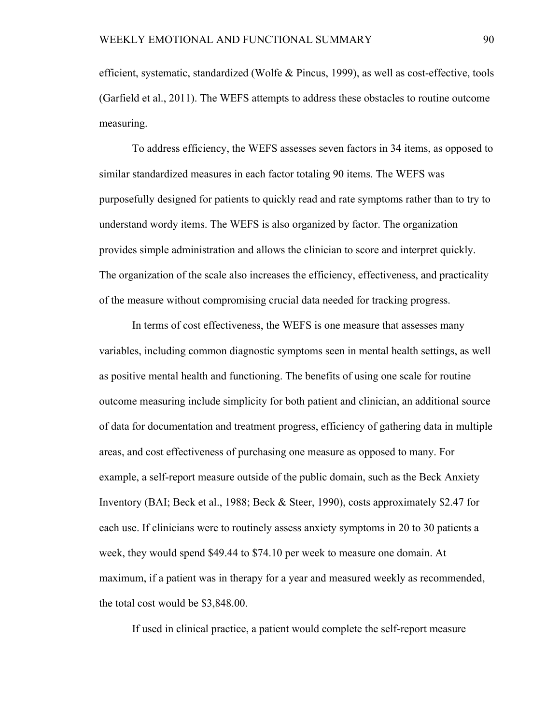efficient, systematic, standardized (Wolfe & Pincus, 1999), as well as cost-effective, tools (Garfield et al., 2011). The WEFS attempts to address these obstacles to routine outcome measuring.

To address efficiency, the WEFS assesses seven factors in 34 items, as opposed to similar standardized measures in each factor totaling 90 items. The WEFS was purposefully designed for patients to quickly read and rate symptoms rather than to try to understand wordy items. The WEFS is also organized by factor. The organization provides simple administration and allows the clinician to score and interpret quickly. The organization of the scale also increases the efficiency, effectiveness, and practicality of the measure without compromising crucial data needed for tracking progress.

In terms of cost effectiveness, the WEFS is one measure that assesses many variables, including common diagnostic symptoms seen in mental health settings, as well as positive mental health and functioning. The benefits of using one scale for routine outcome measuring include simplicity for both patient and clinician, an additional source of data for documentation and treatment progress, efficiency of gathering data in multiple areas, and cost effectiveness of purchasing one measure as opposed to many. For example, a self-report measure outside of the public domain, such as the Beck Anxiety Inventory (BAI; Beck et al., 1988; Beck & Steer, 1990), costs approximately \$2.47 for each use. If clinicians were to routinely assess anxiety symptoms in 20 to 30 patients a week, they would spend \$49.44 to \$74.10 per week to measure one domain. At maximum, if a patient was in therapy for a year and measured weekly as recommended, the total cost would be \$3,848.00.

If used in clinical practice, a patient would complete the self-report measure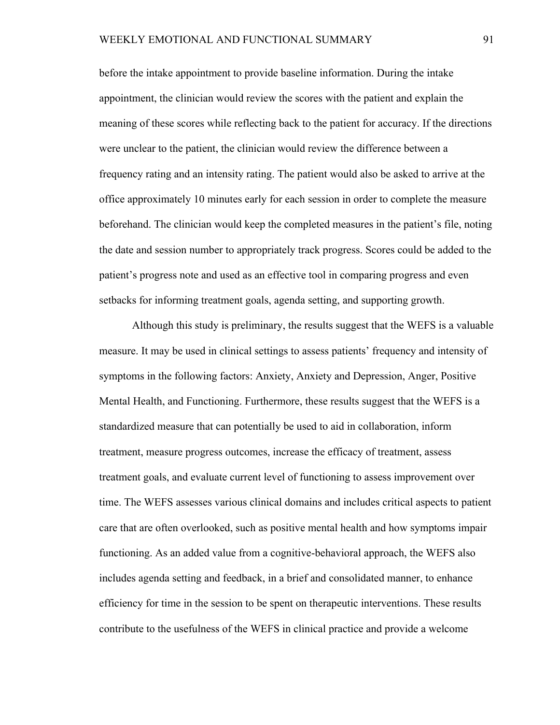before the intake appointment to provide baseline information. During the intake appointment, the clinician would review the scores with the patient and explain the meaning of these scores while reflecting back to the patient for accuracy. If the directions were unclear to the patient, the clinician would review the difference between a frequency rating and an intensity rating. The patient would also be asked to arrive at the office approximately 10 minutes early for each session in order to complete the measure beforehand. The clinician would keep the completed measures in the patient's file, noting the date and session number to appropriately track progress. Scores could be added to the patient's progress note and used as an effective tool in comparing progress and even setbacks for informing treatment goals, agenda setting, and supporting growth.

Although this study is preliminary, the results suggest that the WEFS is a valuable measure. It may be used in clinical settings to assess patients' frequency and intensity of symptoms in the following factors: Anxiety, Anxiety and Depression, Anger, Positive Mental Health, and Functioning. Furthermore, these results suggest that the WEFS is a standardized measure that can potentially be used to aid in collaboration, inform treatment, measure progress outcomes, increase the efficacy of treatment, assess treatment goals, and evaluate current level of functioning to assess improvement over time. The WEFS assesses various clinical domains and includes critical aspects to patient care that are often overlooked, such as positive mental health and how symptoms impair functioning. As an added value from a cognitive-behavioral approach, the WEFS also includes agenda setting and feedback, in a brief and consolidated manner, to enhance efficiency for time in the session to be spent on therapeutic interventions. These results contribute to the usefulness of the WEFS in clinical practice and provide a welcome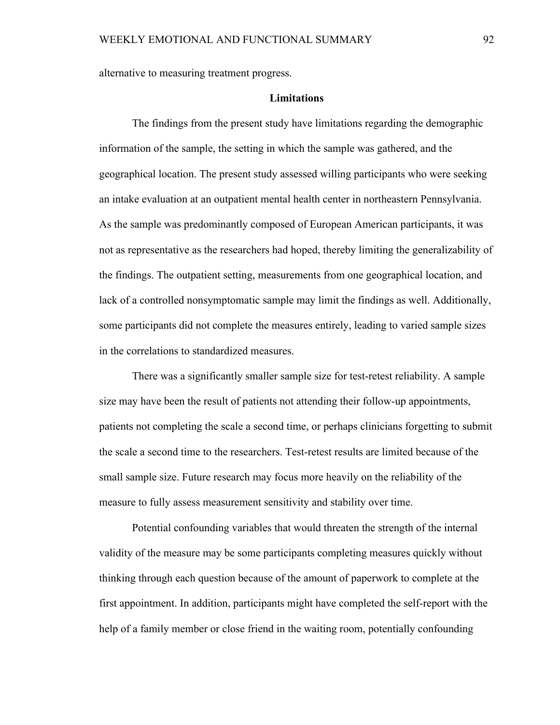alternative to measuring treatment progress.

### **Limitations**

The findings from the present study have limitations regarding the demographic information of the sample, the setting in which the sample was gathered, and the geographical location. The present study assessed willing participants who were seeking an intake evaluation at an outpatient mental health center in northeastern Pennsylvania. As the sample was predominantly composed of European American participants, it was not as representative as the researchers had hoped, thereby limiting the generalizability of the findings. The outpatient setting, measurements from one geographical location, and lack of a controlled nonsymptomatic sample may limit the findings as well. Additionally, some participants did not complete the measures entirely, leading to varied sample sizes in the correlations to standardized measures.

There was a significantly smaller sample size for test-retest reliability. A sample size may have been the result of patients not attending their follow-up appointments, patients not completing the scale a second time, or perhaps clinicians forgetting to submit the scale a second time to the researchers. Test-retest results are limited because of the small sample size. Future research may focus more heavily on the reliability of the measure to fully assess measurement sensitivity and stability over time.

Potential confounding variables that would threaten the strength of the internal validity of the measure may be some participants completing measures quickly without thinking through each question because of the amount of paperwork to complete at the first appointment. In addition, participants might have completed the self-report with the help of a family member or close friend in the waiting room, potentially confounding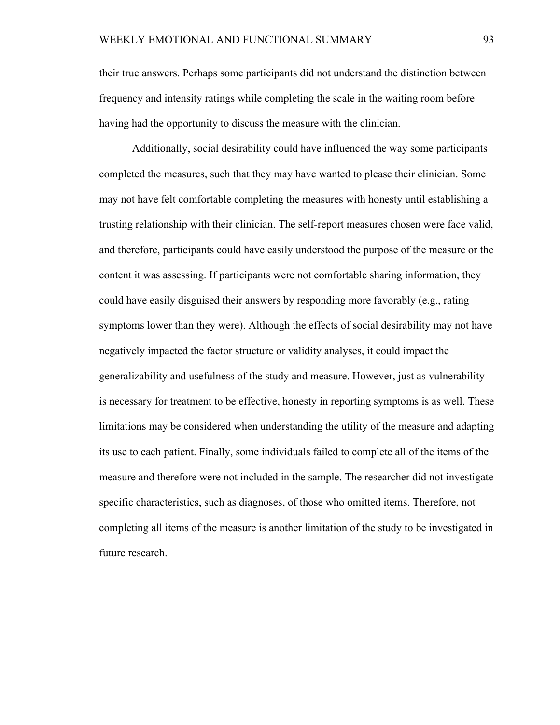their true answers. Perhaps some participants did not understand the distinction between frequency and intensity ratings while completing the scale in the waiting room before having had the opportunity to discuss the measure with the clinician.

Additionally, social desirability could have influenced the way some participants completed the measures, such that they may have wanted to please their clinician. Some may not have felt comfortable completing the measures with honesty until establishing a trusting relationship with their clinician. The self-report measures chosen were face valid, and therefore, participants could have easily understood the purpose of the measure or the content it was assessing. If participants were not comfortable sharing information, they could have easily disguised their answers by responding more favorably (e.g., rating symptoms lower than they were). Although the effects of social desirability may not have negatively impacted the factor structure or validity analyses, it could impact the generalizability and usefulness of the study and measure. However, just as vulnerability is necessary for treatment to be effective, honesty in reporting symptoms is as well. These limitations may be considered when understanding the utility of the measure and adapting its use to each patient. Finally, some individuals failed to complete all of the items of the measure and therefore were not included in the sample. The researcher did not investigate specific characteristics, such as diagnoses, of those who omitted items. Therefore, not completing all items of the measure is another limitation of the study to be investigated in future research.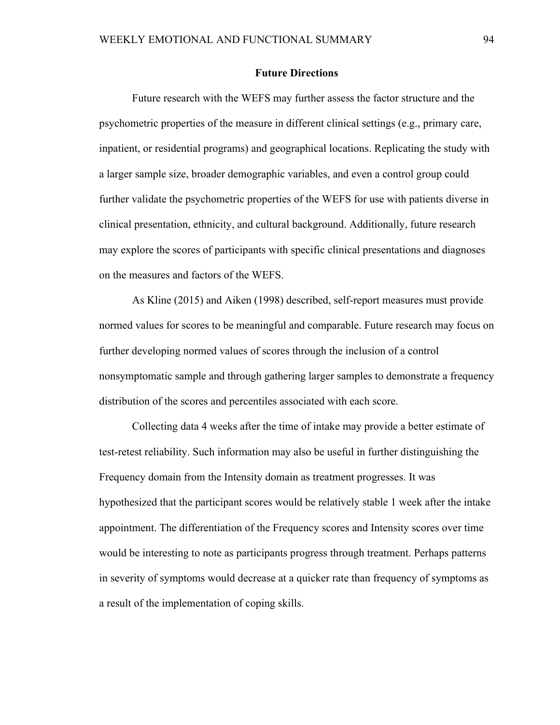### **Future Directions**

Future research with the WEFS may further assess the factor structure and the psychometric properties of the measure in different clinical settings (e.g., primary care, inpatient, or residential programs) and geographical locations. Replicating the study with a larger sample size, broader demographic variables, and even a control group could further validate the psychometric properties of the WEFS for use with patients diverse in clinical presentation, ethnicity, and cultural background. Additionally, future research may explore the scores of participants with specific clinical presentations and diagnoses on the measures and factors of the WEFS.

As Kline (2015) and Aiken (1998) described, self-report measures must provide normed values for scores to be meaningful and comparable. Future research may focus on further developing normed values of scores through the inclusion of a control nonsymptomatic sample and through gathering larger samples to demonstrate a frequency distribution of the scores and percentiles associated with each score.

Collecting data 4 weeks after the time of intake may provide a better estimate of test-retest reliability. Such information may also be useful in further distinguishing the Frequency domain from the Intensity domain as treatment progresses. It was hypothesized that the participant scores would be relatively stable 1 week after the intake appointment. The differentiation of the Frequency scores and Intensity scores over time would be interesting to note as participants progress through treatment. Perhaps patterns in severity of symptoms would decrease at a quicker rate than frequency of symptoms as a result of the implementation of coping skills.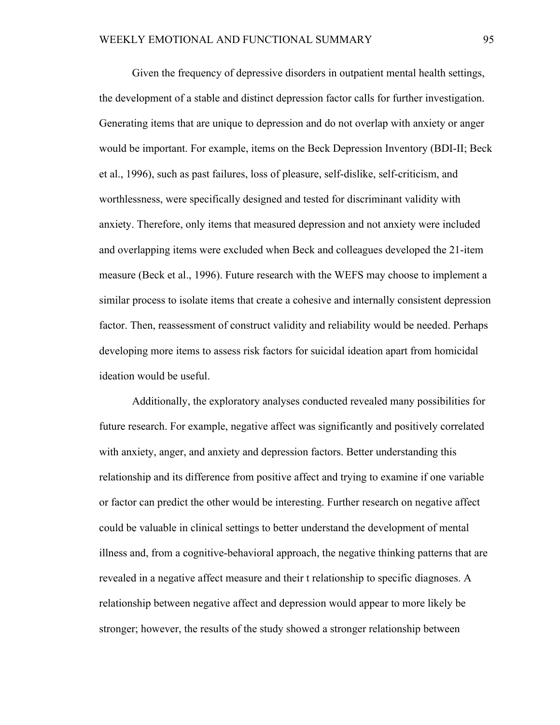Given the frequency of depressive disorders in outpatient mental health settings, the development of a stable and distinct depression factor calls for further investigation. Generating items that are unique to depression and do not overlap with anxiety or anger would be important. For example, items on the Beck Depression Inventory (BDI-II; Beck et al., 1996), such as past failures, loss of pleasure, self-dislike, self-criticism, and worthlessness, were specifically designed and tested for discriminant validity with anxiety. Therefore, only items that measured depression and not anxiety were included and overlapping items were excluded when Beck and colleagues developed the 21-item measure (Beck et al., 1996). Future research with the WEFS may choose to implement a similar process to isolate items that create a cohesive and internally consistent depression factor. Then, reassessment of construct validity and reliability would be needed. Perhaps developing more items to assess risk factors for suicidal ideation apart from homicidal ideation would be useful.

Additionally, the exploratory analyses conducted revealed many possibilities for future research. For example, negative affect was significantly and positively correlated with anxiety, anger, and anxiety and depression factors. Better understanding this relationship and its difference from positive affect and trying to examine if one variable or factor can predict the other would be interesting. Further research on negative affect could be valuable in clinical settings to better understand the development of mental illness and, from a cognitive-behavioral approach, the negative thinking patterns that are revealed in a negative affect measure and their t relationship to specific diagnoses. A relationship between negative affect and depression would appear to more likely be stronger; however, the results of the study showed a stronger relationship between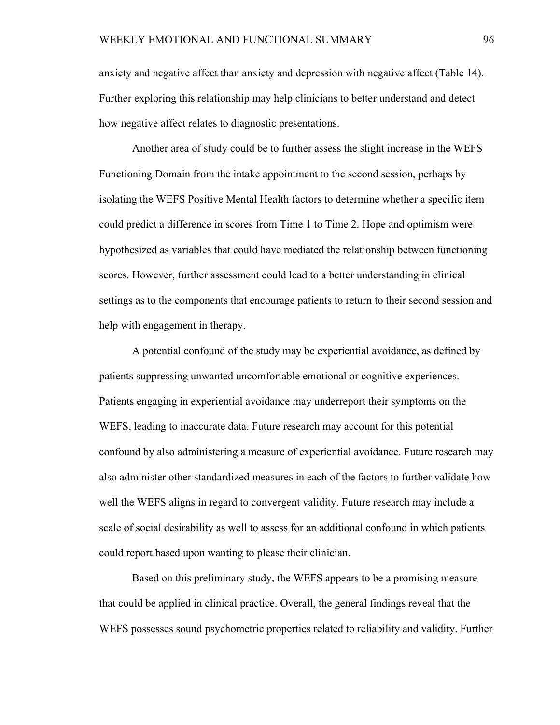anxiety and negative affect than anxiety and depression with negative affect (Table 14). Further exploring this relationship may help clinicians to better understand and detect how negative affect relates to diagnostic presentations.

Another area of study could be to further assess the slight increase in the WEFS Functioning Domain from the intake appointment to the second session, perhaps by isolating the WEFS Positive Mental Health factors to determine whether a specific item could predict a difference in scores from Time 1 to Time 2. Hope and optimism were hypothesized as variables that could have mediated the relationship between functioning scores. However, further assessment could lead to a better understanding in clinical settings as to the components that encourage patients to return to their second session and help with engagement in therapy.

A potential confound of the study may be experiential avoidance, as defined by patients suppressing unwanted uncomfortable emotional or cognitive experiences. Patients engaging in experiential avoidance may underreport their symptoms on the WEFS, leading to inaccurate data. Future research may account for this potential confound by also administering a measure of experiential avoidance. Future research may also administer other standardized measures in each of the factors to further validate how well the WEFS aligns in regard to convergent validity. Future research may include a scale of social desirability as well to assess for an additional confound in which patients could report based upon wanting to please their clinician.

Based on this preliminary study, the WEFS appears to be a promising measure that could be applied in clinical practice. Overall, the general findings reveal that the WEFS possesses sound psychometric properties related to reliability and validity. Further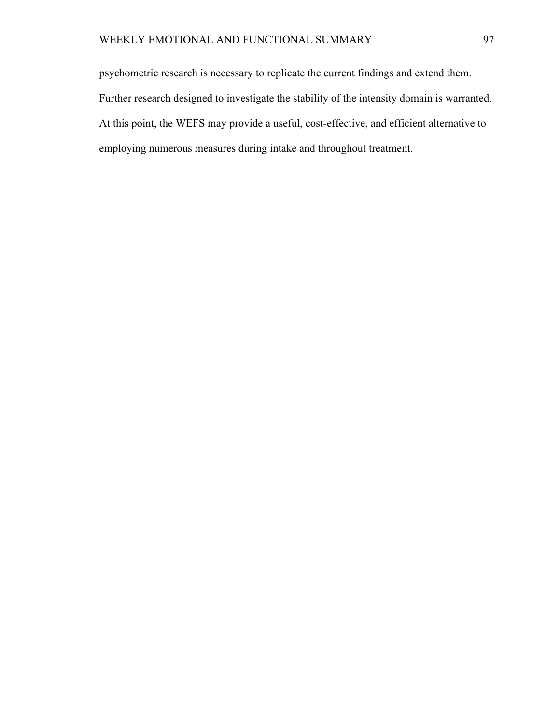psychometric research is necessary to replicate the current findings and extend them. Further research designed to investigate the stability of the intensity domain is warranted. At this point, the WEFS may provide a useful, cost-effective, and efficient alternative to employing numerous measures during intake and throughout treatment.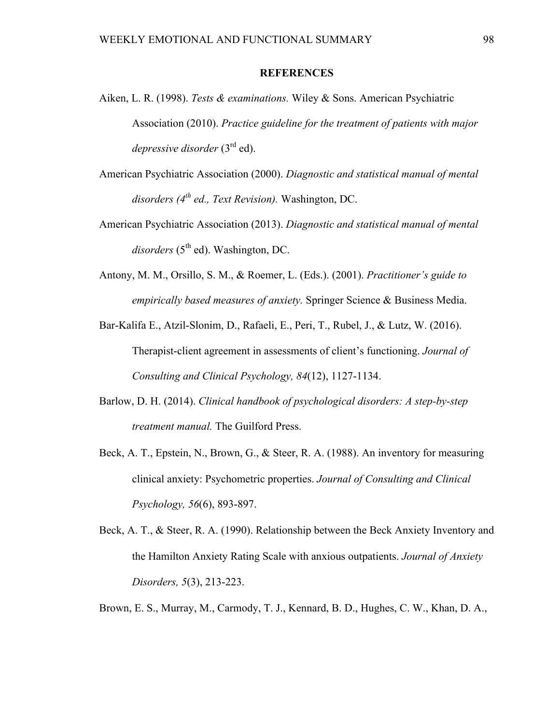### **REFERENCES**

- Aiken, L. R. (1998). *Tests & examinations.* Wiley & Sons. American Psychiatric Association (2010). *Practice guideline for the treatment of patients with major depressive disorder* (3<sup>rd</sup> ed).
- American Psychiatric Association (2000). *Diagnostic and statistical manual of mental disorders (4th ed., Text Revision).* Washington, DC.
- American Psychiatric Association (2013). *Diagnostic and statistical manual of mental*  $disorders$  ( $5<sup>th</sup>$  ed). Washington, DC.
- Antony, M. M., Orsillo, S. M., & Roemer, L. (Eds.). (2001). *Practitioner's guide to empirically based measures of anxiety.* Springer Science & Business Media.
- Bar-Kalifa E., Atzil-Slonim, D., Rafaeli, E., Peri, T., Rubel, J., & Lutz, W. (2016). Therapist-client agreement in assessments of client's functioning. *Journal of Consulting and Clinical Psychology, 84*(12), 1127-1134.
- Barlow, D. H. (2014). *Clinical handbook of psychological disorders: A step-by-step treatment manual.* The Guilford Press.
- Beck, A. T., Epstein, N., Brown, G., & Steer, R. A. (1988). An inventory for measuring clinical anxiety: Psychometric properties. *Journal of Consulting and Clinical Psychology, 56*(6), 893-897.
- Beck, A. T., & Steer, R. A. (1990). Relationship between the Beck Anxiety Inventory and the Hamilton Anxiety Rating Scale with anxious outpatients. *Journal of Anxiety Disorders, 5*(3), 213-223.
- Brown, E. S., Murray, M., Carmody, T. J., Kennard, B. D., Hughes, C. W., Khan, D. A.,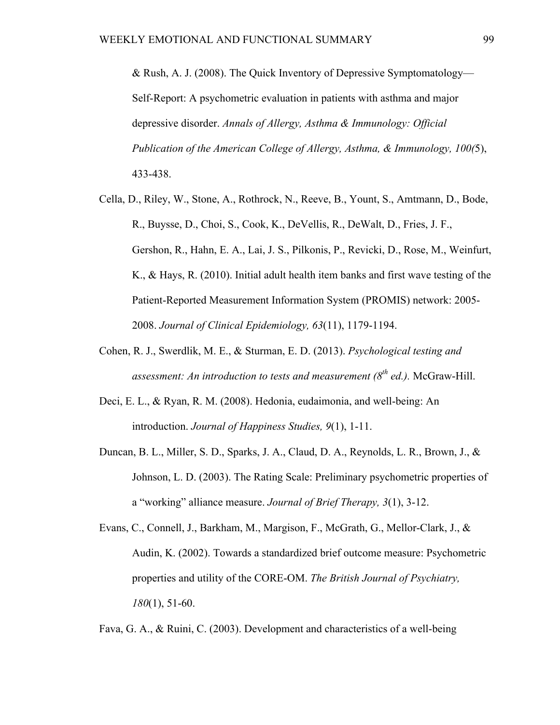& Rush, A. J. (2008). The Quick Inventory of Depressive Symptomatology— Self-Report: A psychometric evaluation in patients with asthma and major depressive disorder. *Annals of Allergy, Asthma & Immunology: Official Publication of the American College of Allergy, Asthma, & Immunology, 100(*5), 433-438.

- Cella, D., Riley, W., Stone, A., Rothrock, N., Reeve, B., Yount, S., Amtmann, D., Bode, R., Buysse, D., Choi, S., Cook, K., DeVellis, R., DeWalt, D., Fries, J. F., Gershon, R., Hahn, E. A., Lai, J. S., Pilkonis, P., Revicki, D., Rose, M., Weinfurt, K., & Hays, R. (2010). Initial adult health item banks and first wave testing of the Patient-Reported Measurement Information System (PROMIS) network: 2005- 2008. *Journal of Clinical Epidemiology, 63*(11), 1179-1194.
- Cohen, R. J., Swerdlik, M. E., & Sturman, E. D. (2013). *Psychological testing and assessment: An introduction to tests and measurement*  $(8^{th}$  *ed.).* McGraw-Hill.
- Deci, E. L., & Ryan, R. M. (2008). Hedonia, eudaimonia, and well-being: An introduction. *Journal of Happiness Studies, 9*(1), 1-11.
- Duncan, B. L., Miller, S. D., Sparks, J. A., Claud, D. A., Reynolds, L. R., Brown, J., & Johnson, L. D. (2003). The Rating Scale: Preliminary psychometric properties of a "working" alliance measure. *Journal of Brief Therapy, 3*(1), 3-12.
- Evans, C., Connell, J., Barkham, M., Margison, F., McGrath, G., Mellor-Clark, J., & Audin, K. (2002). Towards a standardized brief outcome measure: Psychometric properties and utility of the CORE-OM. *The British Journal of Psychiatry, 180*(1), 51-60.

Fava, G. A., & Ruini, C. (2003). Development and characteristics of a well-being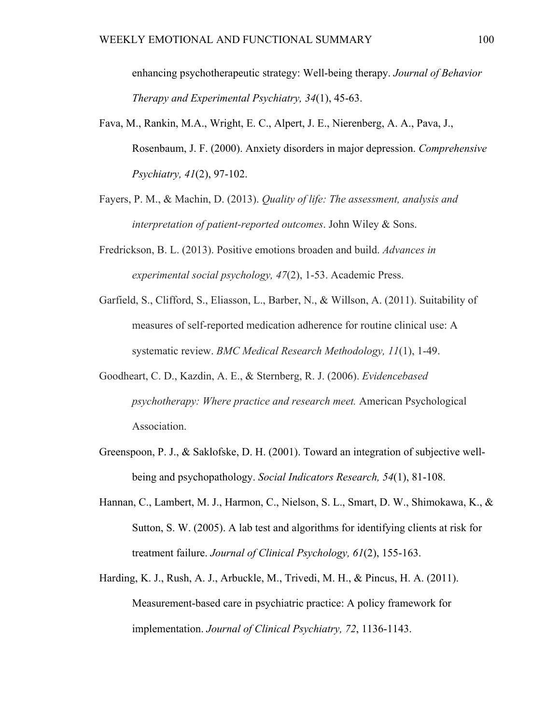enhancing psychotherapeutic strategy: Well-being therapy. *Journal of Behavior Therapy and Experimental Psychiatry, 34*(1), 45-63.

- Fava, M., Rankin, M.A., Wright, E. C., Alpert, J. E., Nierenberg, A. A., Pava, J., Rosenbaum, J. F. (2000). Anxiety disorders in major depression. *Comprehensive Psychiatry, 41*(2), 97-102.
- Fayers, P. M., & Machin, D. (2013). *Quality of life: The assessment, analysis and interpretation of patient-reported outcomes*. John Wiley & Sons.
- Fredrickson, B. L. (2013). Positive emotions broaden and build. *Advances in experimental social psychology, 47*(2), 1-53. Academic Press.
- Garfield, S., Clifford, S., Eliasson, L., Barber, N., & Willson, A. (2011). Suitability of measures of self-reported medication adherence for routine clinical use: A systematic review. *BMC Medical Research Methodology, 11*(1), 1-49.
- Goodheart, C. D., Kazdin, A. E., & Sternberg, R. J. (2006). *Evidencebased psychotherapy: Where practice and research meet.* American Psychological Association.
- Greenspoon, P. J., & Saklofske, D. H. (2001). Toward an integration of subjective well being and psychopathology. *Social Indicators Research, 54*(1), 81-108.
- Hannan, C., Lambert, M. J., Harmon, C., Nielson, S. L., Smart, D. W., Shimokawa, K., & Sutton, S. W. (2005). A lab test and algorithms for identifying clients at risk for treatment failure. *Journal of Clinical Psychology, 61*(2), 155-163.
- Harding, K. J., Rush, A. J., Arbuckle, M., Trivedi, M. H., & Pincus, H. A. (2011). Measurement-based care in psychiatric practice: A policy framework for implementation. *Journal of Clinical Psychiatry, 72*, 1136-1143.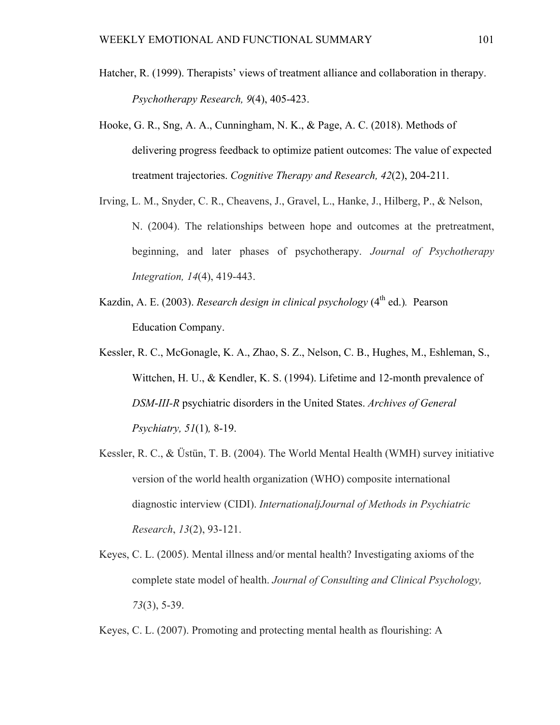- Hatcher, R. (1999). Therapists' views of treatment alliance and collaboration in therapy. *Psychotherapy Research, 9*(4), 405-423.
- Hooke, G. R., Sng, A. A., Cunningham, N. K., & Page, A. C. (2018). Methods of delivering progress feedback to optimize patient outcomes: The value of expected treatment trajectories. *Cognitive Therapy and Research, 42*(2), 204-211.
- Irving, L. M., Snyder, C. R., Cheavens, J., Gravel, L., Hanke, J., Hilberg, P., & Nelson, N. (2004). The relationships between hope and outcomes at the pretreatment, beginning, and later phases of psychotherapy. *Journal of Psychotherapy Integration, 14*(4), 419-443.
- Kazdin, A. E. (2003). *Research design in clinical psychology* (4<sup>th</sup> ed.). Pearson Education Company.
- Kessler, R. C., McGonagle, K. A., Zhao, S. Z., Nelson, C. B., Hughes, M., Eshleman, S., Wittchen, H. U., & Kendler, K. S. (1994). Lifetime and 12-month prevalence of *DSM*-*III-R* psychiatric disorders in the United States. *Archives of General Psychiatry, 51*(1)*,* 8-19.
- Kessler, R. C., & Üstün, T. B. (2004). The World Mental Health (WMH) survey initiative version of the world health organization (WHO) composite international diagnostic interview (CIDI). *InternationaljJournal of Methods in Psychiatric Research*, *13*(2), 93-121.
- Keyes, C. L. (2005). Mental illness and/or mental health? Investigating axioms of the complete state model of health. *Journal of Consulting and Clinical Psychology, 73*(3), 5-39.
- Keyes, C. L. (2007). Promoting and protecting mental health as flourishing: A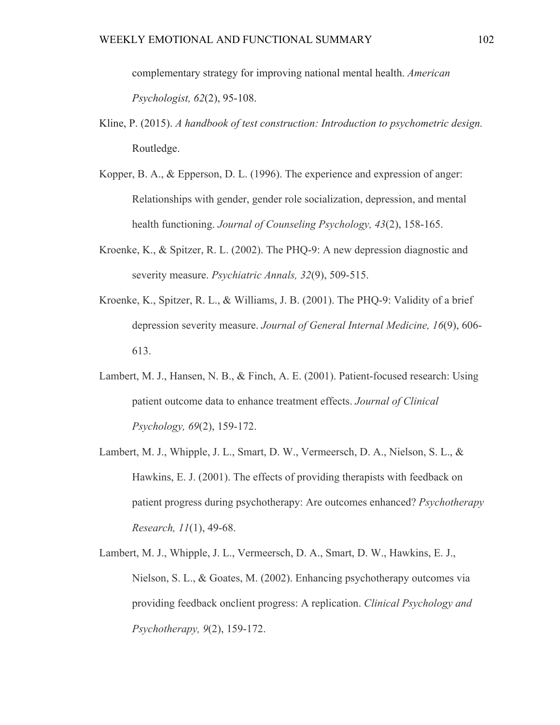- Kline, P. (2015). *A handbook of test construction: Introduction to psychometric design.*  Routledge.
- Kopper, B. A., & Epperson, D. L. (1996). The experience and expression of anger: Relationships with gender, gender role socialization, depression, and mental health functioning. *Journal of Counseling Psychology, 43*(2), 158-165.
- Kroenke, K., & Spitzer, R. L. (2002). The PHQ-9: A new depression diagnostic and severity measure. *Psychiatric Annals, 32*(9), 509-515.
- Kroenke, K., Spitzer, R. L., & Williams, J. B. (2001). The PHQ-9: Validity of a brief depression severity measure. *Journal of General Internal Medicine, 16*(9), 606- 613.
- Lambert, M. J., Hansen, N. B., & Finch, A. E. (2001). Patient-focused research: Using patient outcome data to enhance treatment effects. *Journal of Clinical Psychology, 69*(2), 159-172.
- Lambert, M. J., Whipple, J. L., Smart, D. W., Vermeersch, D. A., Nielson, S. L., & Hawkins, E. J. (2001). The effects of providing therapists with feedback on patient progress during psychotherapy: Are outcomes enhanced? *Psychotherapy Research, 11*(1), 49-68.
- Lambert, M. J., Whipple, J. L., Vermeersch, D. A., Smart, D. W., Hawkins, E. J., Nielson, S. L., & Goates, M. (2002). Enhancing psychotherapy outcomes via providing feedback onclient progress: A replication. *Clinical Psychology and Psychotherapy, 9*(2), 159-172.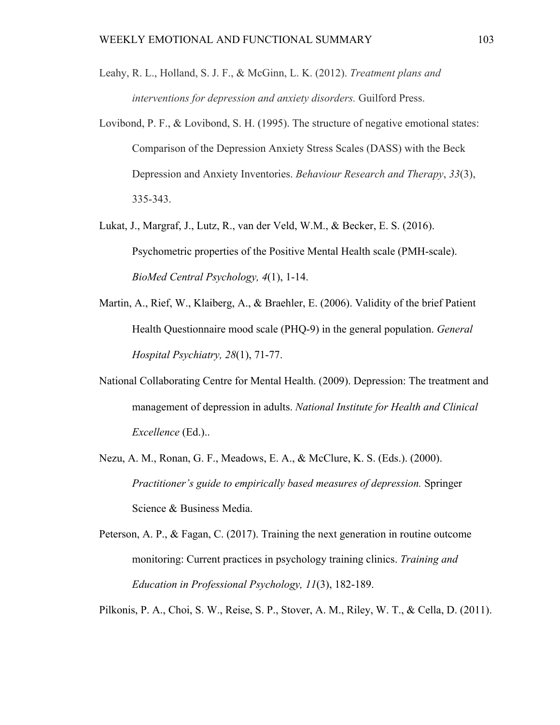- Leahy, R. L., Holland, S. J. F., & McGinn, L. K. (2012). *Treatment plans and interventions for depression and anxiety disorders.* Guilford Press.
- Lovibond, P. F., & Lovibond, S. H. (1995). The structure of negative emotional states: Comparison of the Depression Anxiety Stress Scales (DASS) with the Beck Depression and Anxiety Inventories. *Behaviour Research and Therapy*, *33*(3), 335-343.
- Lukat, J., Margraf, J., Lutz, R., van der Veld, W.M., & Becker, E. S. (2016). Psychometric properties of the Positive Mental Health scale (PMH-scale). *BioMed Central Psychology, 4*(1), 1-14.
- Martin, A., Rief, W., Klaiberg, A., & Braehler, E. (2006). Validity of the brief Patient Health Questionnaire mood scale (PHQ-9) in the general population. *General Hospital Psychiatry, 28*(1), 71-77.
- National Collaborating Centre for Mental Health. (2009). Depression: The treatment and management of depression in adults. *National Institute for Health and Clinical Excellence* (Ed.)..
- Nezu, A. M., Ronan, G. F., Meadows, E. A., & McClure, K. S. (Eds.). (2000). *Practitioner's guide to empirically based measures of depression.* Springer Science & Business Media.
- Peterson, A. P., & Fagan, C. (2017). Training the next generation in routine outcome monitoring: Current practices in psychology training clinics. *Training and Education in Professional Psychology, 11*(3), 182-189.

Pilkonis, P. A., Choi, S. W., Reise, S. P., Stover, A. M., Riley, W. T., & Cella, D. (2011).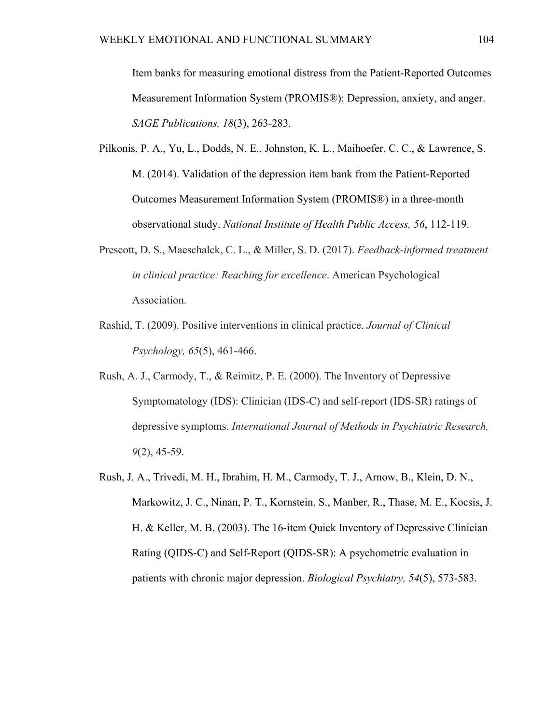Item banks for measuring emotional distress from the Patient-Reported Outcomes Measurement Information System (PROMIS®): Depression, anxiety, and anger. *SAGE Publications, 18*(3), 263-283.

- Pilkonis, P. A., Yu, L., Dodds, N. E., Johnston, K. L., Maihoefer, C. C., & Lawrence, S. M. (2014). Validation of the depression item bank from the Patient-Reported Outcomes Measurement Information System (PROMIS®) in a three-month observational study. *National Institute of Health Public Access, 56*, 112-119.
- Prescott, D. S., Maeschalck, C. L., & Miller, S. D. (2017). *Feedback-informed treatment in clinical practice: Reaching for excellence*. American Psychological Association.
- Rashid, T. (2009). Positive interventions in clinical practice. *Journal of Clinical Psychology, 65*(5), 461-466.
- Rush, A. J., Carmody, T., & Reimitz, P. E. (2000). The Inventory of Depressive Symptomatology (IDS): Clinician (IDS-C) and self-report (IDS-SR) ratings of depressive symptoms. *International Journal of Methods in Psychiatric Research, 9*(2), 45-59.
- Rush, J. A., Trivedi, M. H., Ibrahim, H. M., Carmody, T. J., Arnow, B., Klein, D. N., Markowitz, J. C., Ninan, P. T., Kornstein, S., Manber, R., Thase, M. E., Kocsis, J. H. & Keller, M. B. (2003). The 16-item Quick Inventory of Depressive Clinician Rating (QIDS-C) and Self-Report (QIDS-SR): A psychometric evaluation in patients with chronic major depression. *Biological Psychiatry, 54*(5), 573-583.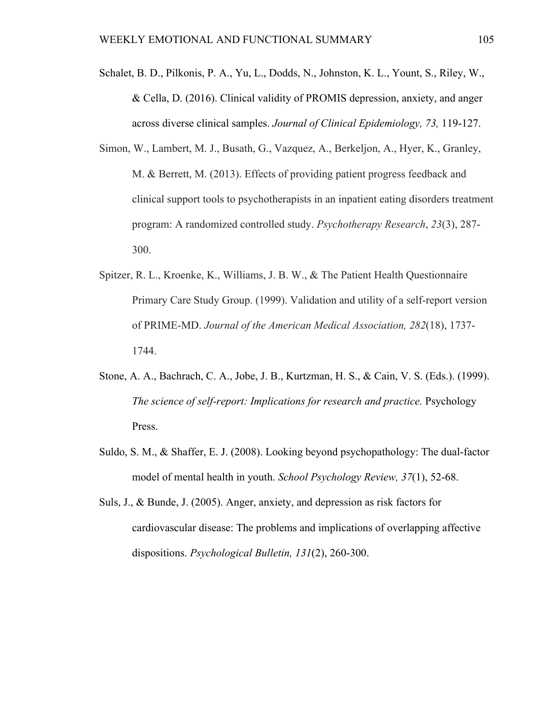- Schalet, B. D., Pilkonis, P. A., Yu, L., Dodds, N., Johnston, K. L., Yount, S., Riley, W., & Cella, D. (2016). Clinical validity of PROMIS depression, anxiety, and anger across diverse clinical samples. *Journal of Clinical Epidemiology, 73,* 119-127.
- Simon, W., Lambert, M. J., Busath, G., Vazquez, A., Berkeljon, A., Hyer, K., Granley, M. & Berrett, M. (2013). Effects of providing patient progress feedback and clinical support tools to psychotherapists in an inpatient eating disorders treatment program: A randomized controlled study. *Psychotherapy Research*, *23*(3), 287- 300.
- Spitzer, R. L., Kroenke, K., Williams, J. B. W., & The Patient Health Questionnaire Primary Care Study Group. (1999). Validation and utility of a self-report version of PRIME-MD. *Journal of the American Medical Association, 282*(18), 1737- 1744.
- Stone, A. A., Bachrach, C. A., Jobe, J. B., Kurtzman, H. S., & Cain, V. S. (Eds.). (1999). *The science of self-report: Implications for research and practice. Psychology* Press.
- Suldo, S. M., & Shaffer, E. J. (2008). Looking beyond psychopathology: The dual-factor model of mental health in youth. *School Psychology Review, 37*(1), 52-68.
- Suls, J., & Bunde, J. (2005). Anger, anxiety, and depression as risk factors for cardiovascular disease: The problems and implications of overlapping affective dispositions. *Psychological Bulletin, 131*(2), 260-300.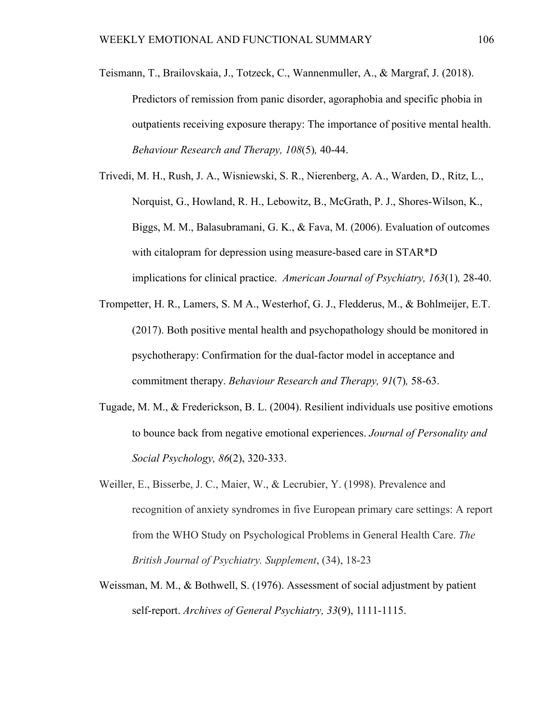- Teismann, T., Brailovskaia, J., Totzeck, C., Wannenmuller, A., & Margraf, J. (2018). Predictors of remission from panic disorder, agoraphobia and specific phobia in outpatients receiving exposure therapy: The importance of positive mental health. *Behaviour Research and Therapy, 108*(5)*,* 40-44.
- Trivedi, M. H., Rush, J. A., Wisniewski, S. R., Nierenberg, A. A., Warden, D., Ritz, L., Norquist, G., Howland, R. H., Lebowitz, B., McGrath, P. J., Shores-Wilson, K., Biggs, M. M., Balasubramani, G. K., & Fava, M. (2006). Evaluation of outcomes with citalopram for depression using measure-based care in STAR\*D implications for clinical practice. *American Journal of Psychiatry, 163*(1)*,* 28-40.
- Trompetter, H. R., Lamers, S. M A., Westerhof, G. J., Fledderus, M., & Bohlmeijer, E.T. (2017). Both positive mental health and psychopathology should be monitored in psychotherapy: Confirmation for the dual-factor model in acceptance and commitment therapy. *Behaviour Research and Therapy, 91*(7)*,* 58-63.
- Tugade, M. M., & Frederickson, B. L. (2004). Resilient individuals use positive emotions to bounce back from negative emotional experiences. *Journal of Personality and Social Psychology, 86*(2), 320-333.
- Weiller, E., Bisserbe, J. C., Maier, W., & Lecrubier, Y. (1998). Prevalence and recognition of anxiety syndromes in five European primary care settings: A report from the WHO Study on Psychological Problems in General Health Care. *The British Journal of Psychiatry. Supplement*, (34), 18-23
- Weissman, M. M., & Bothwell, S. (1976). Assessment of social adjustment by patient self-report. *Archives of General Psychiatry, 33*(9), 1111-1115.